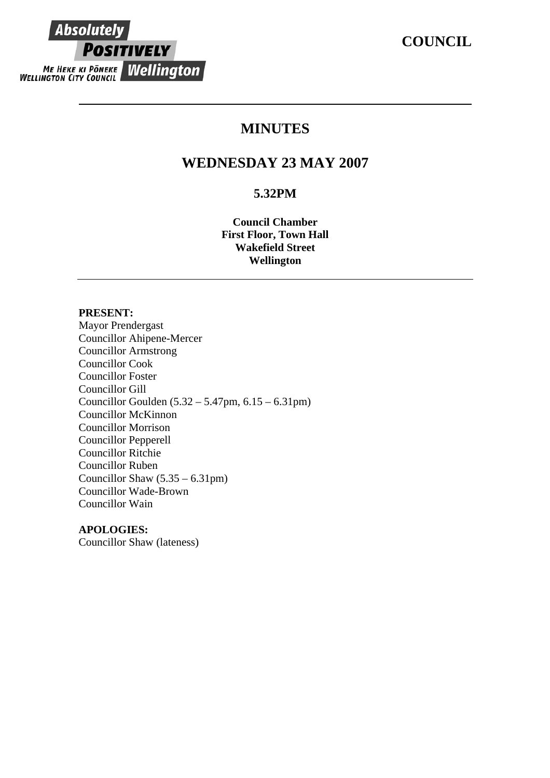# **COUNCIL**

# **Absolutely POSITIVELY** ME HEKE KI PONEKE WELLINGTON

# **MINUTES**

# **WEDNESDAY 23 MAY 2007**

# **5.32PM**

**Council Chamber First Floor, Town Hall Wakefield Street Wellington** 

# **PRESENT:**

Mayor Prendergast Councillor Ahipene-Mercer Councillor Armstrong Councillor Cook Councillor Foster Councillor Gill Councillor Goulden (5.32 – 5.47pm, 6.15 – 6.31pm) Councillor McKinnon Councillor Morrison Councillor Pepperell Councillor Ritchie Councillor Ruben Councillor Shaw  $(5.35 - 6.31 \text{pm})$ Councillor Wade-Brown Councillor Wain

# **APOLOGIES:**

Councillor Shaw (lateness)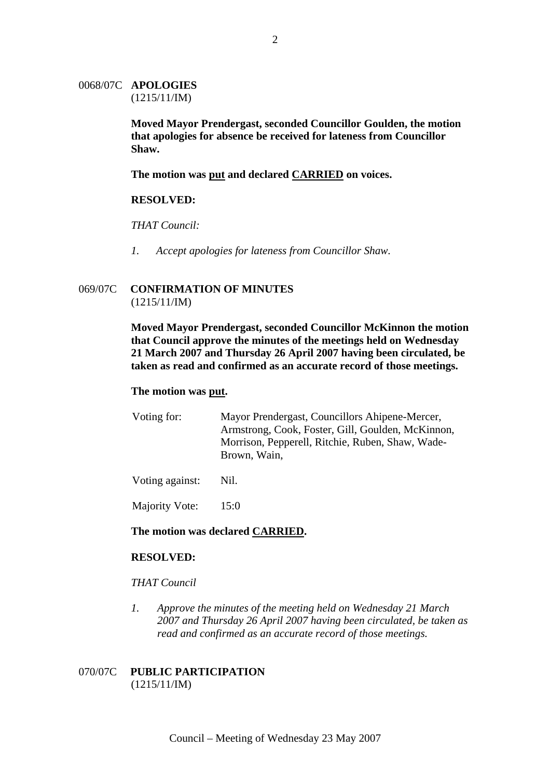### 0068/07C **APOLOGIES** (1215/11/IM)

**Moved Mayor Prendergast, seconded Councillor Goulden, the motion that apologies for absence be received for lateness from Councillor Shaw.** 

**The motion was put and declared CARRIED on voices.**

### **RESOLVED:**

*THAT Council:* 

*1. Accept apologies for lateness from Councillor Shaw.* 

### 069/07C **CONFIRMATION OF MINUTES** (1215/11/IM)

**Moved Mayor Prendergast, seconded Councillor McKinnon the motion that Council approve the minutes of the meetings held on Wednesday 21 March 2007 and Thursday 26 April 2007 having been circulated, be taken as read and confirmed as an accurate record of those meetings.** 

### **The motion was put.**

Voting for: Mayor Prendergast, Councillors Ahipene-Mercer, Armstrong, Cook, Foster, Gill, Goulden, McKinnon, Morrison, Pepperell, Ritchie, Ruben, Shaw, Wade-Brown, Wain,

Voting against: Nil.

Majority Vote: 15:0

### **The motion was declared CARRIED.**

### **RESOLVED:**

### *THAT Council*

*1. Approve the minutes of the meeting held on Wednesday 21 March 2007 and Thursday 26 April 2007 having been circulated, be taken as read and confirmed as an accurate record of those meetings.* 

### 070/07C **PUBLIC PARTICIPATION** (1215/11/IM)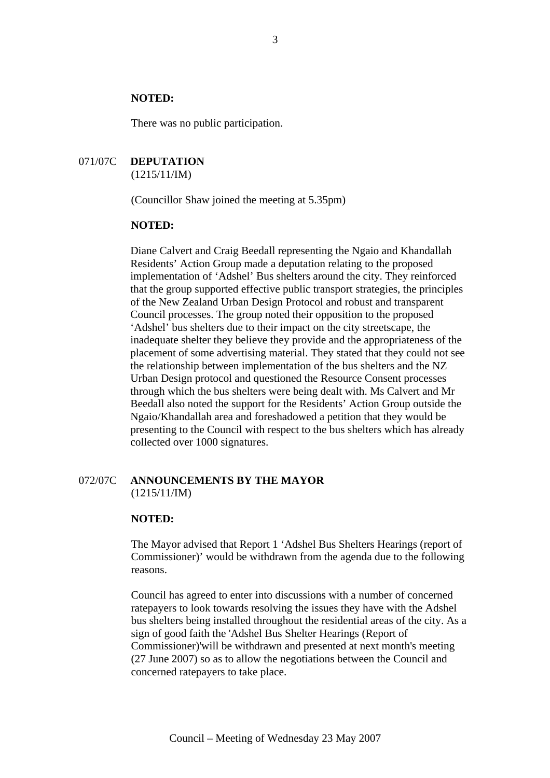### **NOTED:**

There was no public participation.

#### 071/07C **DEPUTATION** (1215/11/IM)

(Councillor Shaw joined the meeting at 5.35pm)

#### **NOTED:**

Diane Calvert and Craig Beedall representing the Ngaio and Khandallah Residents' Action Group made a deputation relating to the proposed implementation of 'Adshel' Bus shelters around the city. They reinforced that the group supported effective public transport strategies, the principles of the New Zealand Urban Design Protocol and robust and transparent Council processes. The group noted their opposition to the proposed 'Adshel' bus shelters due to their impact on the city streetscape, the inadequate shelter they believe they provide and the appropriateness of the placement of some advertising material. They stated that they could not see the relationship between implementation of the bus shelters and the NZ Urban Design protocol and questioned the Resource Consent processes through which the bus shelters were being dealt with. Ms Calvert and Mr Beedall also noted the support for the Residents' Action Group outside the Ngaio/Khandallah area and foreshadowed a petition that they would be presenting to the Council with respect to the bus shelters which has already collected over 1000 signatures.

### 072/07C **ANNOUNCEMENTS BY THE MAYOR** (1215/11/IM)

#### **NOTED:**

The Mayor advised that Report 1 'Adshel Bus Shelters Hearings (report of Commissioner)' would be withdrawn from the agenda due to the following reasons.

Council has agreed to enter into discussions with a number of concerned ratepayers to look towards resolving the issues they have with the Adshel bus shelters being installed throughout the residential areas of the city. As a sign of good faith the 'Adshel Bus Shelter Hearings (Report of Commissioner)'will be withdrawn and presented at next month's meeting (27 June 2007) so as to allow the negotiations between the Council and concerned ratepayers to take place.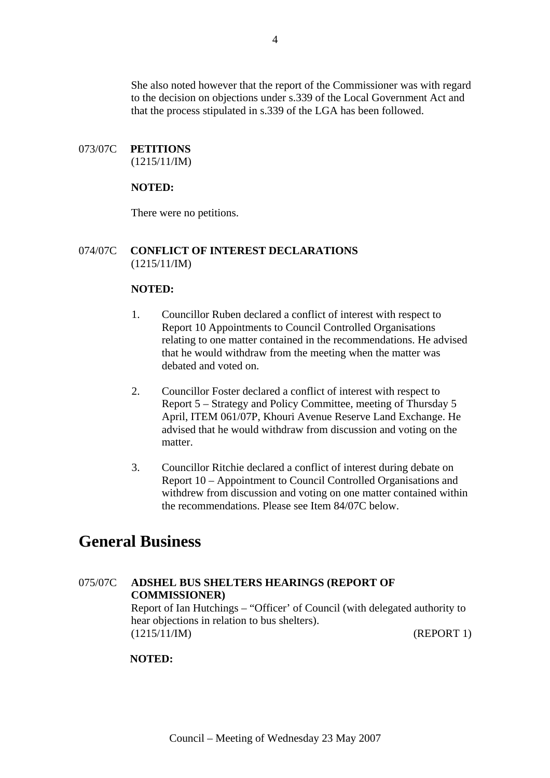She also noted however that the report of the Commissioner was with regard to the decision on objections under s.339 of the Local Government Act and that the process stipulated in s.339 of the LGA has been followed.

# 073/07C **PETITIONS**

(1215/11/IM)

### **NOTED:**

There were no petitions.

## 074/07C **CONFLICT OF INTEREST DECLARATIONS** (1215/11/IM)

### **NOTED:**

- 1. Councillor Ruben declared a conflict of interest with respect to Report 10 Appointments to Council Controlled Organisations relating to one matter contained in the recommendations. He advised that he would withdraw from the meeting when the matter was debated and voted on.
- 2. Councillor Foster declared a conflict of interest with respect to Report 5 – Strategy and Policy Committee, meeting of Thursday 5 April, ITEM 061/07P, Khouri Avenue Reserve Land Exchange. He advised that he would withdraw from discussion and voting on the matter.
- 3. Councillor Ritchie declared a conflict of interest during debate on Report 10 – Appointment to Council Controlled Organisations and withdrew from discussion and voting on one matter contained within the recommendations. Please see Item 84/07C below.

# **General Business**

# 075/07C **ADSHEL BUS SHELTERS HEARINGS (REPORT OF COMMISSIONER)**  Report of Ian Hutchings – "Officer' of Council (with delegated authority to hear objections in relation to bus shelters). (1215/11/IM) (REPORT 1)

### **NOTED:**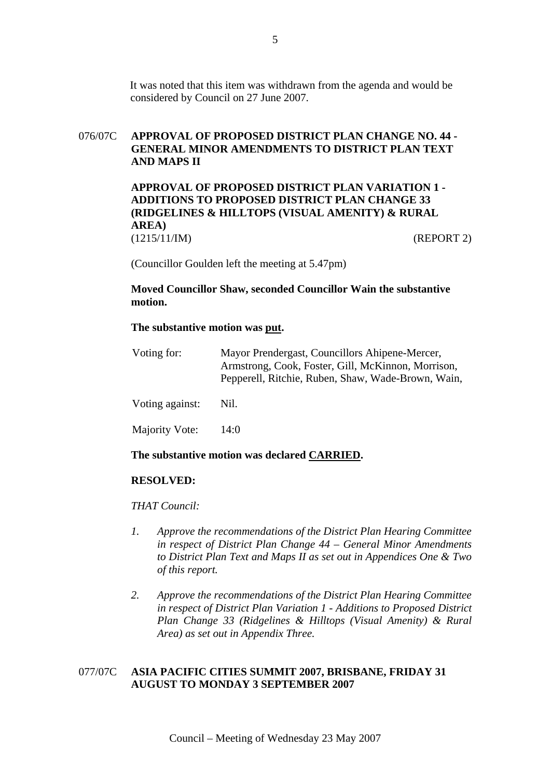It was noted that this item was withdrawn from the agenda and would be considered by Council on 27 June 2007.

# 076/07C **APPROVAL OF PROPOSED DISTRICT PLAN CHANGE NO. 44 - GENERAL MINOR AMENDMENTS TO DISTRICT PLAN TEXT AND MAPS II**

**APPROVAL OF PROPOSED DISTRICT PLAN VARIATION 1 - ADDITIONS TO PROPOSED DISTRICT PLAN CHANGE 33 (RIDGELINES & HILLTOPS (VISUAL AMENITY) & RURAL AREA)**  (1215/11/IM) (REPORT 2)

(Councillor Goulden left the meeting at 5.47pm)

**Moved Councillor Shaw, seconded Councillor Wain the substantive motion.** 

### **The substantive motion was put.**

| Voting for:     | Mayor Prendergast, Councillors Ahipene-Mercer,<br>Armstrong, Cook, Foster, Gill, McKinnon, Morrison,<br>Pepperell, Ritchie, Ruben, Shaw, Wade-Brown, Wain, |
|-----------------|------------------------------------------------------------------------------------------------------------------------------------------------------------|
| Voting against: | Nil.                                                                                                                                                       |
| Majority Vote:  | 14:()                                                                                                                                                      |

### **The substantive motion was declared CARRIED.**

### **RESOLVED:**

### *THAT Council:*

- *1. Approve the recommendations of the District Plan Hearing Committee in respect of District Plan Change 44 – General Minor Amendments to District Plan Text and Maps II as set out in Appendices One & Two of this report.*
- *2. Approve the recommendations of the District Plan Hearing Committee in respect of District Plan Variation 1 - Additions to Proposed District Plan Change 33 (Ridgelines & Hilltops (Visual Amenity) & Rural Area) as set out in Appendix Three.*

### 077/07C **ASIA PACIFIC CITIES SUMMIT 2007, BRISBANE, FRIDAY 31 AUGUST TO MONDAY 3 SEPTEMBER 2007**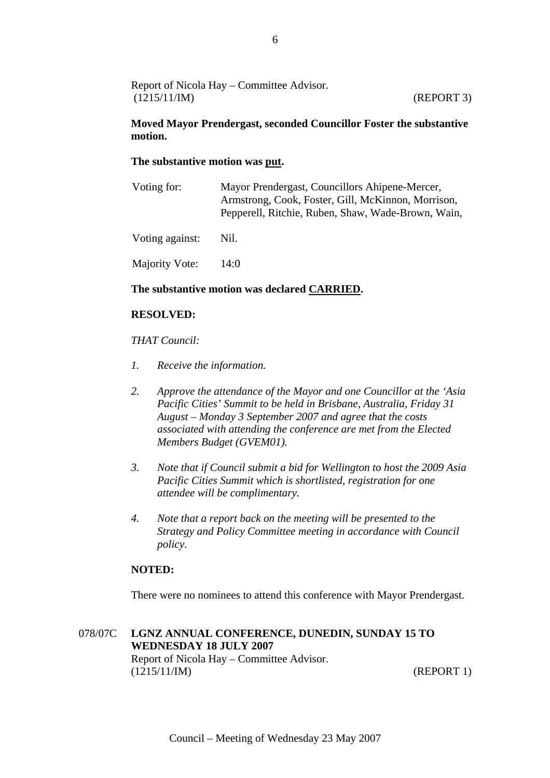| Report of Nicola Hay – Committee Advisor. |            |
|-------------------------------------------|------------|
| (1215/11/IM)                              | (REPORT 3) |

### **Moved Mayor Prendergast, seconded Councillor Foster the substantive motion.**

### **The substantive motion was put.**

| Voting for:     | Mayor Prendergast, Councillors Ahipene-Mercer,<br>Armstrong, Cook, Foster, Gill, McKinnon, Morrison,<br>Pepperell, Ritchie, Ruben, Shaw, Wade-Brown, Wain, |
|-----------------|------------------------------------------------------------------------------------------------------------------------------------------------------------|
| Voting against: | Nil.                                                                                                                                                       |
| Majority Vote:  | 14:0                                                                                                                                                       |

## **The substantive motion was declared CARRIED.**

### **RESOLVED:**

### *THAT Council:*

- *1. Receive the information.*
- *2. Approve the attendance of the Mayor and one Councillor at the 'Asia Pacific Cities' Summit to be held in Brisbane, Australia, Friday 31 August – Monday 3 September 2007 and agree that the costs associated with attending the conference are met from the Elected Members Budget (GVEM01).*
- *3. Note that if Council submit a bid for Wellington to host the 2009 Asia Pacific Cities Summit which is shortlisted, registration for one attendee will be complimentary.*
- *4. Note that a report back on the meeting will be presented to the Strategy and Policy Committee meeting in accordance with Council policy.*

### **NOTED:**

There were no nominees to attend this conference with Mayor Prendergast.

# 078/07C **LGNZ ANNUAL CONFERENCE, DUNEDIN, SUNDAY 15 TO WEDNESDAY 18 JULY 2007**  Report of Nicola Hay – Committee Advisor. (1215/11/IM) (REPORT 1)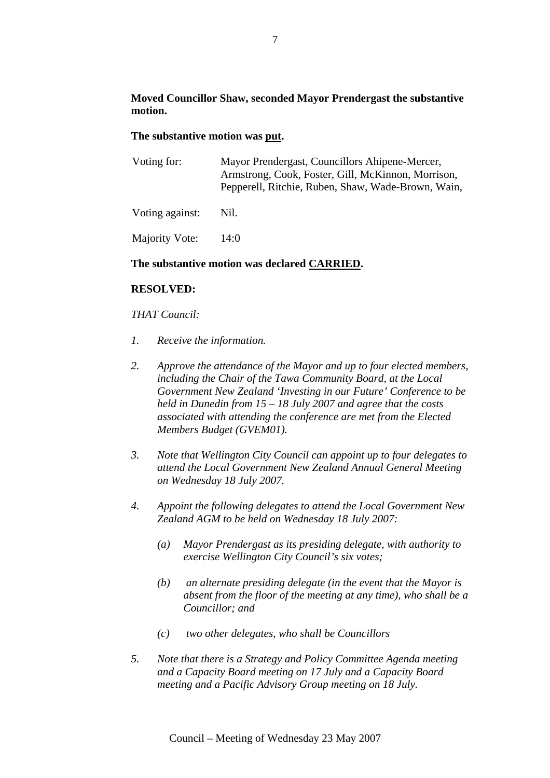# **Moved Councillor Shaw, seconded Mayor Prendergast the substantive motion.**

### **The substantive motion was put.**

| Voting for:                                  | Mayor Prendergast, Councillors Ahipene-Mercer,<br>Armstrong, Cook, Foster, Gill, McKinnon, Morrison,<br>Pepperell, Ritchie, Ruben, Shaw, Wade-Brown, Wain, |  |
|----------------------------------------------|------------------------------------------------------------------------------------------------------------------------------------------------------------|--|
| Voting against:                              | Nil.                                                                                                                                                       |  |
| Majority Vote:                               | 14:0                                                                                                                                                       |  |
| The substantive motion was declared CARRIED. |                                                                                                                                                            |  |

### **RESOLVED:**

### *THAT Council:*

- *1. Receive the information.*
- *2. Approve the attendance of the Mayor and up to four elected members, including the Chair of the Tawa Community Board, at the Local Government New Zealand 'Investing in our Future' Conference to be held in Dunedin from 15 – 18 July 2007 and agree that the costs associated with attending the conference are met from the Elected Members Budget (GVEM01).*
- *3. Note that Wellington City Council can appoint up to four delegates to attend the Local Government New Zealand Annual General Meeting on Wednesday 18 July 2007.*
- *4. Appoint the following delegates to attend the Local Government New Zealand AGM to be held on Wednesday 18 July 2007:* 
	- *(a) Mayor Prendergast as its presiding delegate, with authority to exercise Wellington City Council's six votes;*
	- *(b) an alternate presiding delegate (in the event that the Mayor is absent from the floor of the meeting at any time), who shall be a Councillor; and*
	- *(c) two other delegates, who shall be Councillors*
- *5. Note that there is a Strategy and Policy Committee Agenda meeting and a Capacity Board meeting on 17 July and a Capacity Board meeting and a Pacific Advisory Group meeting on 18 July.*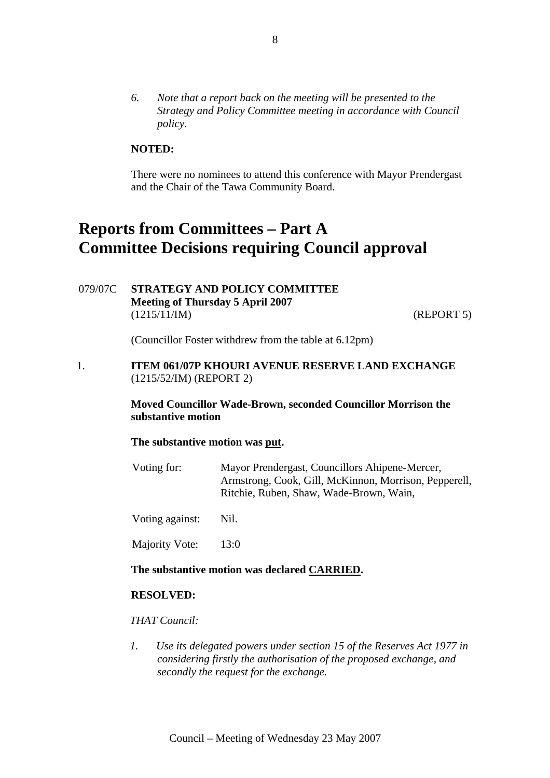*6. Note that a report back on the meeting will be presented to the Strategy and Policy Committee meeting in accordance with Council policy.* 

# **NOTED:**

There were no nominees to attend this conference with Mayor Prendergast and the Chair of the Tawa Community Board.

# **Reports from Committees – Part A Committee Decisions requiring Council approval**

079/07C **STRATEGY AND POLICY COMMITTEE Meeting of Thursday 5 April 2007**  (1215/11/IM) (REPORT 5)

(Councillor Foster withdrew from the table at 6.12pm)

1. **ITEM 061/07P KHOURI AVENUE RESERVE LAND EXCHANGE** (1215/52/IM) (REPORT 2)

> **Moved Councillor Wade-Brown, seconded Councillor Morrison the substantive motion**

### **The substantive motion was put.**

- Voting for: Mayor Prendergast, Councillors Ahipene-Mercer, Armstrong, Cook, Gill, McKinnon, Morrison, Pepperell, Ritchie, Ruben, Shaw, Wade-Brown, Wain,
- Voting against: Nil.
- Majority Vote: 13:0

### **The substantive motion was declared CARRIED.**

### **RESOLVED:**

### *THAT Council:*

*1. Use its delegated powers under section 15 of the Reserves Act 1977 in considering firstly the authorisation of the proposed exchange, and secondly the request for the exchange.*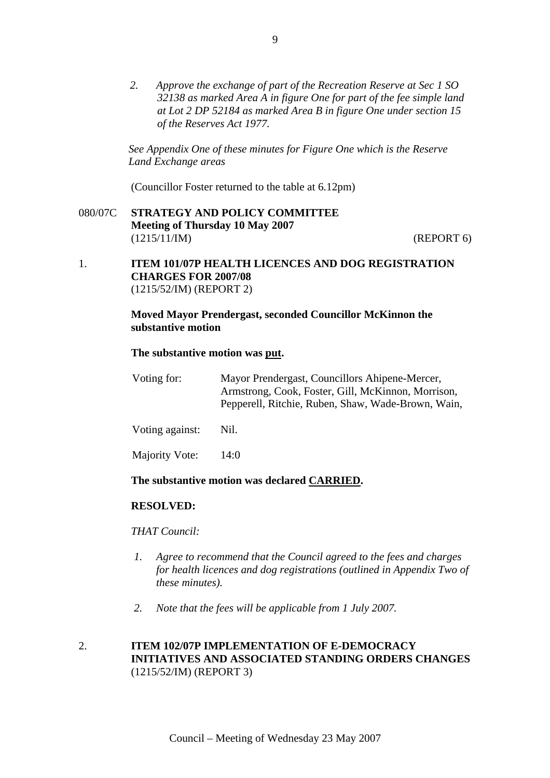*2. Approve the exchange of part of the Recreation Reserve at Sec 1 SO 32138 as marked Area A in figure One for part of the fee simple land at Lot 2 DP 52184 as marked Area B in figure One under section 15 of the Reserves Act 1977.* 

*See Appendix One of these minutes for Figure One which is the Reserve Land Exchange areas* 

(Councillor Foster returned to the table at 6.12pm)

080/07C **STRATEGY AND POLICY COMMITTEE Meeting of Thursday 10 May 2007**  (1215/11/IM) (REPORT 6)

### 1. **ITEM 101/07P HEALTH LICENCES AND DOG REGISTRATION CHARGES FOR 2007/08**  (1215/52/IM) (REPORT 2)

### **Moved Mayor Prendergast, seconded Councillor McKinnon the substantive motion**

### **The substantive motion was put.**

| Voting for:     | Mayor Prendergast, Councillors Ahipene-Mercer,     |
|-----------------|----------------------------------------------------|
|                 | Armstrong, Cook, Foster, Gill, McKinnon, Morrison, |
|                 | Pepperell, Ritchie, Ruben, Shaw, Wade-Brown, Wain, |
|                 |                                                    |
| Voting against: | Nil.                                               |

Majority Vote: 14:0

# **The substantive motion was declared CARRIED.**

### **RESOLVED:**

### *THAT Council:*

- *1. Agree to recommend that the Council agreed to the fees and charges for health licences and dog registrations (outlined in Appendix Two of these minutes).*
- *2. Note that the fees will be applicable from 1 July 2007.*

# 2. **ITEM 102/07P IMPLEMENTATION OF E-DEMOCRACY INITIATIVES AND ASSOCIATED STANDING ORDERS CHANGES**  (1215/52/IM) (REPORT 3)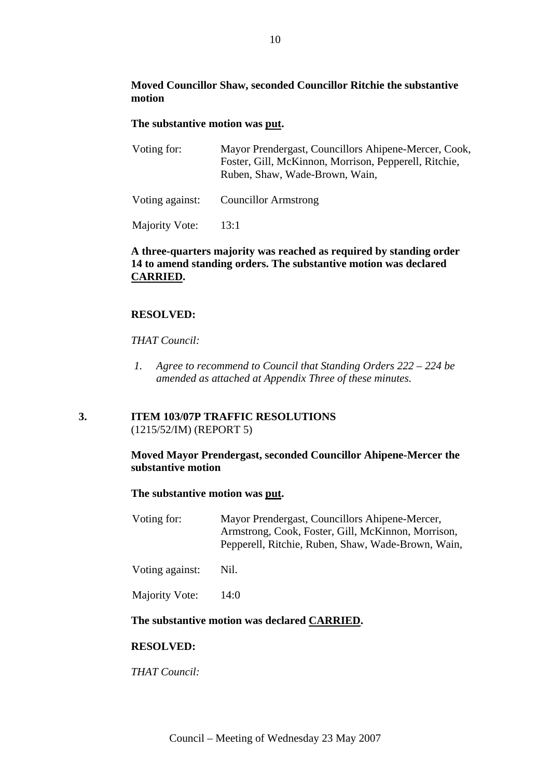# **Moved Councillor Shaw, seconded Councillor Ritchie the substantive motion**

### **The substantive motion was put.**

| Voting for: | Mayor Prendergast, Councillors Ahipene-Mercer, Cook,  |
|-------------|-------------------------------------------------------|
|             | Foster, Gill, McKinnon, Morrison, Pepperell, Ritchie, |
|             | Ruben, Shaw, Wade-Brown, Wain,                        |
|             |                                                       |

Voting against: Councillor Armstrong

Majority Vote: 13:1

# **A three-quarters majority was reached as required by standing order 14 to amend standing orders. The substantive motion was declared CARRIED.**

# **RESOLVED:**

### *THAT Council:*

*1. Agree to recommend to Council that Standing Orders 222 – 224 be amended as attached at Appendix Three of these minutes.* 

# **3. ITEM 103/07P TRAFFIC RESOLUTIONS** (1215/52/IM) (REPORT 5)

# **Moved Mayor Prendergast, seconded Councillor Ahipene-Mercer the substantive motion**

### **The substantive motion was put.**

| Voting for:     | Mayor Prendergast, Councillors Ahipene-Mercer,<br>Armstrong, Cook, Foster, Gill, McKinnon, Morrison,<br>Pepperell, Ritchie, Ruben, Shaw, Wade-Brown, Wain, |
|-----------------|------------------------------------------------------------------------------------------------------------------------------------------------------------|
| Voting against: | Nil.                                                                                                                                                       |

Majority Vote: 14:0

### **The substantive motion was declared CARRIED.**

### **RESOLVED:**

*THAT Council:*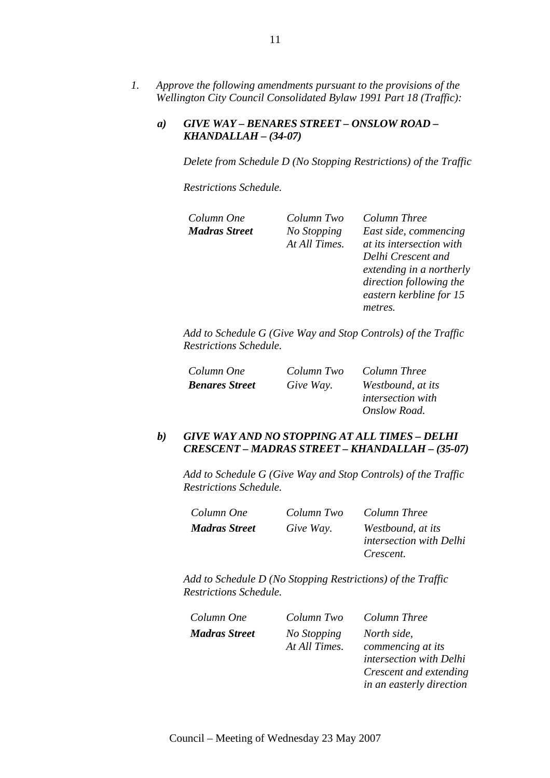*1. Approve the following amendments pursuant to the provisions of the Wellington City Council Consolidated Bylaw 1991 Part 18 (Traffic):* 

### *a) GIVE WAY – BENARES STREET – ONSLOW ROAD – KHANDALLAH – (34-07)*

*Delete from Schedule D (No Stopping Restrictions) of the Traffic* 

*Restrictions Schedule.* 

| Column One    | Column Two    | Column Three             |
|---------------|---------------|--------------------------|
| Madras Street | No Stopping   | East side, commencing    |
|               | At All Times. | at its intersection with |
|               |               | Delhi Crescent and       |
|               |               | extending in a northerly |
|               |               | direction following the  |
|               |               | eastern kerbline for 15  |
|               |               | metres.                  |
|               |               |                          |

*Add to Schedule G (Give Way and Stop Controls) of the Traffic Restrictions Schedule.* 

| Column One            | Column Two | Column Three                                  |
|-----------------------|------------|-----------------------------------------------|
| <b>Benares Street</b> | Give Way.  | Westbound, at its<br><i>intersection</i> with |
|                       |            | Onslow Road.                                  |

### *b) GIVE WAY AND NO STOPPING AT ALL TIMES – DELHI CRESCENT – MADRAS STREET – KHANDALLAH – (35-07)*

*Add to Schedule G (Give Way and Stop Controls) of the Traffic Restrictions Schedule.* 

| Column One           | Column Two | Column Three                   |
|----------------------|------------|--------------------------------|
| <b>Madras Street</b> | Give Way.  | Westbound, at its              |
|                      |            | <i>intersection with Delhi</i> |
|                      |            | Crescent.                      |

| Column One           | Column Two                   | Column Three                                                                                                      |
|----------------------|------------------------------|-------------------------------------------------------------------------------------------------------------------|
| <b>Madras Street</b> | No Stopping<br>At All Times. | North side,<br>commencing at its<br>intersection with Delhi<br>Crescent and extending<br>in an easterly direction |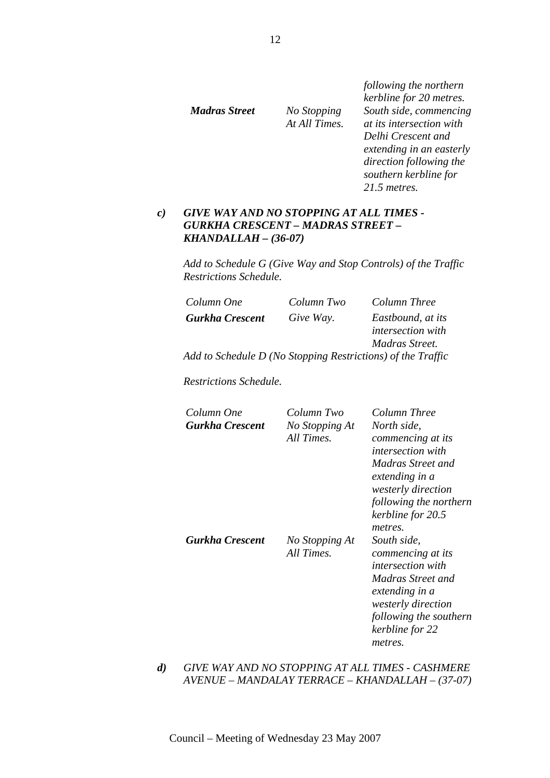*Madras Street No Stopping At All Times.*  *following the northern kerbline for 20 metres. South side, commencing at its intersection with Delhi Crescent and extending in an easterly direction following the southern kerbline for 21.5 metres.* 

# *c) GIVE WAY AND NO STOPPING AT ALL TIMES - GURKHA CRESCENT – MADRAS STREET – KHANDALLAH – (36-07)*

*Add to Schedule G (Give Way and Stop Controls) of the Traffic Restrictions Schedule.* 

| Column One                                                  | Column Two | Column Three                           |
|-------------------------------------------------------------|------------|----------------------------------------|
| <b>Gurkha Crescent</b>                                      | Give Way.  | Eastbound, at its<br>intersection with |
|                                                             |            | Madras Street.                         |
| Add to Schedule D (No Stopping Restrictions) of the Traffic |            |                                        |

*Restrictions Schedule.* 

| Column One<br>Gurkha Crescent | Column Two<br>No Stopping At<br>All Times. | Column Three<br>North side.<br>commencing at its<br><i>intersection with</i><br>Madras Street and<br>extending in a<br><i>westerly direction</i><br>following the northern<br>kerbline for 20.5<br>metres. |
|-------------------------------|--------------------------------------------|------------------------------------------------------------------------------------------------------------------------------------------------------------------------------------------------------------|
| Gurkha Crescent               | No Stopping At<br>All Times.               | South side,<br>commencing at its<br><i>intersection with</i><br>Madras Street and<br>extending in a<br><i>westerly direction</i><br>following the southern<br>kerbline for 22<br>metres.                   |

*d) GIVE WAY AND NO STOPPING AT ALL TIMES - CASHMERE AVENUE – MANDALAY TERRACE – KHANDALLAH – (37-07)*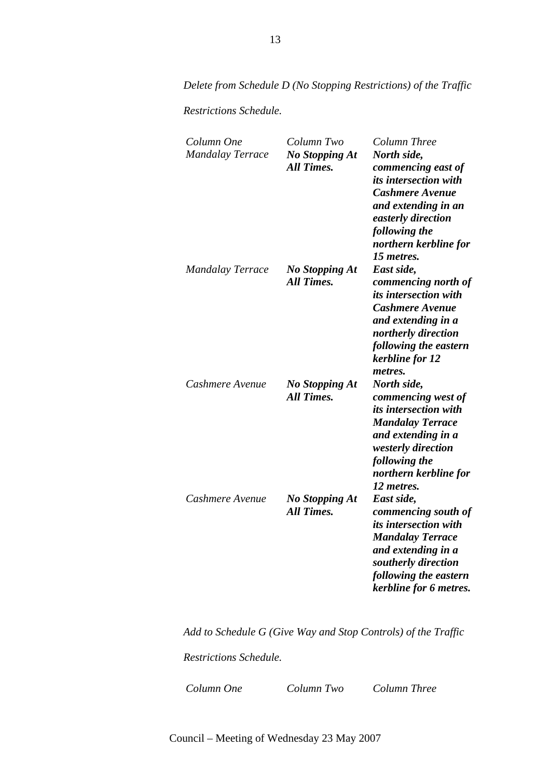*Delete from Schedule D (No Stopping Restrictions) of the Traffic* 

*Restrictions Schedule.* 

| Column One<br><b>Mandalay Terrace</b> | Column Two<br><b>No Stopping At</b><br><b>All Times.</b> | Column Three<br>North side,<br>commencing east of<br><i>its intersection with</i><br><b>Cashmere Avenue</b><br>and extending in an<br>easterly direction<br>following the<br>northern kerbline for<br>15 metres. |
|---------------------------------------|----------------------------------------------------------|------------------------------------------------------------------------------------------------------------------------------------------------------------------------------------------------------------------|
| <b>Mandalay Terrace</b>               | <b>No Stopping At</b><br><b>All Times.</b>               | East side,<br>commencing north of<br><i>its intersection with</i><br><b>Cashmere Avenue</b><br>and extending in a<br>northerly direction<br>following the eastern<br>kerbline for 12<br>metres.                  |
| Cashmere Avenue                       | <b>No Stopping At</b><br><b>All Times.</b>               | North side,<br>commencing west of<br><i>its intersection with</i><br><b>Mandalay Terrace</b><br>and extending in a<br>westerly direction<br>following the<br>northern kerbline for<br>12 metres.                 |
| Cashmere Avenue                       | <b>No Stopping At</b><br><b>All Times.</b>               | East side,<br>commencing south of<br><i>its intersection with</i><br><b>Mandalay Terrace</b><br>and extending in a<br>southerly direction<br>following the eastern<br>kerbline for 6 metres.                     |

*Add to Schedule G (Give Way and Stop Controls) of the Traffic* 

*Restrictions Schedule.* 

*Column One Column Two Column Three*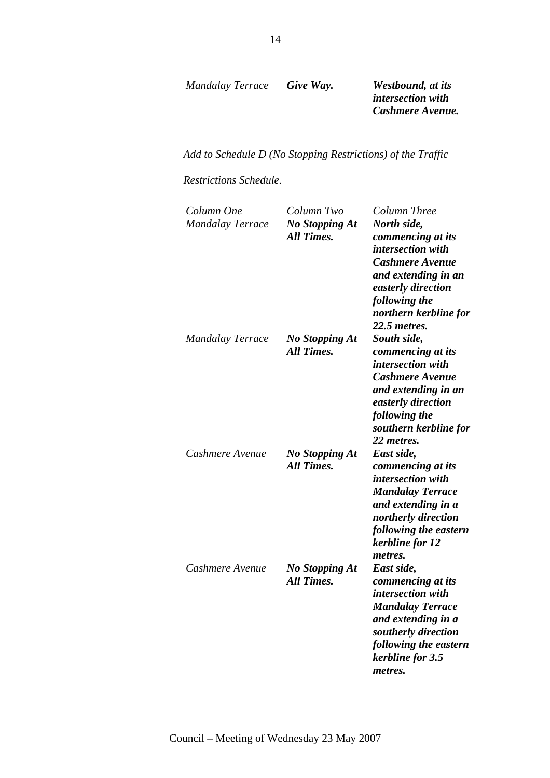*Mandalay Terrace Give Way. Westbound, at its* 

*intersection with Cashmere Avenue.* 

*Add to Schedule D (No Stopping Restrictions) of the Traffic* 

*Restrictions Schedule.* 

| Column One<br><b>Mandalay Terrace</b> | Column Two<br><b>No Stopping At</b><br><b>All Times.</b> | Column Three<br>North side,<br>commencing at its<br>intersection with<br><b>Cashmere Avenue</b><br>and extending in an<br>easterly direction<br>following the<br>northern kerbline for<br>22.5 metres. |
|---------------------------------------|----------------------------------------------------------|--------------------------------------------------------------------------------------------------------------------------------------------------------------------------------------------------------|
| <b>Mandalay Terrace</b>               | <b>No Stopping At</b><br><b>All Times.</b>               | South side,<br>commencing at its<br>intersection with<br><b>Cashmere Avenue</b><br>and extending in an<br>easterly direction<br>following the<br>southern kerbline for<br>22 metres.                   |
| Cashmere Avenue                       | <b>No Stopping At</b><br><b>All Times.</b>               | East side,<br>commencing at its<br>intersection with<br><b>Mandalay Terrace</b><br>and extending in a<br>northerly direction<br>following the eastern<br>kerbline for 12<br>metres.                    |
| Cashmere Avenue                       | <b>No Stopping At</b><br><b>All Times.</b>               | East side,<br>commencing at its<br>intersection with<br><b>Mandalay Terrace</b><br>and extending in a<br>southerly direction<br>following the eastern<br>kerbline for 3.5<br>metres.                   |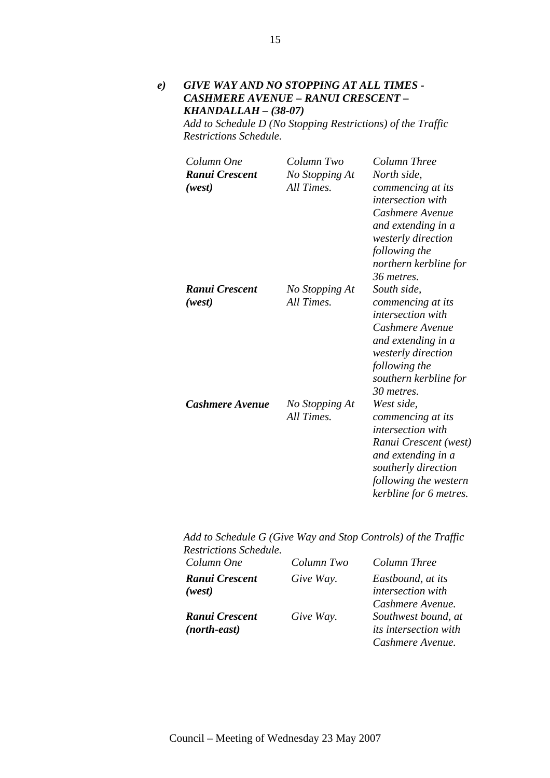*e) GIVE WAY AND NO STOPPING AT ALL TIMES - CASHMERE AVENUE – RANUI CRESCENT – KHANDALLAH – (38-07)* 

*Add to Schedule D (No Stopping Restrictions) of the Traffic Restrictions Schedule.* 

| Column One<br>Ranui Crescent<br>(west) | Column Two<br>No Stopping At<br>All Times. | Column Three<br>North side,<br>commencing at its<br><i>intersection with</i><br>Cashmere Avenue<br>and extending in a<br>westerly direction<br>following the<br>northern kerbline for<br>36 metres. |
|----------------------------------------|--------------------------------------------|-----------------------------------------------------------------------------------------------------------------------------------------------------------------------------------------------------|
| Ranui Crescent<br>(west)               | No Stopping At<br>All Times.               | South side,<br>commencing at its<br>intersection with<br>Cashmere Avenue<br>and extending in a<br>westerly direction<br>following the<br>southern kerbline for<br>30 metres.                        |
| Cashmere Avenue                        | No Stopping At<br>All Times.               | West side,<br>commencing at its<br><i>intersection with</i><br>Ranui Crescent (west)<br>and extending in a<br>southerly direction<br>following the western<br>kerbline for 6 metres.                |

*Add to Schedule G (Give Way and Stop Controls) of the Traffic Restrictions Schedule.* 

| Column One     | Column Two | Column Three                 |
|----------------|------------|------------------------------|
| Ranui Crescent | Give Way.  | Eastbound, at its            |
| (west)         |            | intersection with            |
|                |            | Cashmere Avenue.             |
| Ranui Crescent | Give Way.  | Southwest bound, at          |
| (north-east)   |            | <i>its intersection with</i> |
|                |            | Cashmere Avenue.             |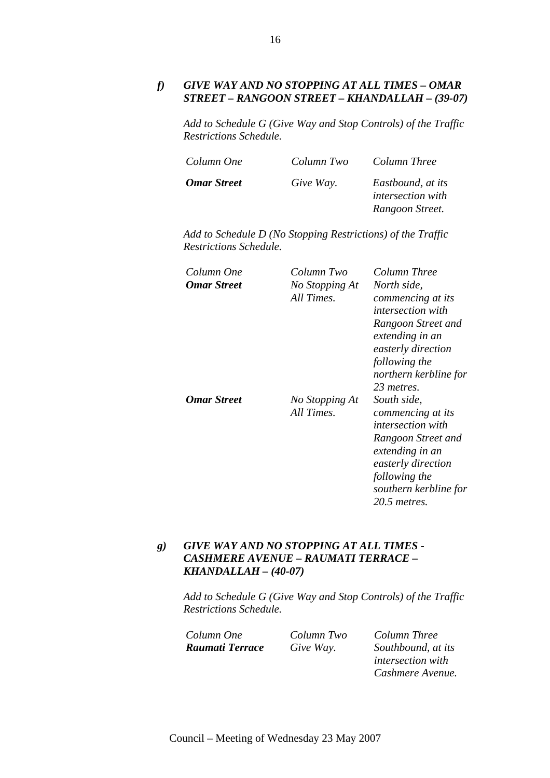# *f) GIVE WAY AND NO STOPPING AT ALL TIMES – OMAR STREET – RANGOON STREET – KHANDALLAH – (39-07)*

*Add to Schedule G (Give Way and Stop Controls) of the Traffic Restrictions Schedule.* 

| Column One         | Column Two | Column Three                                                     |
|--------------------|------------|------------------------------------------------------------------|
| <b>Omar Street</b> | Give Way.  | Eastbound, at its<br><i>intersection with</i><br>Rangoon Street. |

*Add to Schedule D (No Stopping Restrictions) of the Traffic Restrictions Schedule.* 

| Column One<br><b>Omar Street</b> | Column Two<br>No Stopping At<br>All Times. | Column Three<br>North side,<br>commencing at its<br><i>intersection with</i><br>Rangoon Street and<br>extending in an<br>easterly direction<br>following the<br>northern kerbline for               |
|----------------------------------|--------------------------------------------|-----------------------------------------------------------------------------------------------------------------------------------------------------------------------------------------------------|
| Omar Street                      | No Stopping At<br>All Times.               | 23 metres.<br>South side.<br>commencing at its<br><i>intersection with</i><br>Rangoon Street and<br>extending in an<br>easterly direction<br>following the<br>southern kerbline for<br>20.5 metres. |

# *g) GIVE WAY AND NO STOPPING AT ALL TIMES - CASHMERE AVENUE – RAUMATI TERRACE – KHANDALLAH – (40-07)*

*Add to Schedule G (Give Way and Stop Controls) of the Traffic Restrictions Schedule.* 

*Column One Column Two Column Three Raumati Terrace Give Way. Southbound, at its intersection with Cashmere Avenue.*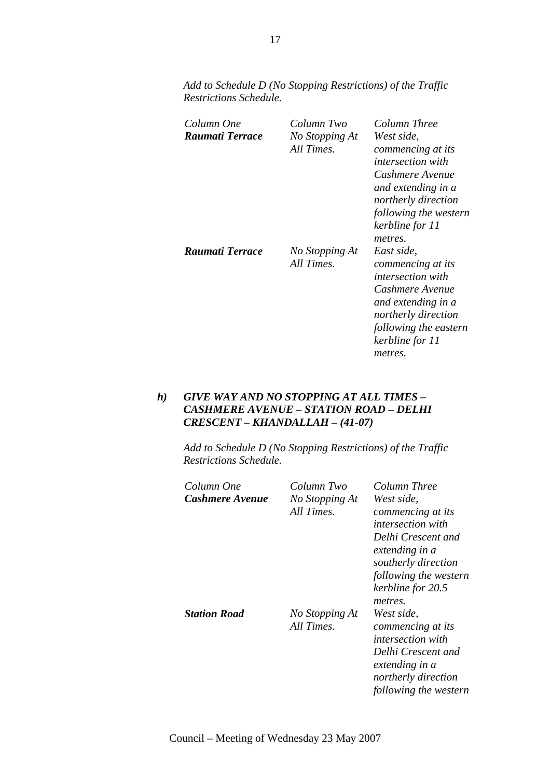| Add to Schedule D (No Stopping Restrictions) of the Traffic |  |  |
|-------------------------------------------------------------|--|--|
| Restrictions Schedule.                                      |  |  |

| Column One<br>Raumati Terrace | Column Two<br>No Stopping At<br>All Times. | Column Three<br>West side,<br>commencing at its              |
|-------------------------------|--------------------------------------------|--------------------------------------------------------------|
|                               |                                            | <i>intersection with</i>                                     |
|                               |                                            | Cashmere Avenue<br>and extending in a<br>northerly direction |
|                               |                                            | following the western<br>kerbline for 11                     |
| Raumati Terrace               | No Stopping At                             | metres.<br>East side,                                        |
|                               | All Times.                                 | commencing at its<br><i>intersection with</i>                |
|                               |                                            | Cashmere Avenue<br>and extending in a                        |
|                               |                                            | northerly direction                                          |
|                               |                                            | following the eastern                                        |
|                               |                                            | kerbline for 11                                              |
|                               |                                            | metres.                                                      |

# *h) GIVE WAY AND NO STOPPING AT ALL TIMES – CASHMERE AVENUE – STATION ROAD – DELHI CRESCENT – KHANDALLAH – (41-07)*

| Column One          | Column Two                   | Column Three                                                                                                                                                                        |
|---------------------|------------------------------|-------------------------------------------------------------------------------------------------------------------------------------------------------------------------------------|
| Cashmere Avenue     | No Stopping At<br>All Times. | West side,<br>commencing at its<br><i>intersection with</i><br>Delhi Crescent and<br>extending in a<br>southerly direction<br>following the western<br>kerbline for 20.5<br>metres. |
| <b>Station Road</b> | No Stopping At<br>All Times. | West side,<br>commencing at its<br><i>intersection with</i><br>Delhi Crescent and<br>extending in a<br>northerly direction<br>following the western                                 |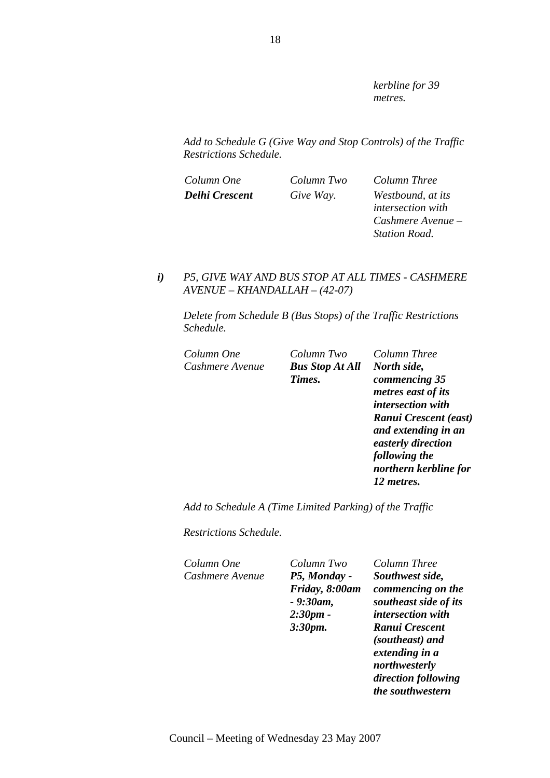*kerbline for 39 metres.* 

*Add to Schedule G (Give Way and Stop Controls) of the Traffic Restrictions Schedule.* 

*Column One Column Two Column Three Delhi Crescent Give Way. Westbound, at its intersection with Cashmere Avenue – Station Road.* 

# *i) P5, GIVE WAY AND BUS STOP AT ALL TIMES - CASHMERE AVENUE – KHANDALLAH – (42-07)*

*Delete from Schedule B (Bus Stops) of the Traffic Restrictions Schedule.* 

| Column One      | Column Two             | Column Three             |
|-----------------|------------------------|--------------------------|
| Cashmere Avenue | <b>Bus Stop At All</b> | North side,              |
|                 | Times.                 | commencing 35            |
|                 |                        | metres east of its       |
|                 |                        | <i>intersection with</i> |
|                 |                        | Ranui Crescent (east)    |
|                 |                        | and extending in an      |
|                 |                        | easterly direction       |
|                 |                        | following the            |
|                 |                        | northern kerbline for    |
|                 |                        | 12 metres.               |
|                 |                        |                          |

*Add to Schedule A (Time Limited Parking) of the Traffic* 

*Restrictions Schedule.* 

*Cashmere Avenue P5, Monday -* 

*Column One Column Two Column Three Friday, 8:00am - 9:30am, 2:30pm - 3:30pm.* 

*Southwest side, commencing on the southeast side of its intersection with Ranui Crescent (southeast) and extending in a northwesterly direction following the southwestern*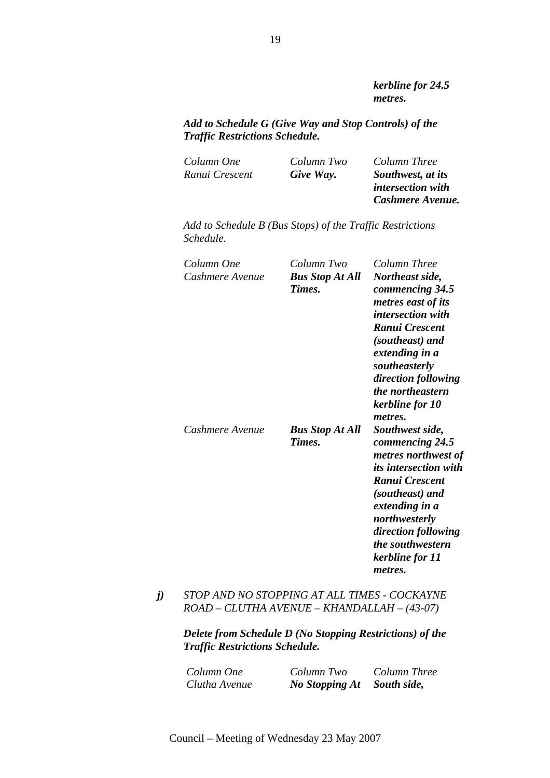*kerbline for 24.5 metres.* 

*Add to Schedule G (Give Way and Stop Controls) of the Traffic Restrictions Schedule.* 

| Column One     | Column Two | Column Three             |
|----------------|------------|--------------------------|
| Ranui Crescent | Give Way.  | Southwest, at its        |
|                |            | <i>intersection with</i> |
|                |            | Cashmere Avenue.         |

*Add to Schedule B (Bus Stops) of the Traffic Restrictions Schedule.* 

| Column One<br>Cashmere Avenue | Column Two<br><b>Bus Stop At All</b><br>Times. | Column Three<br>Northeast side,<br>commencing 34.5<br>metres east of its<br><i>intersection with</i><br>Ranui Crescent<br>(southeast) and<br>extending in a<br>southeasterly<br>direction following<br>the northeastern<br>kerbline for 10<br>metres. |
|-------------------------------|------------------------------------------------|-------------------------------------------------------------------------------------------------------------------------------------------------------------------------------------------------------------------------------------------------------|
| Cashmere Avenue               | <b>Bus Stop At All</b><br>Times.               | Southwest side,<br>commencing 24.5<br>metres northwest of<br><i>its intersection with</i><br>Ranui Crescent<br>(southeast) and<br>extending in a<br>northwesterly<br>direction following<br>the southwestern<br>kerbline for 11<br>metres.            |

# *j) STOP AND NO STOPPING AT ALL TIMES - COCKAYNE ROAD – CLUTHA AVENUE – KHANDALLAH – (43-07)*

| Column One    | Column Two            | Column Three |
|---------------|-----------------------|--------------|
| Clutha Avenue | <b>No Stopping At</b> | South side,  |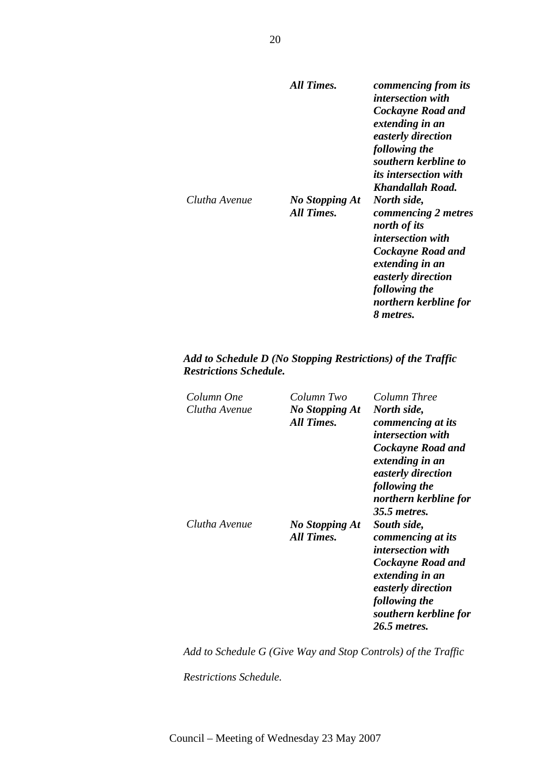|               | All Times.                          | commencing from its<br><i>intersection with</i><br>Cockayne Road and<br>extending in an<br>easterly direction<br>following the<br>southern kerbline to<br><i>its intersection with</i><br>Khandallah Road. |
|---------------|-------------------------------------|------------------------------------------------------------------------------------------------------------------------------------------------------------------------------------------------------------|
| Clutha Avenue | <b>No Stopping At</b><br>All Times. | North side,<br>commencing 2 metres<br>north of its<br><i>intersection with</i><br>Cockayne Road and<br>extending in an<br>easterly direction<br>following the<br>northern kerbline for<br>8 metres.        |

# *Add to Schedule D (No Stopping Restrictions) of the Traffic Restrictions Schedule.*

| Column One<br>Clutha Avenue | Column Two<br><b>No Stopping At</b><br>All Times. | Column Three<br>North side,<br>commencing at its<br><i>intersection with</i><br>Cockayne Road and<br>extending in an<br>easterly direction<br>following the<br>northern kerbline for          |
|-----------------------------|---------------------------------------------------|-----------------------------------------------------------------------------------------------------------------------------------------------------------------------------------------------|
| Clutha Avenue               | <b>No Stopping At</b><br>All Times.               | 35.5 metres.<br>South side,<br>commencing at its<br>intersection with<br>Cockayne Road and<br>extending in an<br>easterly direction<br>following the<br>southern kerbline for<br>26.5 metres. |

*Add to Schedule G (Give Way and Stop Controls) of the Traffic* 

*Restrictions Schedule.*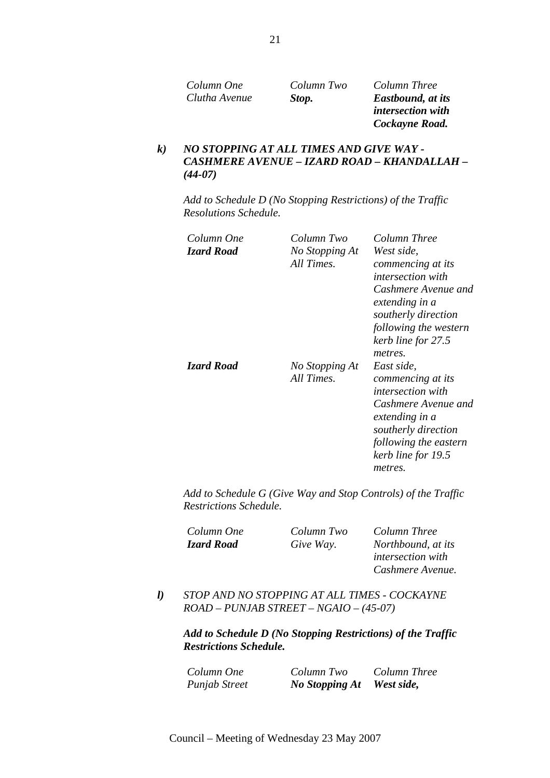| Column One    | Column Two | Column Three              |
|---------------|------------|---------------------------|
| Clutha Avenue | Stop.      | <b>Eastbound</b> , at its |
|               |            | <i>intersection with</i>  |

*intersection with Cockayne Road.* 

*Cashmere Avenue.* 

# *k) NO STOPPING AT ALL TIMES AND GIVE WAY - CASHMERE AVENUE – IZARD ROAD – KHANDALLAH – (44-07)*

*Add to Schedule D (No Stopping Restrictions) of the Traffic Resolutions Schedule.* 

| Column One<br><b>Izard Road</b> | Column Two<br>No Stopping At<br>All Times. | Column Three<br>West side.<br>commencing at its<br><i>intersection with</i><br>Cashmere Avenue and<br>extending in a<br>southerly direction<br>following the western<br>kerb line for 27.5       |
|---------------------------------|--------------------------------------------|--------------------------------------------------------------------------------------------------------------------------------------------------------------------------------------------------|
| <b>Izard Road</b>               | No Stopping At<br>All Times.               | metres.<br>East side,<br>commencing at its<br><i>intersection with</i><br>Cashmere Avenue and<br>extending in a<br>southerly direction<br>following the eastern<br>kerb line for 19.5<br>metres. |

*Add to Schedule G (Give Way and Stop Controls) of the Traffic Restrictions Schedule.* 

| Column One | Column Two | Column Three             |
|------------|------------|--------------------------|
| Izard Road | Give Way.  | Northbound, at its       |
|            |            | <i>intersection with</i> |

*l) STOP AND NO STOPPING AT ALL TIMES - COCKAYNE ROAD – PUNJAB STREET – NGAIO – (45-07)* 

| Column One           | Column Two            | Column Three |
|----------------------|-----------------------|--------------|
| <b>Punjab Street</b> | <b>No Stopping At</b> | West side,   |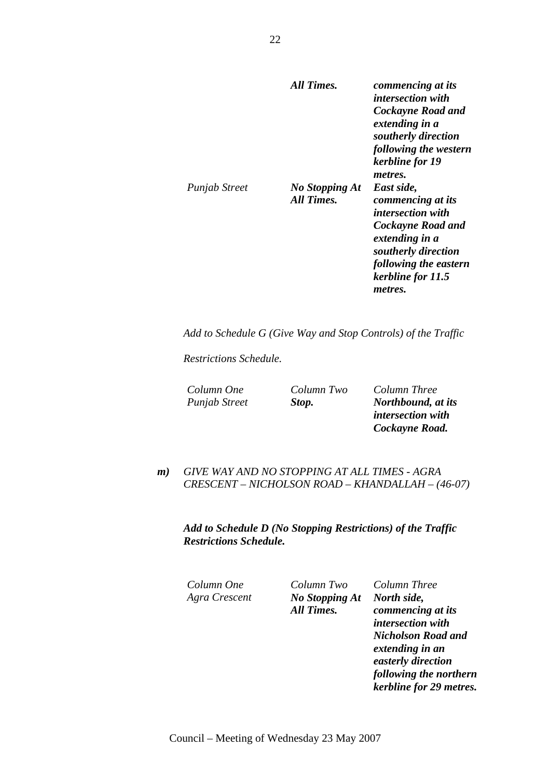|               | All Times.                          | commencing at its<br><i>intersection with</i><br>Cockayne Road and<br>extending in a<br>southerly direction<br>following the western<br>kerbline for 19<br>metres.                 |
|---------------|-------------------------------------|------------------------------------------------------------------------------------------------------------------------------------------------------------------------------------|
| Punjab Street | <b>No Stopping At</b><br>All Times. | East side,<br>commencing at its<br><i>intersection with</i><br>Cockayne Road and<br>extending in a<br>southerly direction<br>following the eastern<br>kerbline for 11.5<br>metres. |

*Add to Schedule G (Give Way and Stop Controls) of the Traffic* 

*Restrictions Schedule.* 

*Column One Column Two Column Three Punjab Street Stop. Northbound, at its intersection with Cockayne Road.* 

*m) GIVE WAY AND NO STOPPING AT ALL TIMES - AGRA CRESCENT – NICHOLSON ROAD – KHANDALLAH – (46-07)* 

*Add to Schedule D (No Stopping Restrictions) of the Traffic Restrictions Schedule.* 

*Column One Column Two Column Three Agra Crescent No Stopping At All Times.* 

*North side, commencing at its intersection with Nicholson Road and extending in an easterly direction following the northern kerbline for 29 metres.*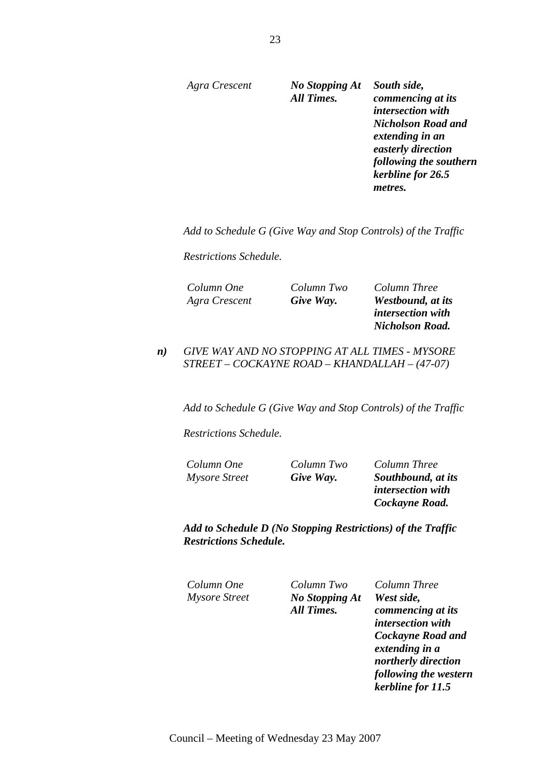*Agra Crescent No Stopping At* 

*All Times. South side, commencing at its intersection with Nicholson Road and extending in an easterly direction following the southern kerbline for 26.5 metres.* 

*Add to Schedule G (Give Way and Stop Controls) of the Traffic* 

*Restrictions Schedule.* 

*Column One Column Two Column Three Agra Crescent Give Way. Westbound, at its intersection with Nicholson Road.* 

*n) GIVE WAY AND NO STOPPING AT ALL TIMES - MYSORE STREET – COCKAYNE ROAD – KHANDALLAH – (47-07)* 

*Add to Schedule G (Give Way and Stop Controls) of the Traffic* 

*Restrictions Schedule.* 

*Column One Column Two Column Three Mysore Street Give Way. Southbound, at its intersection with Cockayne Road.* 

*Add to Schedule D (No Stopping Restrictions) of the Traffic Restrictions Schedule.* 

*Column One Column Two Column Three Mysore Street No Stopping At All Times.* 

*West side, commencing at its intersection with Cockayne Road and extending in a northerly direction following the western kerbline for 11.5*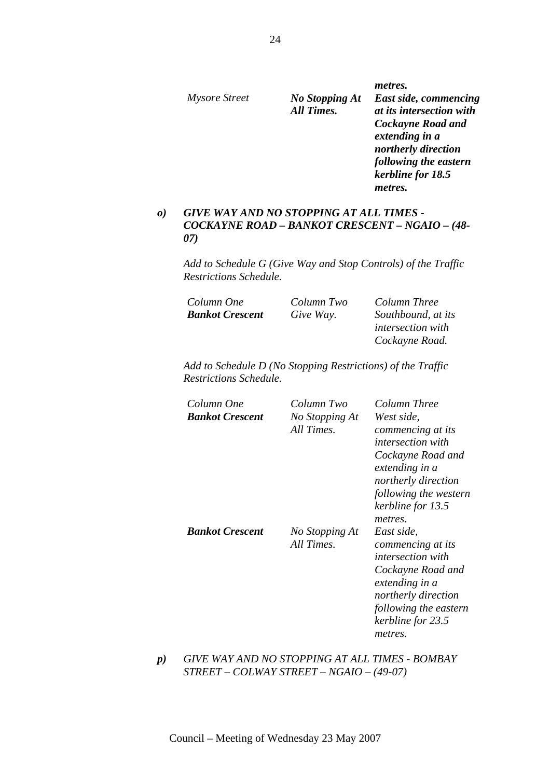| <i>Mysore Street</i> | <b>No Stopping At</b><br><b>All Times.</b> | metres.<br>East side, commencing<br>at its intersection with<br><b>Cockayne Road and</b><br>extending in a<br>northerly direction<br>following the eastern |
|----------------------|--------------------------------------------|------------------------------------------------------------------------------------------------------------------------------------------------------------|
|                      |                                            | kerbline for 18.5<br>metres.                                                                                                                               |
|                      |                                            |                                                                                                                                                            |

# *o) GIVE WAY AND NO STOPPING AT ALL TIMES - COCKAYNE ROAD – BANKOT CRESCENT – NGAIO – (48- 07)*

*Add to Schedule G (Give Way and Stop Controls) of the Traffic Restrictions Schedule.* 

| Column One             | Column Two | Column Three             |
|------------------------|------------|--------------------------|
| <b>Bankot Crescent</b> | Give Way.  | Southbound, at its       |
|                        |            | <i>intersection with</i> |
|                        |            | Cockayne Road.           |

*Add to Schedule D (No Stopping Restrictions) of the Traffic Restrictions Schedule.* 

| Column One<br><b>Bankot Crescent</b> | Column Two<br>No Stopping At<br>All Times. | Column Three<br>West side,<br>commencing at its<br><i>intersection with</i><br>Cockayne Road and<br>extending in a<br>northerly direction<br>following the western<br>kerbline for 13.5<br>metres. |
|--------------------------------------|--------------------------------------------|----------------------------------------------------------------------------------------------------------------------------------------------------------------------------------------------------|
| <b>Bankot Crescent</b>               | No Stopping At<br>All Times.               | East side,<br>commencing at its<br><i>intersection with</i><br>Cockayne Road and<br>extending in a<br>northerly direction<br>following the eastern<br>kerbline for 23.5<br>metres.                 |

*p) GIVE WAY AND NO STOPPING AT ALL TIMES - BOMBAY STREET – COLWAY STREET – NGAIO – (49-07)*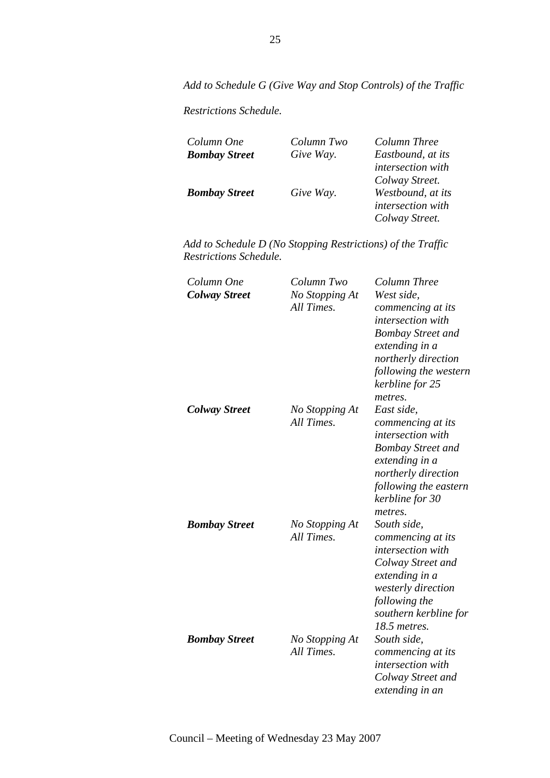*Add to Schedule G (Give Way and Stop Controls) of the Traffic* 

*Restrictions Schedule.* 

| Column One           | Column Two | Column Three      |
|----------------------|------------|-------------------|
| <b>Bombay Street</b> | Give Way.  | Eastbound, at its |
|                      |            | intersection with |
|                      |            | Colway Street.    |
| <b>Bombay Street</b> | Give Way.  | Westbound, at its |
|                      |            | intersection with |
|                      |            | Colway Street.    |

| Column One<br><b>Colway Street</b> | Column Two<br>No Stopping At<br>All Times. | Column Three<br>West side,<br>commencing at its<br><i>intersection with</i><br><b>Bombay Street and</b><br>extending in a<br>northerly direction<br>following the western<br>kerbline for 25<br>metres. |
|------------------------------------|--------------------------------------------|---------------------------------------------------------------------------------------------------------------------------------------------------------------------------------------------------------|
| <b>Colway Street</b>               | No Stopping At<br>All Times.               | East side,<br>commencing at its<br><i>intersection with</i><br><b>Bombay Street and</b><br>extending in a<br>northerly direction<br>following the eastern<br>kerbline for 30<br>metres.                 |
| <b>Bombay Street</b>               | No Stopping At<br>All Times.               | South side,<br>commencing at its<br>intersection with<br>Colway Street and<br>extending in a<br>westerly direction<br>following the<br>southern kerbline for<br>18.5 metres.                            |
| <b>Bombay Street</b>               | No Stopping At<br>All Times.               | South side,<br>commencing at its<br><i>intersection with</i><br>Colway Street and<br>extending in an                                                                                                    |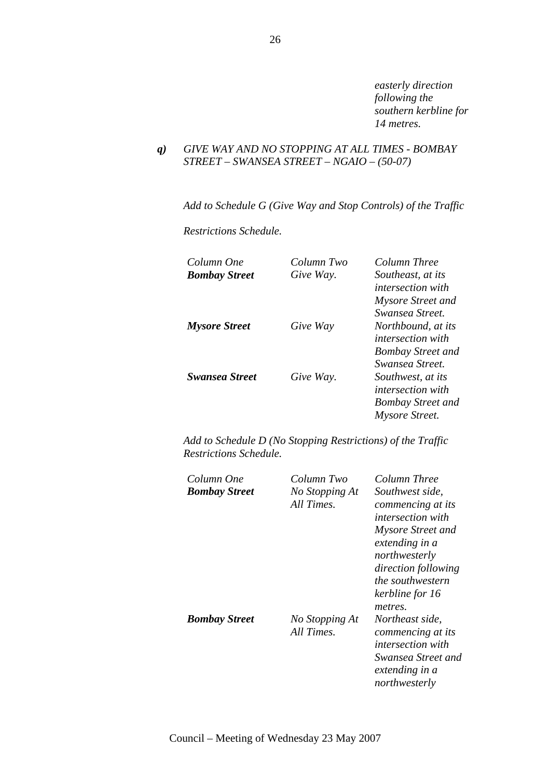*easterly direction following the southern kerbline for 14 metres.* 

# *q) GIVE WAY AND NO STOPPING AT ALL TIMES - BOMBAY STREET – SWANSEA STREET – NGAIO – (50-07)*

*Add to Schedule G (Give Way and Stop Controls) of the Traffic* 

*Restrictions Schedule.* 

| Column One            | Column Two | Column Three             |
|-----------------------|------------|--------------------------|
| <b>Bombay Street</b>  | Give Way.  | Southeast, at its        |
|                       |            | <i>intersection with</i> |
|                       |            | Mysore Street and        |
|                       |            | Swansea Street.          |
| <b>Mysore Street</b>  | Give Way   | Northbound, at its       |
|                       |            | <i>intersection with</i> |
|                       |            | <b>Bombay Street and</b> |
|                       |            | Swansea Street.          |
| <b>Swansea Street</b> | Give Way.  | Southwest, at its        |
|                       |            | <i>intersection with</i> |
|                       |            | <b>Bombay Street and</b> |
|                       |            | Mysore Street.           |

| Column One<br><b>Bombay Street</b> | Column Two<br>No Stopping At<br>All Times. | Column Three<br>Southwest side,<br>commencing at its<br><i>intersection with</i><br>Mysore Street and<br>extending in a<br>northwesterly<br>direction following<br><i>the southwestern</i><br>kerbline for 16<br>metres. |
|------------------------------------|--------------------------------------------|--------------------------------------------------------------------------------------------------------------------------------------------------------------------------------------------------------------------------|
| <b>Bombay Street</b>               | No Stopping At<br>All Times.               | Northeast side,<br>commencing at its<br><i>intersection with</i><br>Swansea Street and<br>extending in a<br>northwesterly                                                                                                |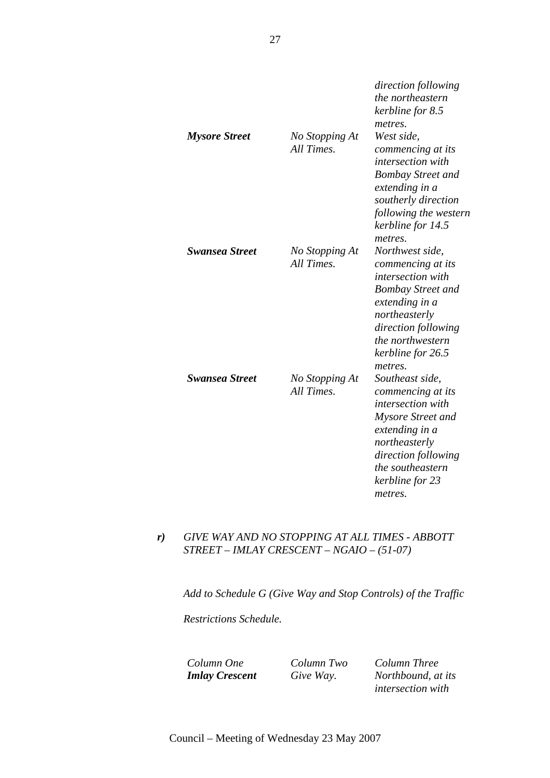|                       |                              | direction following<br>the northeastern<br>kerbline for 8.5<br>metres.                                                                                                                                     |
|-----------------------|------------------------------|------------------------------------------------------------------------------------------------------------------------------------------------------------------------------------------------------------|
| <b>Mysore Street</b>  | No Stopping At<br>All Times. | West side,<br>commencing at its<br>intersection with<br><b>Bombay Street and</b><br>extending in a<br>southerly direction<br>following the western<br>kerbline for 14.5<br>metres.                         |
| <b>Swansea Street</b> | No Stopping At<br>All Times. | Northwest side,<br>commencing at its<br><i>intersection with</i><br><b>Bombay Street and</b><br>extending in a<br>northeasterly<br>direction following<br>the northwestern<br>kerbline for 26.5<br>metres. |
| <b>Swansea Street</b> | No Stopping At<br>All Times. | Southeast side,<br>commencing at its<br><i>intersection with</i><br>Mysore Street and<br>extending in a<br>northeasterly<br>direction following<br>the southeastern<br>kerbline for 23<br>metres.          |

# *r) GIVE WAY AND NO STOPPING AT ALL TIMES - ABBOTT STREET – IMLAY CRESCENT – NGAIO – (51-07)*

*Add to Schedule G (Give Way and Stop Controls) of the Traffic* 

*Restrictions Schedule.* 

*Column One Column Two Column Three Imlay Crescent Give Way. Northbound, at its intersection with*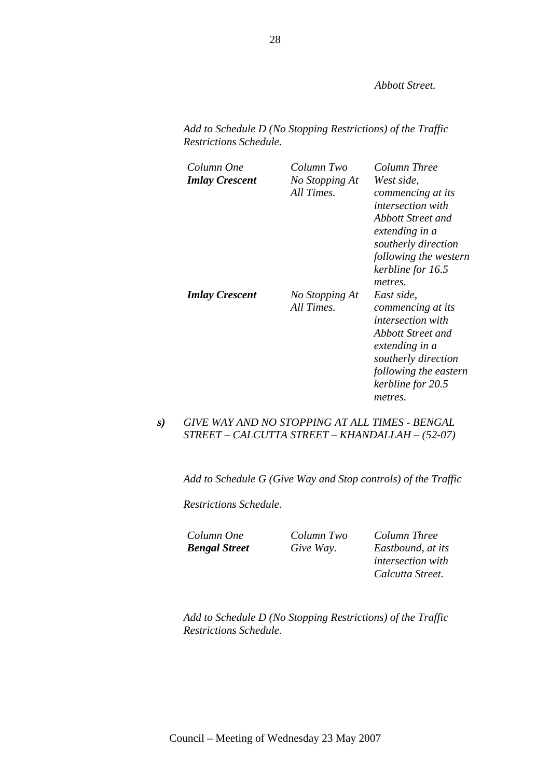*Abbott Street.* 

*Add to Schedule D (No Stopping Restrictions) of the Traffic Restrictions Schedule.* 

| Column One<br><b>Imlay Crescent</b> | Column Two<br>No Stopping At<br>All Times. | Column Three<br>West side,<br>commencing at its<br><i>intersection with</i><br>Abbott Street and<br>extending in a<br>southerly direction<br>following the western<br>kerbline for 16.5<br>metres. |
|-------------------------------------|--------------------------------------------|----------------------------------------------------------------------------------------------------------------------------------------------------------------------------------------------------|
| <b>Imlay Crescent</b>               | No Stopping At<br>All Times.               | East side,<br>commencing at its<br><i>intersection with</i><br>Abbott Street and<br>extending in a<br>southerly direction<br>following the eastern<br>kerbline for 20.5<br>metres.                 |

# *s) GIVE WAY AND NO STOPPING AT ALL TIMES - BENGAL STREET – CALCUTTA STREET – KHANDALLAH – (52-07)*

*Add to Schedule G (Give Way and Stop controls) of the Traffic* 

*Restrictions Schedule.* 

*Column One Column Two Column Three Bengal Street Give Way. Eastbound, at its intersection with Calcutta Street.*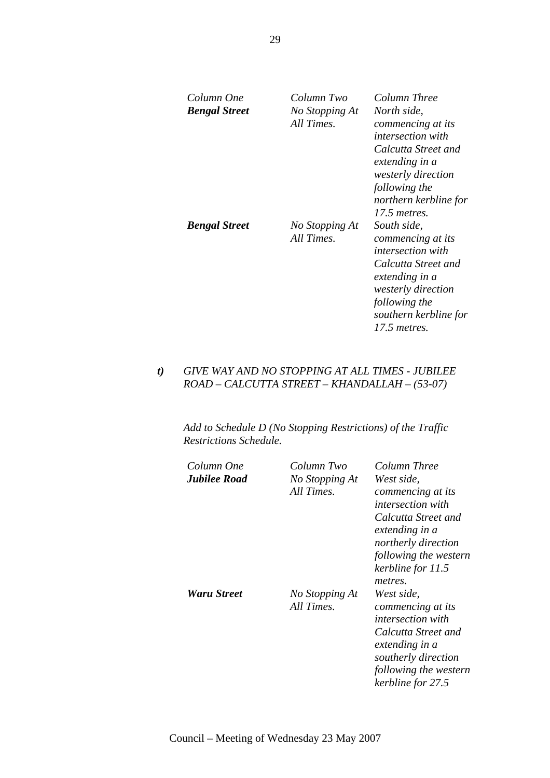| Column One<br><b>Bengal Street</b> | Column Two<br>No Stopping At<br>All Times. | Column Three<br>North side,<br>commencing at its<br><i>intersection with</i><br>Calcutta Street and<br>extending in a<br><i>westerly direction</i><br>following the<br>northern kerbline for<br>17.5 metres. |
|------------------------------------|--------------------------------------------|--------------------------------------------------------------------------------------------------------------------------------------------------------------------------------------------------------------|
| <b>Bengal Street</b>               | No Stopping At<br>All Times.               | South side,<br>commencing at its<br><i>intersection with</i><br>Calcutta Street and<br>extending in a<br><i>westerly direction</i><br>following the<br>southern kerbline for<br>17.5 metres.                 |

# *t) GIVE WAY AND NO STOPPING AT ALL TIMES - JUBILEE ROAD – CALCUTTA STREET – KHANDALLAH – (53-07)*

| Column One<br><b>Jubilee Road</b> | Column Two<br>No Stopping At<br>All Times. | Column Three<br>West side,<br>commencing at its<br><i>intersection with</i><br>Calcutta Street and<br>extending in a<br>northerly direction<br>following the western<br>kerbline for 11.5 |
|-----------------------------------|--------------------------------------------|-------------------------------------------------------------------------------------------------------------------------------------------------------------------------------------------|
| Waru Street                       | No Stopping At<br>All Times.               | metres.<br>West side,<br>commencing at its<br><i>intersection with</i><br>Calcutta Street and<br>extending in a<br>southerly direction<br>following the western<br>kerbline for 27.5      |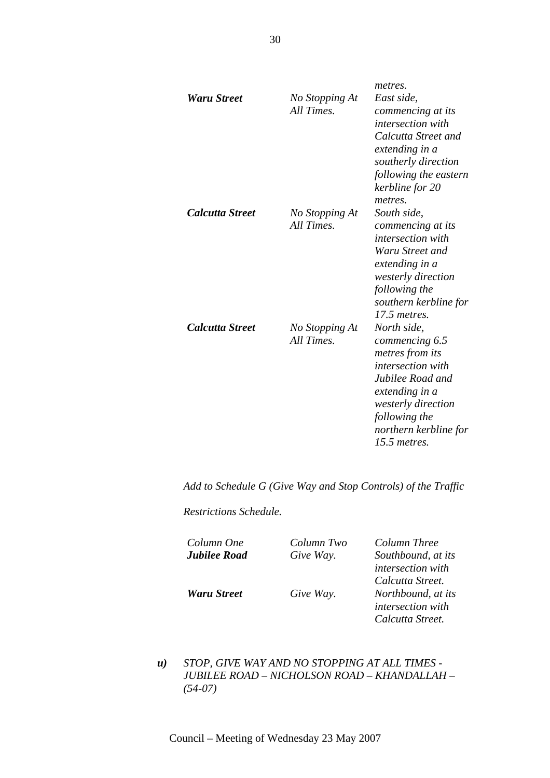|                        |                              | metres.                                                                                                                                                                                              |
|------------------------|------------------------------|------------------------------------------------------------------------------------------------------------------------------------------------------------------------------------------------------|
| <b>Waru Street</b>     | No Stopping At<br>All Times. | East side,<br>commencing at its<br><i>intersection with</i><br>Calcutta Street and<br>extending in a<br>southerly direction<br>following the eastern<br>kerbline for 20<br>metres.                   |
| <i>Calcutta Street</i> | No Stopping At<br>All Times. | South side,<br>commencing at its<br><i>intersection with</i><br>Waru Street and<br>extending in a<br>westerly direction<br>following the<br>southern kerbline for<br>17.5 metres.                    |
| <b>Calcutta Street</b> | No Stopping At<br>All Times. | North side,<br>commencing 6.5<br>metres from its<br><i>intersection with</i><br>Jubilee Road and<br>extending in a<br>westerly direction<br>following the<br>northern kerbline for<br>$15.5$ metres. |

*Add to Schedule G (Give Way and Stop Controls) of the Traffic* 

*Restrictions Schedule.* 

*Column One Column Two Column Three* 

*Jubilee Road Give Way. Southbound, at its intersection with Calcutta Street. Waru Street Give Way. Northbound, at its intersection with Calcutta Street.* 

*u) STOP, GIVE WAY AND NO STOPPING AT ALL TIMES - JUBILEE ROAD – NICHOLSON ROAD – KHANDALLAH – (54-07)*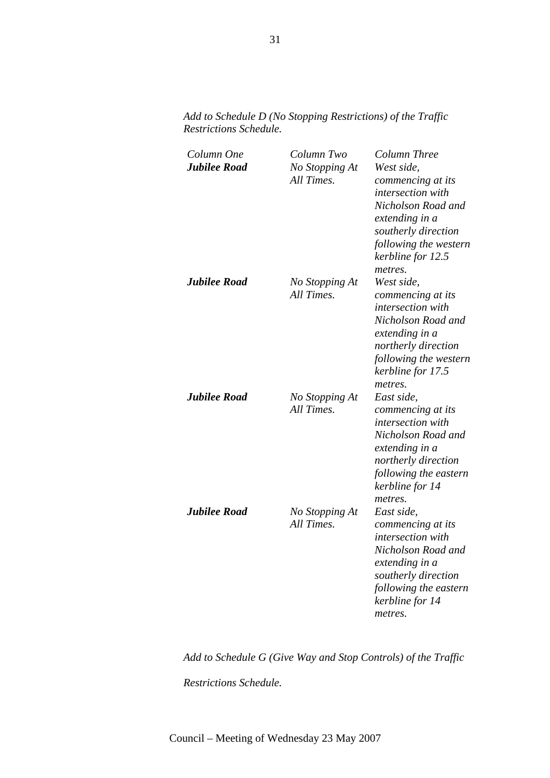*Column One Column Two Column Three Jubilee Road No Stopping At All Times. West side, commencing at its intersection with Nicholson Road and extending in a southerly direction following the western kerbline for 12.5 metres. Jubilee Road No Stopping At All Times. West side, commencing at its intersection with Nicholson Road and extending in a northerly direction following the western kerbline for 17.5 metres. Jubilee Road No Stopping At All Times. East side, commencing at its intersection with Nicholson Road and extending in a northerly direction following the eastern kerbline for 14 metres. Jubilee Road No Stopping At All Times. East side, commencing at its intersection with Nicholson Road and extending in a southerly direction following the eastern kerbline for 14 metres.* 

*Add to Schedule D (No Stopping Restrictions) of the Traffic Restrictions Schedule.* 

*Add to Schedule G (Give Way and Stop Controls) of the Traffic Restrictions Schedule.*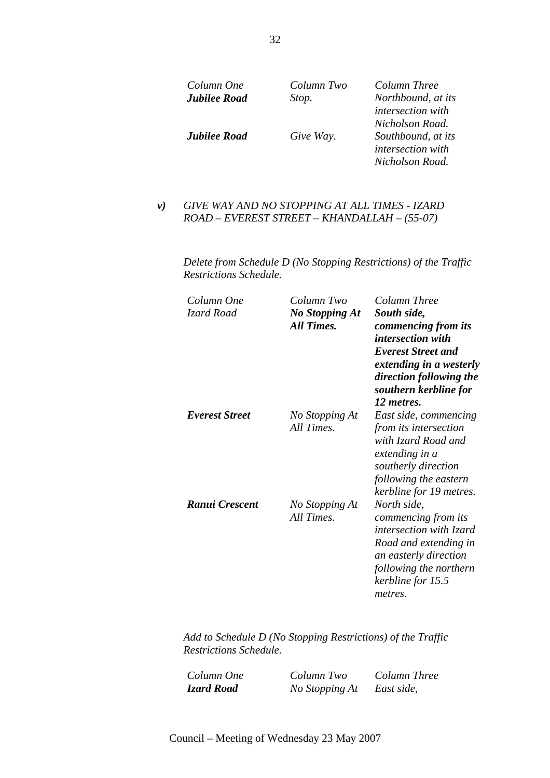| Column One          | Column Two | Column Three                                                                                              |
|---------------------|------------|-----------------------------------------------------------------------------------------------------------|
| <b>Jubilee Road</b> | Stop.      | Northbound, at its                                                                                        |
| <b>Jubilee Road</b> | Give Way.  | intersection with<br>Nicholson Road.<br>Southbound, at its<br><i>intersection with</i><br>Nicholson Road. |

# *v) GIVE WAY AND NO STOPPING AT ALL TIMES - IZARD ROAD – EVEREST STREET – KHANDALLAH – (55-07)*

*Delete from Schedule D (No Stopping Restrictions) of the Traffic Restrictions Schedule.* 

| Column One<br>Izard Road | Column Two<br><b>No Stopping At</b><br><b>All Times.</b> | Column Three<br>South side,<br>commencing from its<br>intersection with<br><b>Everest Street and</b><br>extending in a westerly<br>direction following the<br>southern kerbline for<br>12 metres. |
|--------------------------|----------------------------------------------------------|---------------------------------------------------------------------------------------------------------------------------------------------------------------------------------------------------|
| Everest Street           | No Stopping At<br>All Times.                             | East side, commencing<br>from its intersection<br>with Izard Road and<br>extending in a<br>southerly direction<br>following the eastern<br>kerbline for 19 metres.                                |
| Ranui Crescent           | No Stopping At<br>All Times.                             | North side,<br>commencing from its<br><i>intersection with Izard</i><br>Road and extending in<br>an easterly direction<br>following the northern<br>kerbline for 15.5<br>metres.                  |

*Add to Schedule D (No Stopping Restrictions) of the Traffic Restrictions Schedule.* 

*Column One Column Two Column Three Izard Road No Stopping At East side,*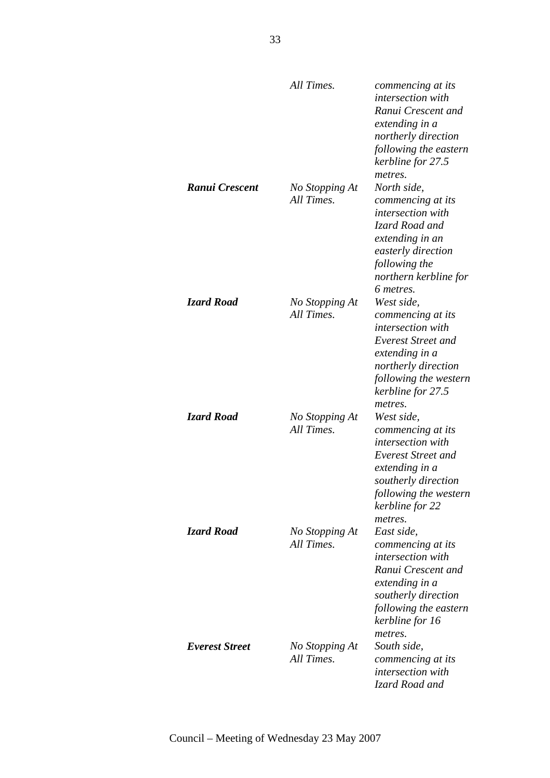|                   | All Times.                   | commencing at its<br>intersection with<br>Ranui Crescent and<br>extending in a<br>northerly direction<br>following the eastern<br>kerbline for 27.5                                |
|-------------------|------------------------------|------------------------------------------------------------------------------------------------------------------------------------------------------------------------------------|
| Ranui Crescent    | No Stopping At<br>All Times. | metres.<br>North side,<br>commencing at its<br>intersection with<br>Izard Road and<br>extending in an<br>easterly direction<br>following the<br>northern kerbline for<br>6 metres. |
| <b>Izard Road</b> | No Stopping At<br>All Times. | West side,<br>commencing at its<br>intersection with<br>Everest Street and<br>extending in a<br>northerly direction<br>following the western<br>kerbline for 27.5<br>metres.       |
| Izard Road        | No Stopping At<br>All Times. | West side,<br>commencing at its<br>intersection with<br>Everest Street and<br>extending in a<br>southerly direction<br>following the western<br>kerbline for 22<br>metres.         |
| Izard Road        | No Stopping At<br>All Times. | East side,<br>commencing at its<br><i>intersection with</i><br>Ranui Crescent and<br>extending in a<br>southerly direction<br>following the eastern<br>kerbline for 16<br>metres.  |
| Everest Street    | No Stopping At<br>All Times. | South side,<br>commencing at its<br>intersection with<br>Izard Road and                                                                                                            |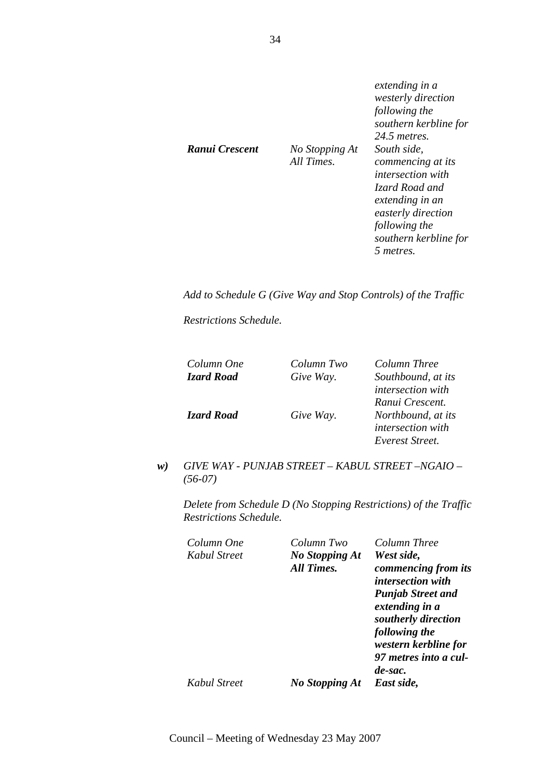|                |                              | extending in a<br>westerly direction<br>following the<br>southern kerbline for<br>24.5 metres.                          |
|----------------|------------------------------|-------------------------------------------------------------------------------------------------------------------------|
| Ranui Crescent | No Stopping At<br>All Times. | South side,<br>commencing at its<br><i>intersection with</i><br>Izard Road and<br>extending in an<br>easterly direction |
|                |                              | following the<br>southern kerbline for<br>5 metres.                                                                     |

*Add to Schedule G (Give Way and Stop Controls) of the Traffic* 

*Restrictions Schedule.* 

| Column One        | Column Two | Column Three             |
|-------------------|------------|--------------------------|
| <b>Izard Road</b> | Give Way.  | Southbound, at its       |
|                   |            | <i>intersection with</i> |
|                   |            | Ranui Crescent.          |
| <b>Izard Road</b> | Give Way.  | Northbound, at its       |
|                   |            | intersection with        |
|                   |            | Everest Street.          |

*w) GIVE WAY - PUNJAB STREET – KABUL STREET –NGAIO – (56-07)* 

| Column One<br>Kabul Street | Column Two<br><b>No Stopping At</b> | Column Three<br>West side,                               |
|----------------------------|-------------------------------------|----------------------------------------------------------|
|                            | All Times.                          | commencing from its<br><i>intersection with</i>          |
|                            |                                     | <b>Punjab Street and</b><br>extending in a               |
|                            |                                     | southerly direction<br>following the                     |
|                            |                                     | western kerbline for<br>97 metres into a cul-<br>de-sac. |
| Kabul Street               | No Stopping At                      | East side,                                               |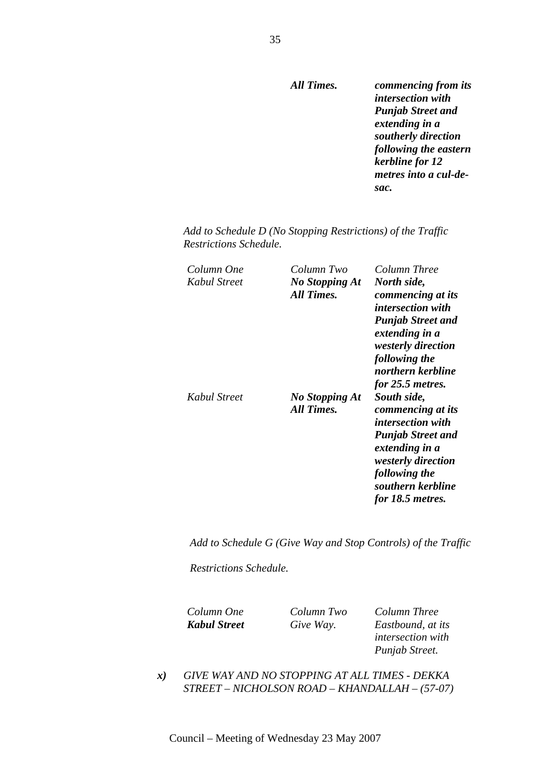*All Times. commencing from its intersection with Punjab Street and extending in a southerly direction following the eastern kerbline for 12 metres into a cul-desac.* 

| Add to Schedule D (No Stopping Restrictions) of the Traffic |  |
|-------------------------------------------------------------|--|
| Restrictions Schedule.                                      |  |

| Column One   | Column Two     | Column Three                                |
|--------------|----------------|---------------------------------------------|
| Kabul Street | No Stopping At | North side,                                 |
|              | All Times.     | commencing at its                           |
|              |                | <i>intersection with</i>                    |
|              |                | <b>Punjab Street and</b><br>extending in a  |
|              |                | <i>westerly direction</i>                   |
|              |                | following the                               |
|              |                | northern kerbline                           |
|              |                | for 25.5 metres.                            |
| Kabul Street | No Stopping At | South side,                                 |
|              | All Times.     | commencing at its                           |
|              |                | <i>intersection with</i>                    |
|              |                | <b>Punjab Street and</b>                    |
|              |                | extending in a<br><i>westerly direction</i> |
|              |                | following the                               |
|              |                | southern kerbline                           |
|              |                | for 18.5 metres.                            |

*Add to Schedule G (Give Way and Stop Controls) of the Traffic* 

*Restrictions Schedule.* 

*Column One Column Two Column Three* 

*Kabul Street Give Way. Eastbound, at its intersection with Punjab Street.* 

*x) GIVE WAY AND NO STOPPING AT ALL TIMES - DEKKA STREET – NICHOLSON ROAD – KHANDALLAH – (57-07)*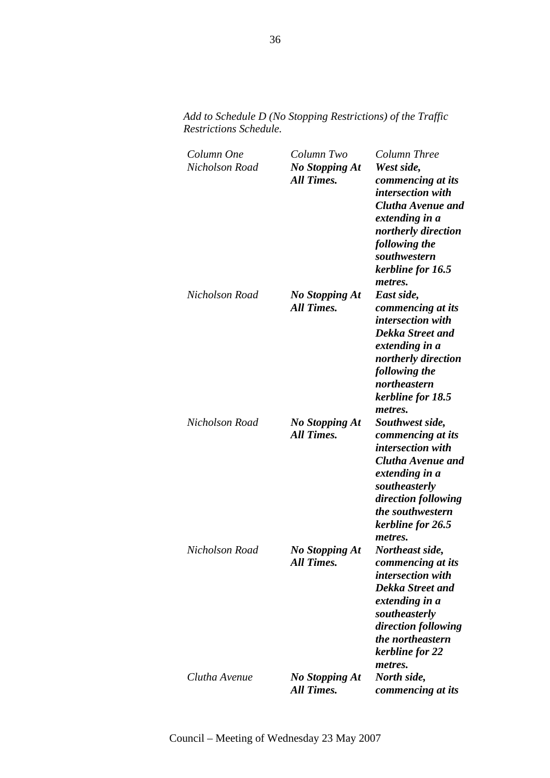| Column One<br>Nicholson Road | Column Two<br><b>No Stopping At</b><br><b>All Times.</b> | Column Three<br>West side,<br>commencing at its<br><i>intersection with</i><br>Clutha Avenue and<br>extending in a<br>northerly direction<br>following the<br>southwestern<br>kerbline for 16.5         |
|------------------------------|----------------------------------------------------------|---------------------------------------------------------------------------------------------------------------------------------------------------------------------------------------------------------|
| Nicholson Road               | <b>No Stopping At</b><br>All Times.                      | metres.<br>East side,<br>commencing at its<br>intersection with<br>Dekka Street and<br>extending in a<br>northerly direction<br>following the<br>northeastern<br>kerbline for 18.5<br>metres.           |
| Nicholson Road               | No Stopping At<br>All Times.                             | Southwest side,<br>commencing at its<br><i>intersection with</i><br>Clutha Avenue and<br>extending in a<br>southeasterly<br>direction following<br>the southwestern<br>kerbline for 26.5<br>metres.     |
| Nicholson Road               | <b>No Stopping At</b><br><b>All Times.</b>               | Northeast side,<br>commencing at its<br><i>intersection</i> with<br><b>Dekka Street and</b><br>extending in a<br>southeasterly<br>direction following<br>the northeastern<br>kerbline for 22<br>metres. |
| Clutha Avenue                | <b>No Stopping At</b><br><b>All Times.</b>               | North side,<br>commencing at its                                                                                                                                                                        |

*Add to Schedule D (No Stopping Restrictions) of the Traffic Restrictions Schedule.*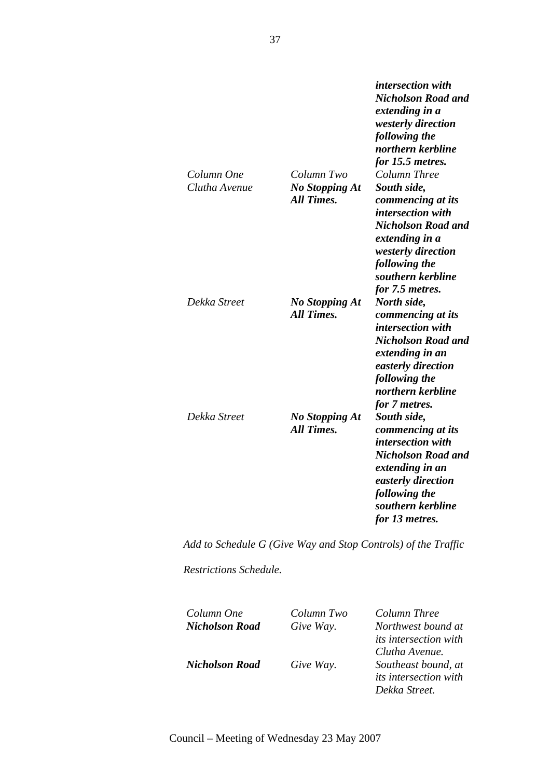| Column One<br>Clutha Avenue | Column Two<br><b>No Stopping At</b><br><b>All Times.</b> | <b>Nicholson Road and</b><br>extending in a<br><i>westerly direction</i><br>following the<br>northern kerbline<br>for 15.5 metres.<br>Column Three<br>South side,<br>commencing at its     |
|-----------------------------|----------------------------------------------------------|--------------------------------------------------------------------------------------------------------------------------------------------------------------------------------------------|
|                             |                                                          | intersection with<br><b>Nicholson Road and</b><br>extending in a<br>westerly direction<br>following the<br>southern kerbline<br>for 7.5 metres.                                            |
| Dekka Street                | <b>No Stopping At</b><br><b>All Times.</b>               | North side,<br>commencing at its<br>intersection with<br><b>Nicholson Road and</b><br>extending in an<br>easterly direction<br>following the<br>northern kerbline<br>for 7 metres.         |
| Dekka Street                | <b>No Stopping At</b><br><b>All Times.</b>               | South side,<br>commencing at its<br><i>intersection with</i><br><b>Nicholson Road and</b><br>extending in an<br>easterly direction<br>following the<br>southern kerbline<br>for 13 metres. |

*intersection with* 

*Add to Schedule G (Give Way and Stop Controls) of the Traffic* 

*Restrictions Schedule.* 

| Column One            | Column Two | Column Three                 |
|-----------------------|------------|------------------------------|
| <b>Nicholson Road</b> | Give Way.  | Northwest bound at           |
|                       |            | <i>its intersection with</i> |
|                       |            | Clutha Avenue.               |
| <b>Nicholson Road</b> | Give Way.  | Southeast bound, at          |
|                       |            | <i>its intersection with</i> |
|                       |            | Dekka Street.                |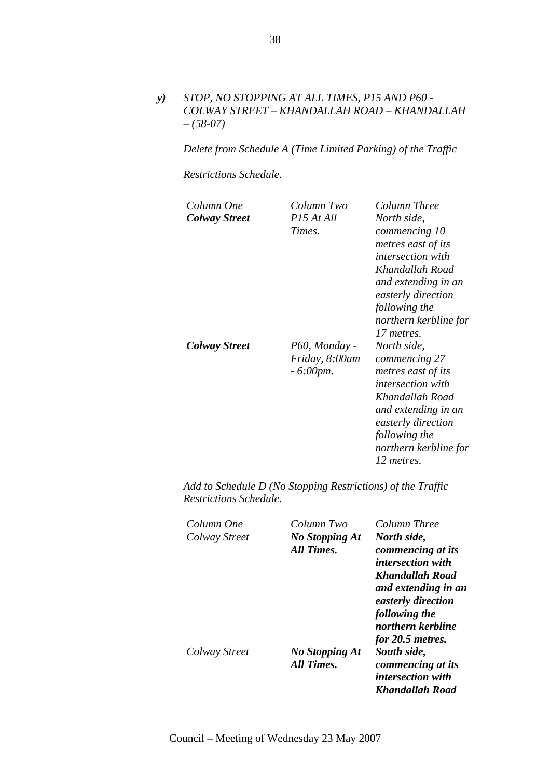*y) STOP, NO STOPPING AT ALL TIMES, P15 AND P60 - COLWAY STREET – KHANDALLAH ROAD – KHANDALLAH – (58-07)* 

*Delete from Schedule A (Time Limited Parking) of the Traffic* 

*Restrictions Schedule.* 

| Column One<br><b>Colway Street</b> | Column Two<br>P <sub>15</sub> At All<br>Times.        | Column Three<br>North side,<br>commencing 10<br>metres east of its<br><i>intersection with</i><br>Khandallah Road<br>and extending in an<br>easterly direction<br>following the<br>northern kerbline for<br>17 metres. |
|------------------------------------|-------------------------------------------------------|------------------------------------------------------------------------------------------------------------------------------------------------------------------------------------------------------------------------|
| Colway Street                      | P60, Monday -<br>Friday, 8:00am<br>$-6:00 \text{pm}.$ | North side,<br>commencing 27<br>metres east of its<br><i>intersection with</i><br>Khandallah Road<br>and extending in an<br>easterly direction<br>following the<br>northern kerbline for<br>12 metres.                 |

| Column One    | Column Two                          | Column Three                                                        |
|---------------|-------------------------------------|---------------------------------------------------------------------|
| Colway Street | <b>No Stopping At</b><br>All Times. | North side,<br>commencing at its                                    |
|               |                                     | <i>intersection with</i>                                            |
|               |                                     | <b>Khandallah Road</b><br>and extending in an<br>easterly direction |
|               |                                     | following the                                                       |
|               |                                     | northern kerbline                                                   |
|               |                                     | for 20.5 metres.                                                    |
| Colway Street | No Stopping At                      | South side,                                                         |
|               | All Times.                          | commencing at its                                                   |
|               |                                     | intersection with                                                   |
|               |                                     | Khandallah Road                                                     |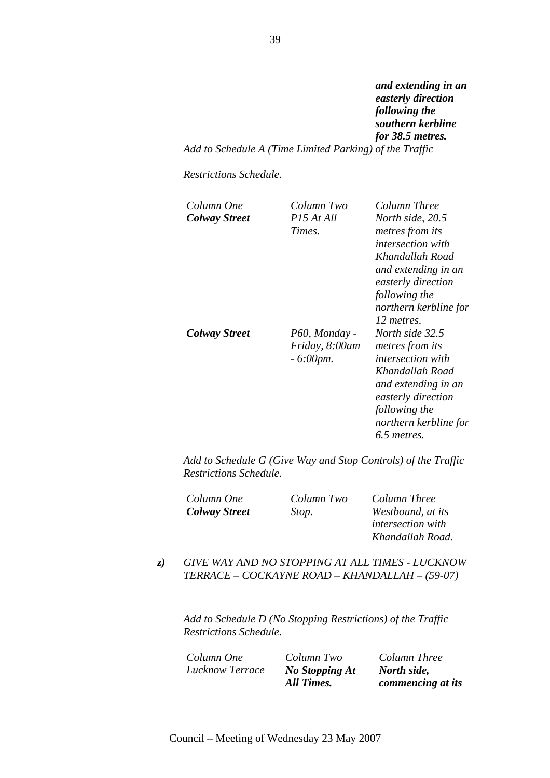*and extending in an easterly direction following the southern kerbline for 38.5 metres. Add to Schedule A (Time Limited Parking) of the Traffic* 

*Restrictions Schedule.* 

| Column One<br><b>Colway Street</b> | Column Two<br>$P15$ At All<br>Times.           | Column Three<br>North side, 20.5<br>metres from its<br><i>intersection with</i><br>Khandallah Road<br>and extending in an<br>easterly direction<br>following the<br>northern kerbline for<br>12 metres. |
|------------------------------------|------------------------------------------------|---------------------------------------------------------------------------------------------------------------------------------------------------------------------------------------------------------|
| <b>Colway Street</b>               | P60, Monday -<br>Friday, 8:00am<br>$-6:00$ pm. | North side 32.5<br><i>metres from its</i><br><i>intersection with</i><br>Khandallah Road<br>and extending in an<br>easterly direction<br>following the<br>northern kerbline for<br>6.5 metres.          |

*Add to Schedule G (Give Way and Stop Controls) of the Traffic Restrictions Schedule.* 

| Column One           | Column Two | Column Three             |
|----------------------|------------|--------------------------|
| <b>Colway Street</b> | Stop.      | Westbound, at its        |
|                      |            | <i>intersection with</i> |
|                      |            | Khandallah Road.         |

## *z) GIVE WAY AND NO STOPPING AT ALL TIMES - LUCKNOW TERRACE – COCKAYNE ROAD – KHANDALLAH – (59-07)*

*Add to Schedule D (No Stopping Restrictions) of the Traffic Restrictions Schedule.* 

*Column One Column Two Column Three Lucknow Terrace No Stopping At* 

*All Times.* 

*North side, commencing at its*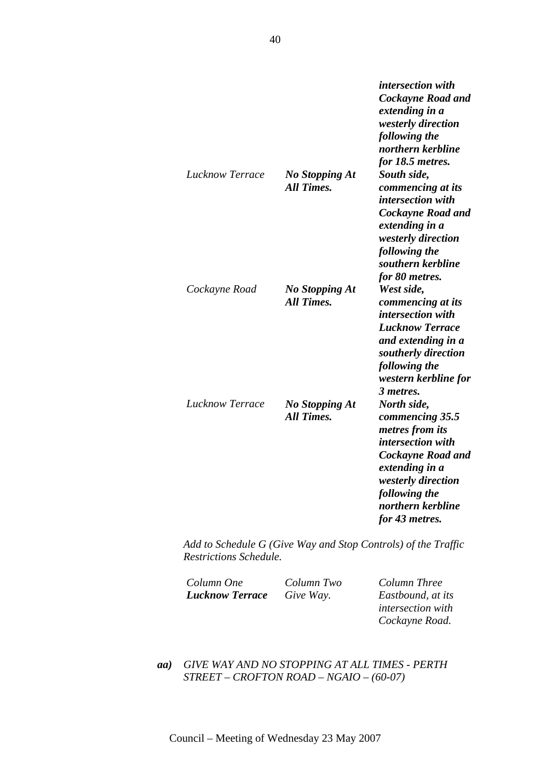|                        |                                            | intersection with<br>Cockayne Road and<br>extending in a<br>westerly direction<br>following the<br>northern kerbline<br>for 18.5 metres.                                                    |
|------------------------|--------------------------------------------|---------------------------------------------------------------------------------------------------------------------------------------------------------------------------------------------|
| <b>Lucknow Terrace</b> | <b>No Stopping At</b><br><b>All Times.</b> | South side,<br>commencing at its<br>intersection with<br>Cockayne Road and<br>extending in a<br>westerly direction<br>following the<br>southern kerbline<br>for 80 metres.                  |
| Cockayne Road          | <b>No Stopping At</b><br><b>All Times.</b> | West side,<br>commencing at its<br>intersection with<br><b>Lucknow Terrace</b><br>and extending in a<br>southerly direction<br>following the<br>western kerbline for<br>3 metres.           |
| <b>Lucknow Terrace</b> | <b>No Stopping At</b><br><b>All Times.</b> | North side,<br>commencing 35.5<br>metres from its<br>intersection with<br>Cockayne Road and<br>extending in a<br>westerly direction<br>following the<br>northern kerbline<br>for 43 metres. |

*Add to Schedule G (Give Way and Stop Controls) of the Traffic Restrictions Schedule.* 

| Column One             | Column Two | Column Three             |
|------------------------|------------|--------------------------|
| <b>Lucknow Terrace</b> | Give Way.  | Eastbound, at its        |
|                        |            | <i>intersection with</i> |
|                        |            | Cockayne Road.           |

*aa) GIVE WAY AND NO STOPPING AT ALL TIMES - PERTH STREET – CROFTON ROAD – NGAIO – (60-07)*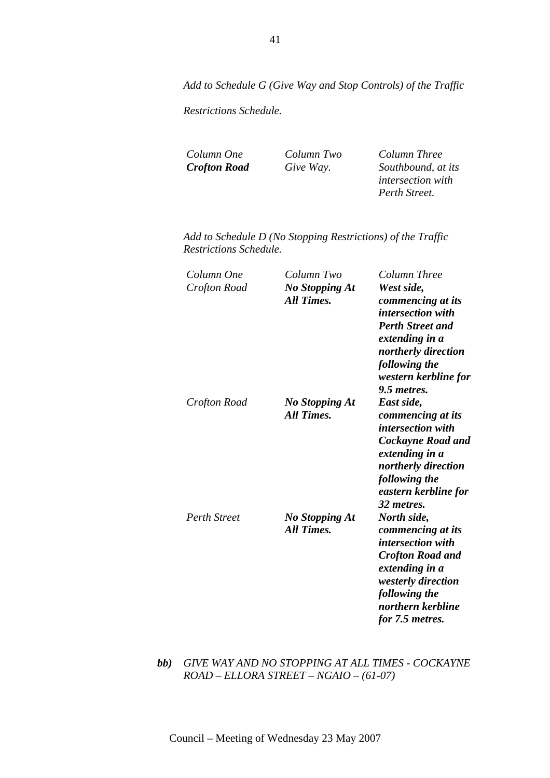*Add to Schedule G (Give Way and Stop Controls) of the Traffic* 

*Restrictions Schedule.* 

*Column One Column Two Column Three* 

*Crofton Road Give Way. Southbound, at its intersection with Perth Street.* 

*Add to Schedule D (No Stopping Restrictions) of the Traffic Restrictions Schedule.* 

| Column One<br>Crofton Road | Column Two<br><b>No Stopping At</b><br><b>All Times.</b> | Column Three<br>West side,<br>commencing at its<br>intersection with<br><b>Perth Street and</b><br>extending in a<br>northerly direction<br>following the<br>western kerbline for<br>9.5 metres. |
|----------------------------|----------------------------------------------------------|--------------------------------------------------------------------------------------------------------------------------------------------------------------------------------------------------|
| Crofton Road               | No Stopping At<br><b>All Times.</b>                      | East side,<br>commencing at its<br><i>intersection with</i><br><b>Cockayne Road and</b><br>extending in a<br>northerly direction<br>following the<br>eastern kerbline for<br>32 metres.          |
| <b>Perth Street</b>        | <b>No Stopping At</b><br><b>All Times.</b>               | North side,<br>commencing at its<br><i>intersection with</i><br><b>Crofton Road and</b><br>extending in a<br>westerly direction<br>following the<br>northern kerbline<br>for 7.5 metres.         |

*bb) GIVE WAY AND NO STOPPING AT ALL TIMES - COCKAYNE ROAD – ELLORA STREET – NGAIO – (61-07)*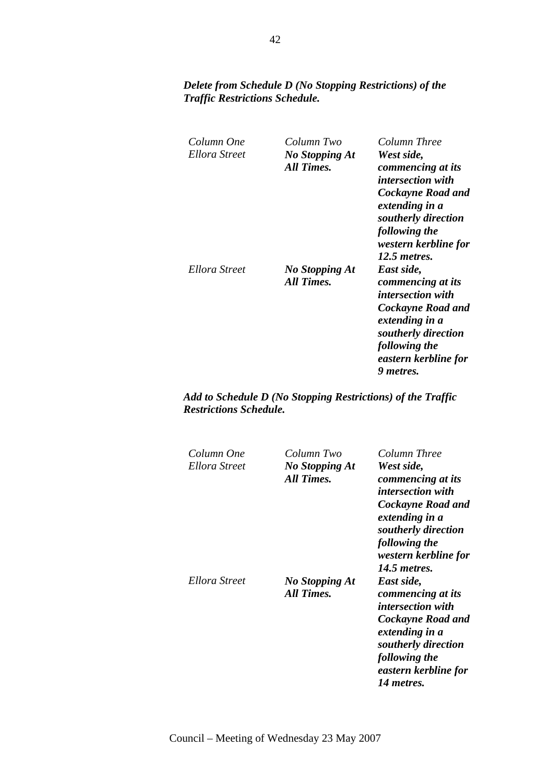# *Delete from Schedule D (No Stopping Restrictions) of the Traffic Restrictions Schedule.*

| Column One<br>Ellora Street | Column Two<br>No Stopping At<br>All Times. | Column Three<br>West side,<br>commencing at its<br><i>intersection with</i><br>Cockayne Road and<br>extending in a<br>southerly direction<br>following the<br>western kerbline for<br>12.5 metres. |
|-----------------------------|--------------------------------------------|----------------------------------------------------------------------------------------------------------------------------------------------------------------------------------------------------|
| Ellora Street               | <b>No Stopping At</b><br>All Times.        | East side,<br>commencing at its<br>intersection with<br><b>Cockayne Road and</b><br>extending in a<br>southerly direction<br>following the<br>eastern kerbline for<br>9 metres.                    |

| Column One<br>Ellora Street | Column Two<br><b>No Stopping At</b><br>All Times. | Column Three<br>West side,<br>commencing at its<br><i>intersection with</i><br><b>Cockayne Road and</b><br>extending in a<br>southerly direction<br>following the<br>western kerbline for<br>14.5 <i>metres</i> . |
|-----------------------------|---------------------------------------------------|-------------------------------------------------------------------------------------------------------------------------------------------------------------------------------------------------------------------|
| Ellora Street               | No Stopping At<br>All Times.                      | East side,<br>commencing at its<br><i>intersection with</i><br><b>Cockayne Road and</b><br>extending in a<br>southerly direction<br>following the<br>eastern kerbline for<br>14 metres.                           |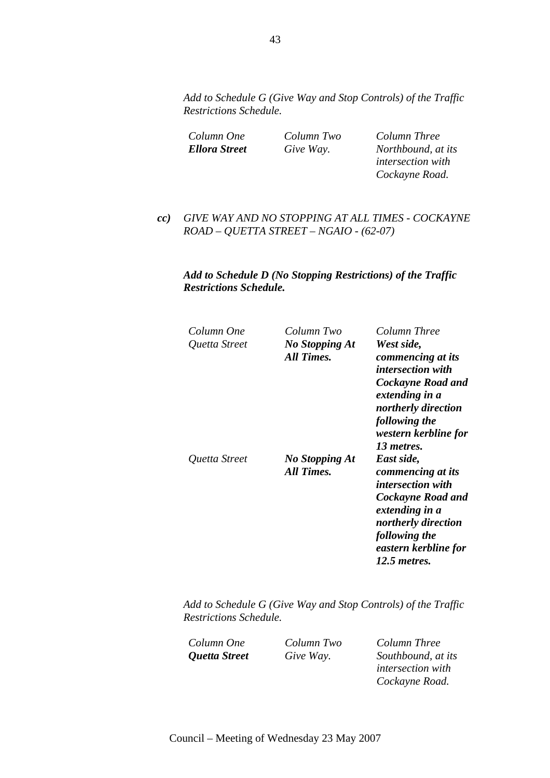*Add to Schedule G (Give Way and Stop Controls) of the Traffic Restrictions Schedule.* 

| Column One           |  |
|----------------------|--|
| <b>Ellora Street</b> |  |

*Column One Column Two Column Three Ellora Street Give Way. Northbound, at its intersection with Cockayne Road.* 

*cc) GIVE WAY AND NO STOPPING AT ALL TIMES - COCKAYNE ROAD – QUETTA STREET – NGAIO - (62-07)* 

### *Add to Schedule D (No Stopping Restrictions) of the Traffic Restrictions Schedule.*

| Column One    | Column Two            | Column Three                          |
|---------------|-----------------------|---------------------------------------|
| Quetta Street | <b>No Stopping At</b> | West side,                            |
|               | All Times.            | commencing at its                     |
|               |                       | <i>intersection with</i>              |
|               |                       | Cockayne Road and                     |
|               |                       | extending in a                        |
|               |                       | northerly direction                   |
|               |                       | following the<br>western kerbline for |
|               |                       | 13 metres.                            |
| Quetta Street | No Stopping At        | East side,                            |
|               | All Times.            | commencing at its                     |
|               |                       | <i>intersection with</i>              |
|               |                       | <b>Cockayne Road and</b>              |
|               |                       | extending in a                        |
|               |                       | northerly direction                   |
|               |                       | following the                         |
|               |                       | eastern kerbline for                  |
|               |                       | 12.5 metres.                          |
|               |                       |                                       |

*Add to Schedule G (Give Way and Stop Controls) of the Traffic Restrictions Schedule.* 

*Column One Column Two Column Three Quetta Street Give Way. Southbound, at its intersection with Cockayne Road.*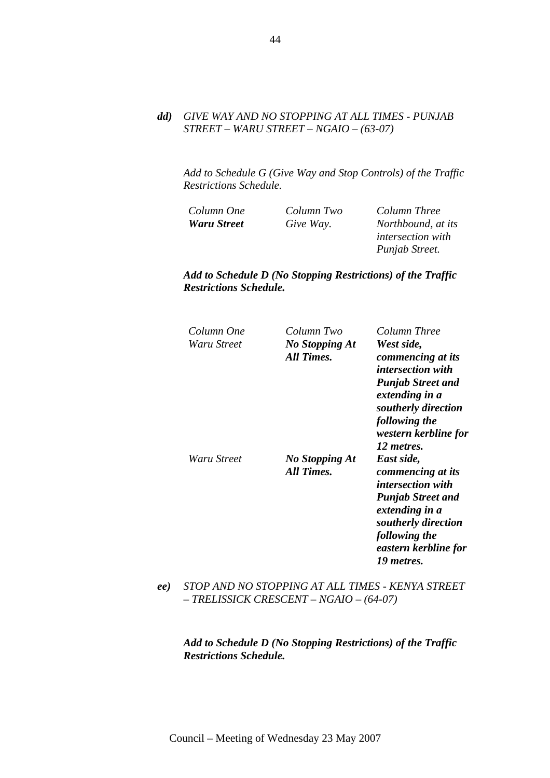### *dd) GIVE WAY AND NO STOPPING AT ALL TIMES - PUNJAB STREET – WARU STREET – NGAIO – (63-07)*

*Add to Schedule G (Give Way and Stop Controls) of the Traffic Restrictions Schedule.* 

| Column One         | Column Two | Column Three             |
|--------------------|------------|--------------------------|
| <b>Waru Street</b> | Give Way.  | Northbound, at its       |
|                    |            | <i>intersection with</i> |
|                    |            | Punjab Street.           |

*Add to Schedule D (No Stopping Restrictions) of the Traffic Restrictions Schedule.* 

| Column One<br>Waru Street | Column Two<br>No Stopping At<br>All Times. | Column Three<br>West side,<br>commencing at its<br><i>intersection with</i><br><b>Punjab Street and</b><br>extending in a<br>southerly direction<br>following the<br>western kerbline for<br>12 metres. |
|---------------------------|--------------------------------------------|---------------------------------------------------------------------------------------------------------------------------------------------------------------------------------------------------------|
| Waru Street               | No Stopping At<br><b>All Times.</b>        | East side,<br>commencing at its<br><i>intersection with</i><br><b>Punjab Street and</b><br>extending in a<br>southerly direction<br>following the<br>eastern kerbline for<br>19 metres.                 |

*ee) STOP AND NO STOPPING AT ALL TIMES - KENYA STREET – TRELISSICK CRESCENT – NGAIO – (64-07)*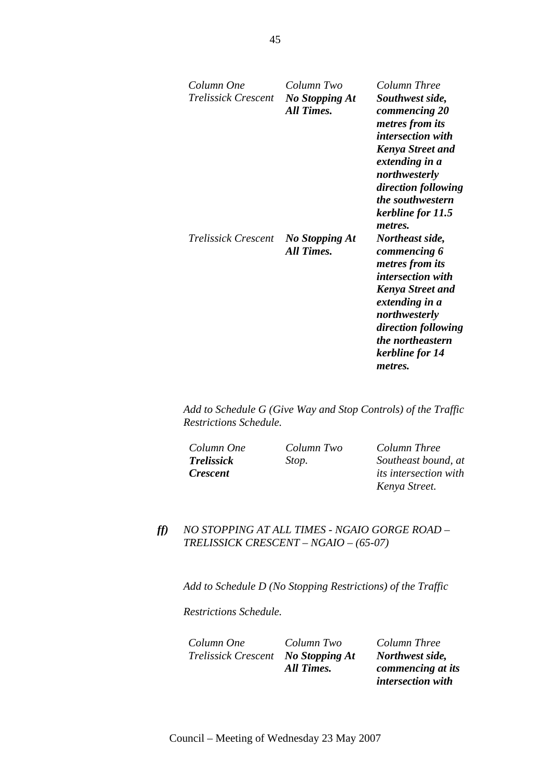| Column One<br>Trelissick Crescent | Column Two<br>No Stopping At<br>All Times. | Column Three<br>Southwest side,<br>commencing 20<br>metres from its<br>intersection with<br><b>Kenya Street and</b><br>extending in a<br>northwesterly<br>direction following                                                                                             |
|-----------------------------------|--------------------------------------------|---------------------------------------------------------------------------------------------------------------------------------------------------------------------------------------------------------------------------------------------------------------------------|
| Trelissick Crescent               | <b>No Stopping At</b><br><b>All Times.</b> | the southwestern<br>kerbline for 11.5<br>metres.<br>Northeast side,<br>commencing 6<br>metres from its<br><i>intersection with</i><br><b>Kenya Street and</b><br>extending in a<br>northwesterly<br>direction following<br>the northeastern<br>kerbline for 14<br>metres. |

*Add to Schedule G (Give Way and Stop Controls) of the Traffic Restrictions Schedule.* 

*Column One Column Two Column Three Trelissick Crescent* 

*Stop. Southeast bound, at its intersection with Kenya Street.* 

*ff) NO STOPPING AT ALL TIMES - NGAIO GORGE ROAD – TRELISSICK CRESCENT – NGAIO – (65-07)* 

*Add to Schedule D (No Stopping Restrictions) of the Traffic* 

*Restrictions Schedule.* 

*Column One Column Two Column Three Trelissick Crescent No Stopping At All Times.* 

*Northwest side, commencing at its intersection with*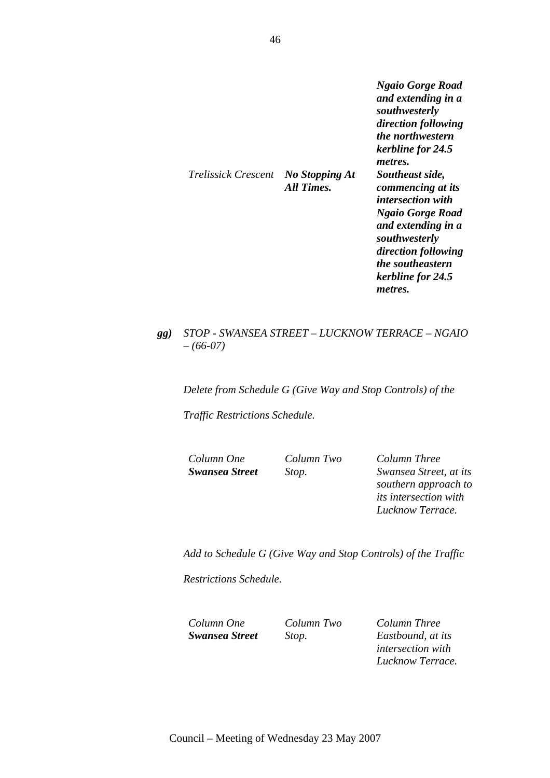*Ngaio Gorge Road and extending in a southwesterly direction following the northwestern kerbline for 24.5 metres. Trelissick Crescent No Stopping At Southeast side, commencing at its intersection with Ngaio Gorge Road and extending in a southwesterly direction following the southeastern kerbline for 24.5 metres.* 

### *gg) STOP - SWANSEA STREET – LUCKNOW TERRACE – NGAIO – (66-07)*

*All Times.* 

*Delete from Schedule G (Give Way and Stop Controls) of the* 

*Traffic Restrictions Schedule.* 

*Column One Column Two Column Three Swansea Street Stop. Swansea Street, at its southern approach to its intersection with Lucknow Terrace.* 

*Add to Schedule G (Give Way and Stop Controls) of the Traffic* 

*Restrictions Schedule.* 

*Column One Column Two Column Three Swansea Street Stop. Eastbound, at its intersection with Lucknow Terrace.*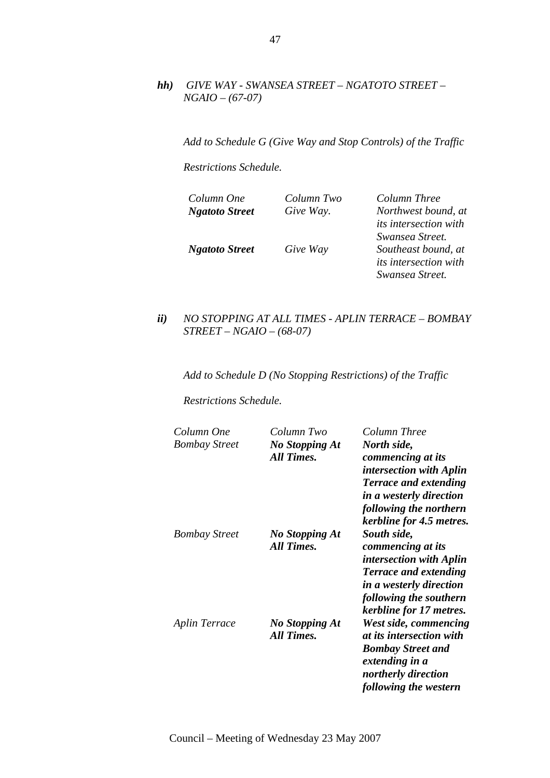*hh) GIVE WAY - SWANSEA STREET – NGATOTO STREET – NGAIO – (67-07)* 

*Add to Schedule G (Give Way and Stop Controls) of the Traffic* 

*Restrictions Schedule.* 

| Column One            | Column Two | Column Three                 |
|-----------------------|------------|------------------------------|
| <b>Ngatoto Street</b> | Give Way.  | Northwest bound, at          |
|                       |            | <i>its intersection with</i> |
|                       |            | Swansea Street.              |
| <b>Ngatoto Street</b> | Give Way   | Southeast bound, at          |
|                       |            | <i>its intersection with</i> |
|                       |            | Swansea Street.              |

*ii) NO STOPPING AT ALL TIMES - APLIN TERRACE – BOMBAY STREET – NGAIO – (68-07)* 

*Add to Schedule D (No Stopping Restrictions) of the Traffic* 

*Restrictions Schedule.* 

| Column One           | Column Two                                 | Column Three                                                                                                                                                                        |
|----------------------|--------------------------------------------|-------------------------------------------------------------------------------------------------------------------------------------------------------------------------------------|
| <b>Bombay Street</b> | No Stopping At<br><b>All Times.</b>        | North side,<br>commencing at its<br><i>intersection with Aplin</i><br><b>Terrace and extending</b><br>in a westerly direction<br>following the northern<br>kerbline for 4.5 metres. |
| <b>Bombay Street</b> | No Stopping At<br><b>All Times.</b>        | South side,<br>commencing at its<br><i>intersection with Aplin</i><br><b>Terrace and extending</b><br>in a westerly direction<br>following the southern<br>kerbline for 17 metres.  |
| Aplin Terrace        | <b>No Stopping At</b><br><b>All Times.</b> | West side, commencing<br>at its intersection with<br><b>Bombay Street and</b><br>extending in a<br>northerly direction<br>following the western                                     |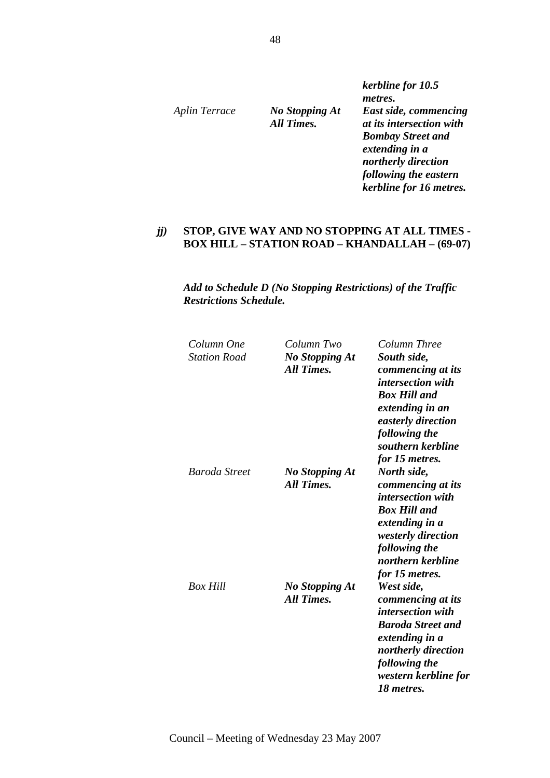*Aplin Terrace No Stopping At All Times.* 

*kerbline for 10.5 metres. East side, commencing at its intersection with Bombay Street and extending in a northerly direction following the eastern kerbline for 16 metres.* 

### *jj)* **STOP, GIVE WAY AND NO STOPPING AT ALL TIMES - BOX HILL – STATION ROAD – KHANDALLAH – (69-07)**

| Column One          | Column Two                                 | Column Three             |
|---------------------|--------------------------------------------|--------------------------|
| <b>Station Road</b> | <b>No Stopping At</b>                      | South side,              |
|                     | <b>All Times.</b>                          | commencing at its        |
|                     |                                            | <i>intersection with</i> |
|                     |                                            | <b>Box Hill and</b>      |
|                     |                                            | extending in an          |
|                     |                                            | easterly direction       |
|                     |                                            | following the            |
|                     |                                            | southern kerbline        |
|                     |                                            | for 15 metres.           |
| Baroda Street       |                                            |                          |
|                     | <b>No Stopping At</b><br><b>All Times.</b> | North side,              |
|                     |                                            | commencing at its        |
|                     |                                            | intersection with        |
|                     |                                            | <b>Box Hill and</b>      |
|                     |                                            | extending in a           |
|                     |                                            | westerly direction       |
|                     |                                            | following the            |
|                     |                                            | northern kerbline        |
|                     |                                            | for 15 metres.           |
| <b>Box Hill</b>     | <b>No Stopping At</b>                      | West side,               |
|                     | <b>All Times.</b>                          | commencing at its        |
|                     |                                            | intersection with        |
|                     |                                            | <b>Baroda Street and</b> |
|                     |                                            | extending in a           |
|                     |                                            | northerly direction      |
|                     |                                            | following the            |
|                     |                                            | western kerbline for     |
|                     |                                            | 18 metres.               |
|                     |                                            |                          |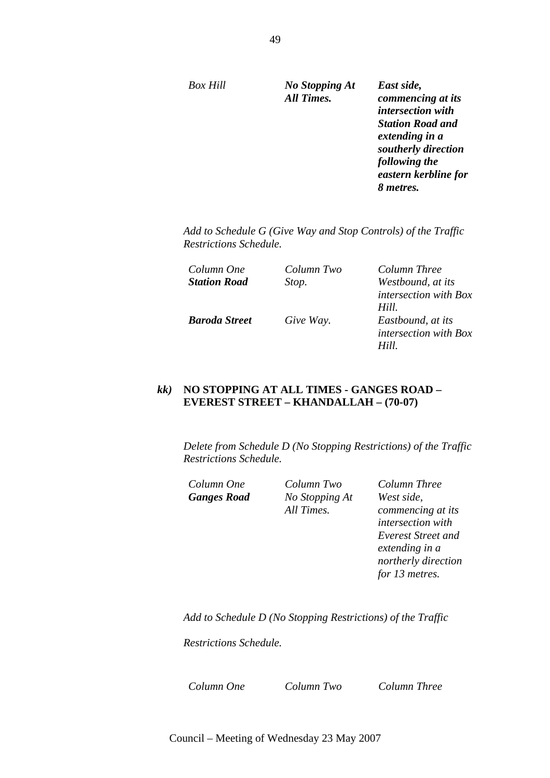*Box Hill No Stopping At All Times.* 

*East side, commencing at its intersection with Station Road and extending in a southerly direction following the eastern kerbline for 8 metres.* 

*Add to Schedule G (Give Way and Stop Controls) of the Traffic Restrictions Schedule.* 

| Column One          | Column Two | Column Three                 |
|---------------------|------------|------------------------------|
| <b>Station Road</b> | Stop.      | Westbound, at its            |
|                     |            | <i>intersection with Box</i> |
|                     |            | Hill.                        |
| Baroda Street       | Give Way.  | Eastbound, at its            |
|                     |            | <i>intersection with Box</i> |
|                     |            | Hill                         |

### *kk)* **NO STOPPING AT ALL TIMES - GANGES ROAD – EVEREST STREET – KHANDALLAH – (70-07)**

*Delete from Schedule D (No Stopping Restrictions) of the Traffic Restrictions Schedule.* 

*Column One Column Two Column Three Ganges Road No Stopping At All Times.* 

*West side, commencing at its intersection with Everest Street and extending in a northerly direction for 13 metres.* 

*Add to Schedule D (No Stopping Restrictions) of the Traffic* 

*Restrictions Schedule.* 

*Column One Column Two Column Three*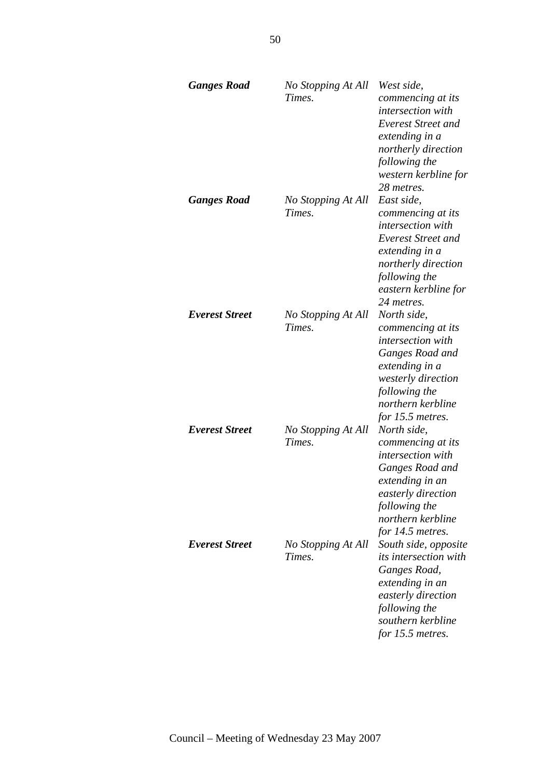| <b>Ganges Road</b>    | No Stopping At All<br>Times. | West side,<br>commencing at its<br>intersection with<br><b>Everest Street and</b><br>extending in a<br>northerly direction<br>following the<br>western kerbline for<br>28 metres.  |
|-----------------------|------------------------------|------------------------------------------------------------------------------------------------------------------------------------------------------------------------------------|
| <b>Ganges Road</b>    | No Stopping At All<br>Times. | East side,<br>commencing at its<br>intersection with<br>Everest Street and<br>extending in a<br>northerly direction<br>following the<br>eastern kerbline for<br>24 metres.         |
| <b>Everest Street</b> | No Stopping At All<br>Times. | North side,<br>commencing at its<br><i>intersection with</i><br>Ganges Road and<br>extending in a<br>westerly direction<br>following the<br>northern kerbline<br>for 15.5 metres.  |
| <b>Everest Street</b> | No Stopping At All<br>Times. | North side,<br>commencing at its<br><i>intersection</i> with<br>Ganges Road and<br>extending in an<br>easterly direction<br>following the<br>northern kerbline<br>for 14.5 metres. |
| <b>Everest Street</b> | No Stopping At All<br>Times. | South side, opposite<br><i>its intersection with</i><br>Ganges Road,<br>extending in an<br>easterly direction<br>following the<br>southern kerbline<br>for 15.5 metres.            |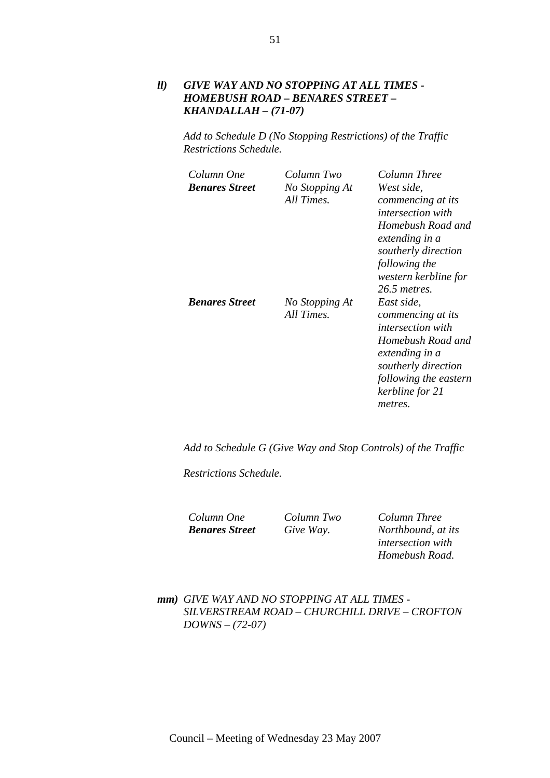### *ll) GIVE WAY AND NO STOPPING AT ALL TIMES - HOMEBUSH ROAD – BENARES STREET – KHANDALLAH – (71-07)*

*Add to Schedule D (No Stopping Restrictions) of the Traffic Restrictions Schedule.* 

| Column One            | Column Two                   | Column Three                                                                                                                                                                                     |
|-----------------------|------------------------------|--------------------------------------------------------------------------------------------------------------------------------------------------------------------------------------------------|
| <b>Benares Street</b> | No Stopping At<br>All Times. | West side,<br>commencing at its<br><i>intersection with</i>                                                                                                                                      |
|                       |                              | Homebush Road and<br>extending in a<br>southerly direction<br>following the<br>western kerbline for                                                                                              |
| <b>Benares Street</b> | No Stopping At<br>All Times. | 26.5 metres.<br>East side.<br>commencing at its<br><i>intersection with</i><br>Homebush Road and<br>extending in a<br>southerly direction<br>following the eastern<br>kerbline for 21<br>metres. |

*Add to Schedule G (Give Way and Stop Controls) of the Traffic* 

*Restrictions Schedule.* 

*Column One Column Two Column Three Benares Street Give Way. Northbound, at its intersection with Homebush Road.* 

*mm) GIVE WAY AND NO STOPPING AT ALL TIMES - SILVERSTREAM ROAD – CHURCHILL DRIVE – CROFTON DOWNS – (72-07)*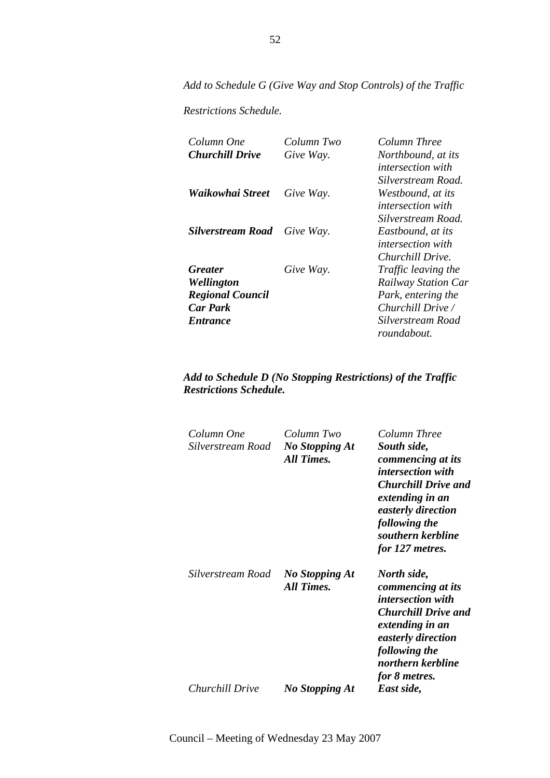*Add to Schedule G (Give Way and Stop Controls) of the Traffic* 

*Restrictions Schedule.* 

| Column One               | Column Two | Column Three               |
|--------------------------|------------|----------------------------|
| <b>Churchill Drive</b>   | Give Way.  | Northbound, at its         |
|                          |            | <i>intersection with</i>   |
|                          |            | Silverstream Road.         |
| Waikowhai Street         | Give Way.  | Westbound, at its          |
|                          |            | <i>intersection with</i>   |
|                          |            | Silverstream Road.         |
| <b>Silverstream Road</b> | Give Way.  | Eastbound, at its          |
|                          |            | <i>intersection with</i>   |
|                          |            | Churchill Drive.           |
| <b>Greater</b>           | Give Way.  | Traffic leaving the        |
| Wellington               |            | <b>Railway Station Car</b> |
| <b>Regional Council</b>  |            | Park, entering the         |
| <b>Car Park</b>          |            | Churchill Drive /          |
| <i>Entrance</i>          |            | Silverstream Road          |
|                          |            | roundabout.                |

| Column One<br>Silverstream Road | Column Two<br><b>No Stopping At</b><br>All Times. | Column Three<br>South side,<br>commencing at its<br><i>intersection with</i><br><b>Churchill Drive and</b><br>extending in an<br>easterly direction<br>following the<br>southern kerbline<br>for 127 metres. |
|---------------------------------|---------------------------------------------------|--------------------------------------------------------------------------------------------------------------------------------------------------------------------------------------------------------------|
| Silverstream Road               | <b>No Stopping At</b><br>All Times.               | North side,<br>commencing at its<br><i>intersection with</i><br><b>Churchill Drive and</b><br>extending in an<br>easterly direction<br>following the<br>northern kerbline<br>for 8 metres.                   |
| Churchill Drive                 | No Stopping At                                    | East side,                                                                                                                                                                                                   |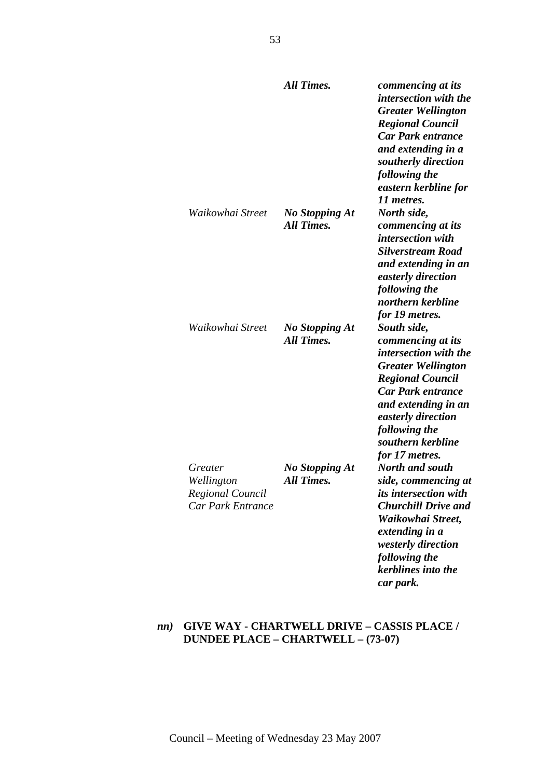|                                                                       | <b>All Times.</b>                          | commencing at its<br><i>intersection with the</i><br><b>Greater Wellington</b><br><b>Regional Council</b><br><b>Car Park entrance</b><br>and extending in a<br>southerly direction<br>following the<br>eastern kerbline for<br>11 metres.                 |
|-----------------------------------------------------------------------|--------------------------------------------|-----------------------------------------------------------------------------------------------------------------------------------------------------------------------------------------------------------------------------------------------------------|
| Waikowhai Street                                                      | No Stopping At<br><b>All Times.</b>        | North side,<br>commencing at its<br><i>intersection with</i><br><b>Silverstream Road</b><br>and extending in an<br>easterly direction<br>following the<br>northern kerbline<br>for 19 metres.                                                             |
| Waikowhai Street                                                      | <b>No Stopping At</b><br><b>All Times.</b> | South side,<br>commencing at its<br><i>intersection with the</i><br><b>Greater Wellington</b><br><b>Regional Council</b><br><b>Car Park entrance</b><br>and extending in an<br>easterly direction<br>following the<br>southern kerbline<br>for 17 metres. |
| Greater<br>Wellington<br>Regional Council<br><b>Car Park Entrance</b> | <b>No Stopping At</b><br><b>All Times.</b> | <b>North and south</b><br>side, commencing at<br>its intersection with<br><b>Churchill Drive and</b><br>Waikowhai Street,<br>extending in a<br>westerly direction<br>following the<br>kerblines into the<br>car park.                                     |

# *nn)* **GIVE WAY - CHARTWELL DRIVE – CASSIS PLACE / DUNDEE PLACE – CHARTWELL – (73-07)**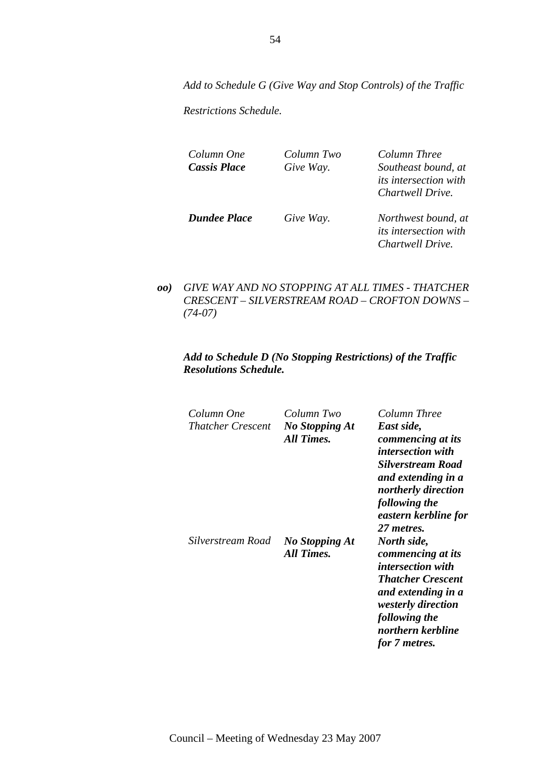*Add to Schedule G (Give Way and Stop Controls) of the Traffic* 

*Restrictions Schedule.* 

*Column One Column Two Column Three Cassis Place Give Way. Southeast bound, at its intersection with Chartwell Drive.* 

*Dundee Place Give Way. Northwest bound, at its intersection with Chartwell Drive.* 

*oo) GIVE WAY AND NO STOPPING AT ALL TIMES - THATCHER CRESCENT – SILVERSTREAM ROAD – CROFTON DOWNS – (74-07)* 

| Column One<br><b>Thatcher Crescent</b> | Column Two<br><b>No Stopping At</b><br><b>All Times.</b> | Column Three<br>East side,<br>commencing at its<br><i>intersection with</i><br>Silverstream Road<br>and extending in a<br>northerly direction<br>following the<br>eastern kerbline for<br>27 metres. |
|----------------------------------------|----------------------------------------------------------|------------------------------------------------------------------------------------------------------------------------------------------------------------------------------------------------------|
| Silverstream Road                      | <b>No Stopping At</b><br><b>All Times.</b>               | North side,<br>commencing at its<br><i>intersection with</i><br><b>Thatcher Crescent</b><br>and extending in a<br><i>westerly direction</i><br>following the<br>northern kerbline<br>for 7 metres.   |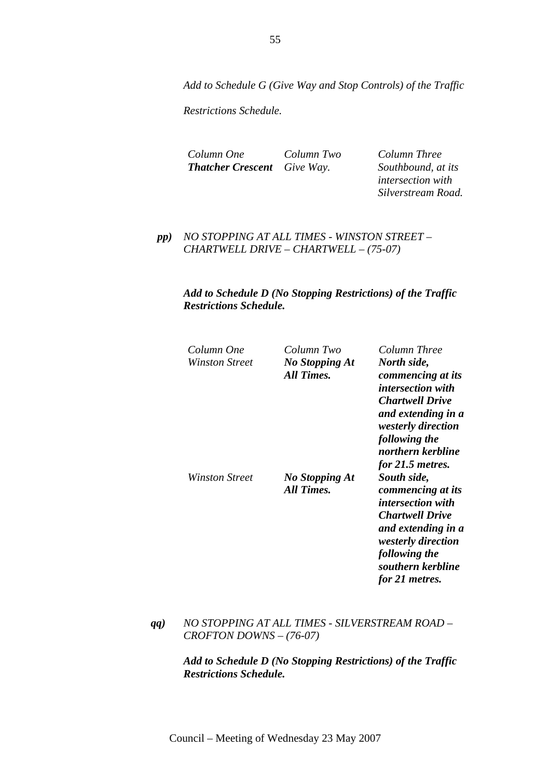*Add to Schedule G (Give Way and Stop Controls) of the Traffic* 

*Restrictions Schedule.* 

*Column One Column Two Column Three Thatcher Crescent Give Way. Southbound, at its* 

*intersection with Silverstream Road.* 

*pp) NO STOPPING AT ALL TIMES - WINSTON STREET – CHARTWELL DRIVE – CHARTWELL – (75-07)* 

### *Add to Schedule D (No Stopping Restrictions) of the Traffic Restrictions Schedule.*

| Column One     | Column Two                          | Column Three                                                                                                                                                                                                   |
|----------------|-------------------------------------|----------------------------------------------------------------------------------------------------------------------------------------------------------------------------------------------------------------|
| Winston Street | No Stopping At<br>All Times.        | North side,<br>commencing at its<br><i>intersection with</i>                                                                                                                                                   |
|                |                                     | <b>Chartwell Drive</b><br>and extending in a<br><i>westerly direction</i><br>following the<br>northern kerbline                                                                                                |
| Winston Street | No Stopping At<br><b>All Times.</b> | for 21.5 metres.<br>South side,<br>commencing at its<br><i>intersection with</i><br><b>Chartwell Drive</b><br>and extending in a<br>westerly direction<br>following the<br>southern kerbline<br>for 21 metres. |

*qq) NO STOPPING AT ALL TIMES - SILVERSTREAM ROAD – CROFTON DOWNS – (76-07)*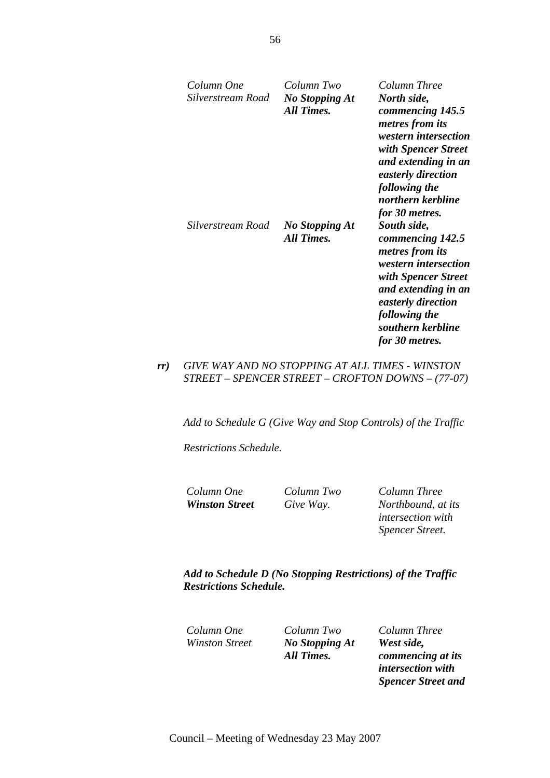| Column One<br>Silverstream Road | Column Two<br><b>No Stopping At</b><br>All Times. | Column Three<br>North side,<br>commencing 145.5<br>metres from its<br><i>western intersection</i><br>with Spencer Street<br>and extending in an<br>easterly direction<br>following the<br>northern kerbline<br>for 30 metres. |
|---------------------------------|---------------------------------------------------|-------------------------------------------------------------------------------------------------------------------------------------------------------------------------------------------------------------------------------|
| Silverstream Road               | <b>No Stopping At</b><br>All Times.               | South side,<br>commencing 142.5<br><i>metres from its</i><br>western intersection<br>with Spencer Street<br>and extending in an<br>easterly direction<br>following the<br>southern kerbline<br>for 30 metres.                 |

## *rr) GIVE WAY AND NO STOPPING AT ALL TIMES - WINSTON STREET – SPENCER STREET – CROFTON DOWNS – (77-07)*

*Add to Schedule G (Give Way and Stop Controls) of the Traffic* 

*Restrictions Schedule.* 

*Column One Column Two Column Three Winston Street Give Way. Northbound, at its intersection with Spencer Street.* 

*Add to Schedule D (No Stopping Restrictions) of the Traffic Restrictions Schedule.* 

*Column One Column Two Column Three No Stopping At All Times.* 

*West side, commencing at its intersection with Spencer Street and* 

56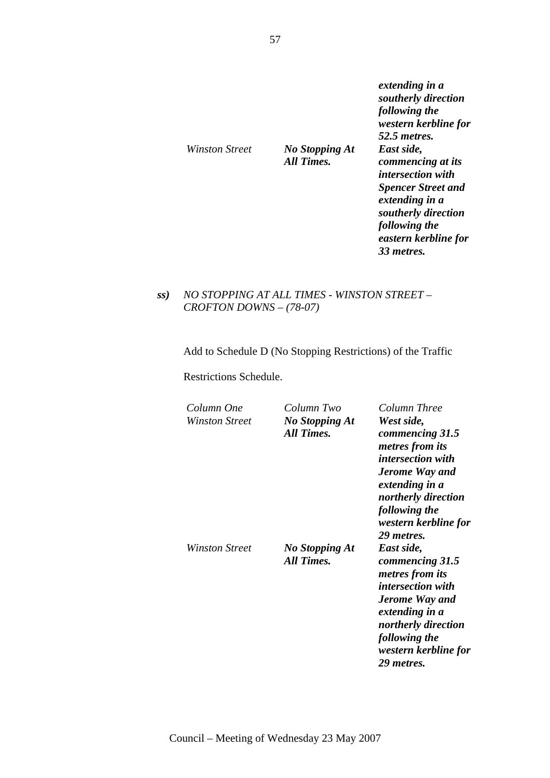| Winston Street | <b>No Stopping At</b><br>All Times. | extending in a<br>southerly direction<br>following the<br>western kerbline for<br>52.5 <i>metres.</i><br>East side,<br>commencing at its<br><i>intersection with</i><br><b>Spencer Street and</b> |
|----------------|-------------------------------------|---------------------------------------------------------------------------------------------------------------------------------------------------------------------------------------------------|
|                |                                     | extending in a<br>southerly direction<br>following the<br>eastern kerbline for<br>33 metres.                                                                                                      |

*ss) NO STOPPING AT ALL TIMES - WINSTON STREET – CROFTON DOWNS – (78-07)* 

Add to Schedule D (No Stopping Restrictions) of the Traffic

Restrictions Schedule.

| Column One<br>Winston Street | Column Two<br><b>No Stopping At</b><br>All Times. | Column Three<br>West side,<br>commencing 31.5<br>metres from its<br><i>intersection with</i><br>Jerome Way and<br>extending in a<br>northerly direction<br>following the<br>western kerbline for<br>29 metres. |
|------------------------------|---------------------------------------------------|----------------------------------------------------------------------------------------------------------------------------------------------------------------------------------------------------------------|
| Winston Street               | <b>No Stopping At</b><br>All Times.               | East side,<br>commencing 31.5<br><i>metres from its</i><br><i>intersection with</i><br><b>Jerome Way and</b><br>extending in a<br>northerly direction<br>following the<br>western kerbline for<br>29 metres.   |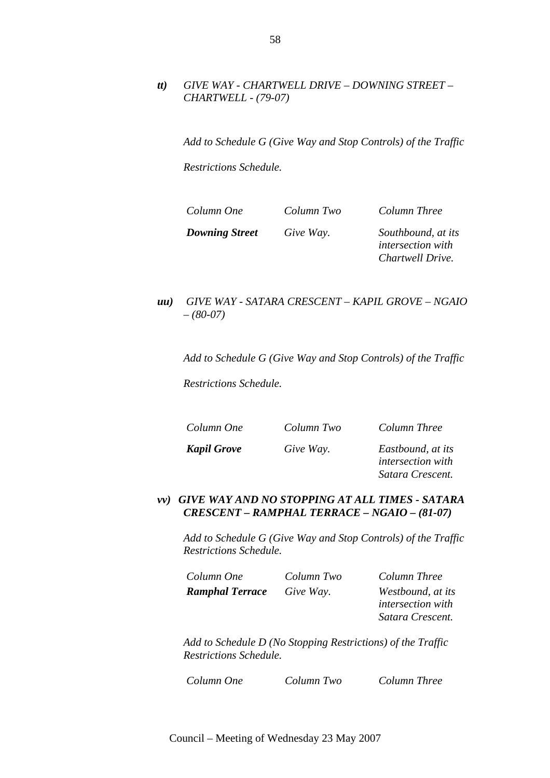### *tt) GIVE WAY - CHARTWELL DRIVE – DOWNING STREET – CHARTWELL - (79-07)*

*Add to Schedule G (Give Way and Stop Controls) of the Traffic* 

*Restrictions Schedule.* 

| Column One            | Column Two | Column Three             |
|-----------------------|------------|--------------------------|
| <b>Downing Street</b> | Give Way.  | Southbound, at its       |
|                       |            | <i>intersection with</i> |

### *uu) GIVE WAY - SATARA CRESCENT – KAPIL GROVE – NGAIO – (80-07)*

*Add to Schedule G (Give Way and Stop Controls) of the Traffic* 

*Restrictions Schedule.* 

*Column One Column Two Column Three Kapil Grove Give Way. Eastbound, at its* 

*intersection with Satara Crescent.* 

*Chartwell Drive.* 

### *vv) GIVE WAY AND NO STOPPING AT ALL TIMES - SATARA CRESCENT – RAMPHAL TERRACE – NGAIO – (81-07)*

*Add to Schedule G (Give Way and Stop Controls) of the Traffic Restrictions Schedule.* 

| Column One             | Column Two | Column Three             |
|------------------------|------------|--------------------------|
| <b>Ramphal Terrace</b> | Give Way.  | Westbound, at its        |
|                        |            | <i>intersection with</i> |
|                        |            | Satara Crescent.         |

*Add to Schedule D (No Stopping Restrictions) of the Traffic Restrictions Schedule.* 

*Column One Column Two Column Three*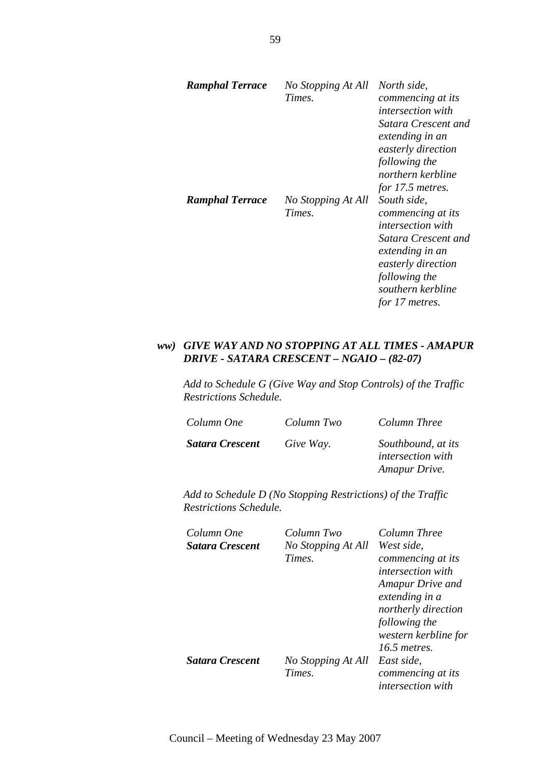| <b>Ramphal Terrace</b> | No Stopping At All<br>Times. | North side,<br>commencing at its<br><i>intersection with</i><br>Satara Crescent and<br>extending in an<br>easterly direction<br>following the<br>northern kerbline<br>for 17.5 metres. |
|------------------------|------------------------------|----------------------------------------------------------------------------------------------------------------------------------------------------------------------------------------|
| <b>Ramphal Terrace</b> | No Stopping At All<br>Times. | South side,<br>commencing at its<br><i>intersection with</i><br>Satara Crescent and<br>extending in an<br>easterly direction<br>following the<br>southern kerbline<br>for 17 metres.   |

### *ww) GIVE WAY AND NO STOPPING AT ALL TIMES - AMAPUR DRIVE - SATARA CRESCENT – NGAIO – (82-07)*

*Add to Schedule G (Give Way and Stop Controls) of the Traffic Restrictions Schedule.* 

| Column One             | Column Two | Column Three                                                    |
|------------------------|------------|-----------------------------------------------------------------|
| <b>Satara Crescent</b> | Give Way.  | Southbound, at its<br><i>intersection with</i><br>Amapur Drive. |

| Column One             | Column Two         | Column Three             |
|------------------------|--------------------|--------------------------|
| <b>Satara Crescent</b> | No Stopping At All | West side,               |
|                        | Times.             | commencing at its        |
|                        |                    | <i>intersection with</i> |
|                        |                    | Amapur Drive and         |
|                        |                    | extending in a           |
|                        |                    | northerly direction      |
|                        |                    | following the            |
|                        |                    | western kerbline for     |
|                        |                    | 16.5 metres.             |
| <b>Satara Crescent</b> | No Stopping At All | East side.               |
|                        | Times.             | commencing at its        |
|                        |                    | <i>intersection with</i> |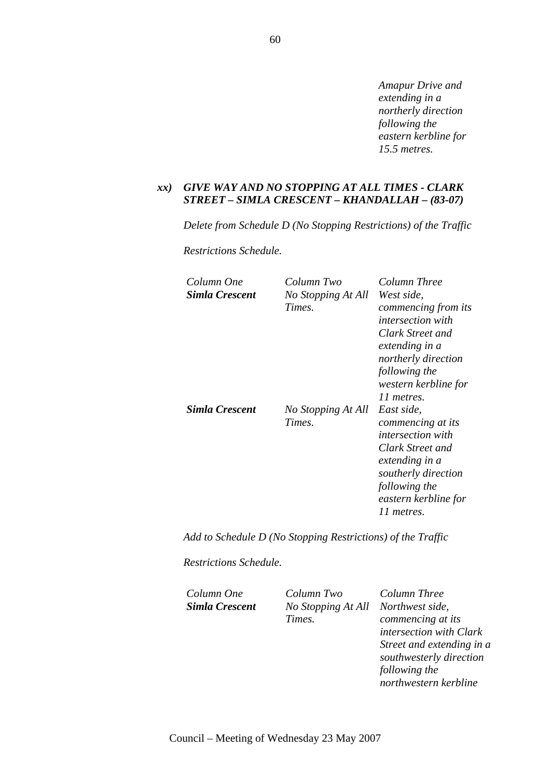*Amapur Drive and extending in a northerly direction following the eastern kerbline for 15.5 metres.* 

#### *xx) GIVE WAY AND NO STOPPING AT ALL TIMES - CLARK STREET – SIMLA CRESCENT – KHANDALLAH – (83-07)*

*Delete from Schedule D (No Stopping Restrictions) of the Traffic* 

*Restrictions Schedule.* 

| Column One<br>Simla Crescent | Column Two<br>No Stopping At All<br>Times. | Column Three<br>West side,<br>commencing from its<br><i>intersection with</i><br>Clark Street and<br>extending in a<br>northerly direction<br>following the<br>western kerbline for<br>11 metres. |
|------------------------------|--------------------------------------------|---------------------------------------------------------------------------------------------------------------------------------------------------------------------------------------------------|
| <b>Simla Crescent</b>        | No Stopping At All<br>Times.               | East side,<br>commencing at its<br><i>intersection with</i><br>Clark Street and<br>extending in a<br>southerly direction<br>following the<br>eastern kerbline for<br>11 metres.                   |

*Add to Schedule D (No Stopping Restrictions) of the Traffic* 

*Restrictions Schedule.* 

*Column One Column Two Column Three Simla Crescent No Stopping At All Northwest side, Times.* 

*commencing at its intersection with Clark Street and extending in a southwesterly direction following the northwestern kerbline*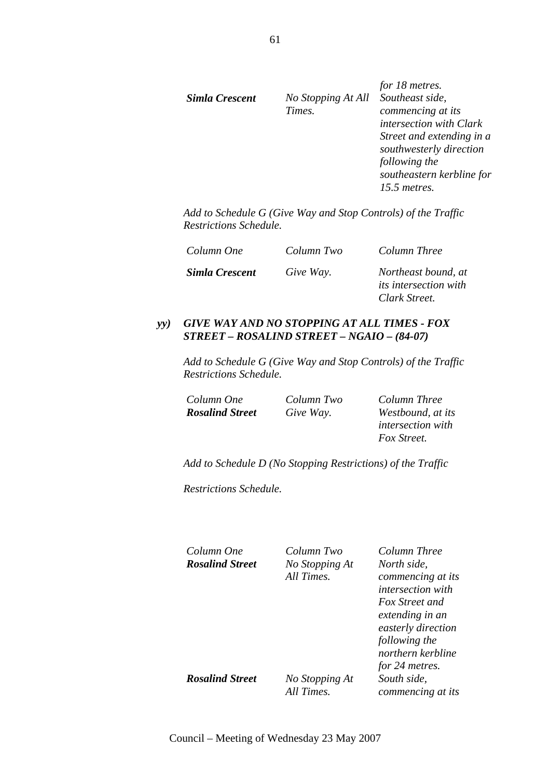|                |                    | for 18 metres.            |
|----------------|--------------------|---------------------------|
| Simla Crescent | No Stopping At All | Southeast side,           |
|                | Times.             | commencing at its         |
|                |                    | intersection with Clark   |
|                |                    | Street and extending in a |
|                |                    | southwesterly direction   |
|                |                    | following the             |
|                |                    | southeastern kerbline for |
|                |                    | 15.5 metres.              |
|                |                    |                           |

*Add to Schedule G (Give Way and Stop Controls) of the Traffic Restrictions Schedule.* 

| Column One     | Column Two | Column Three                                                         |
|----------------|------------|----------------------------------------------------------------------|
| Simla Crescent | Give Way.  | Northeast bound, at<br><i>its intersection with</i><br>Clark Street. |

#### *yy) GIVE WAY AND NO STOPPING AT ALL TIMES - FOX STREET – ROSALIND STREET – NGAIO – (84-07)*

*Add to Schedule G (Give Way and Stop Controls) of the Traffic Restrictions Schedule.* 

*Column One Column Two Column Three Rosalind Street Give Way. Westbound, at its* 

*intersection with Fox Street.* 

*Add to Schedule D (No Stopping Restrictions) of the Traffic* 

*Restrictions Schedule.* 

*Column One Column Two Column Three Rosalind Street No Stopping At* 

*All Times.* 

*North side, commencing at its intersection with Fox Street and extending in an easterly direction following the northern kerbline for 24 metres. South side, commencing at its* 

*Rosalind Street No Stopping At* 

*All Times.*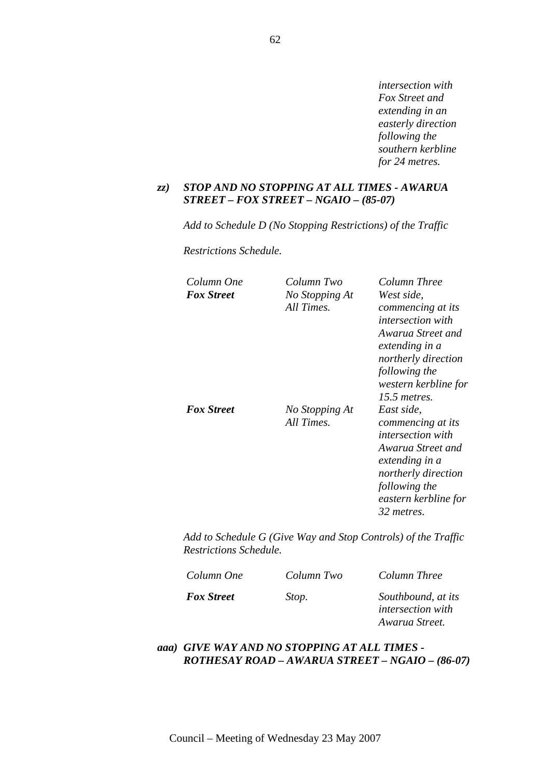*intersection with Fox Street and extending in an easterly direction following the southern kerbline for 24 metres.* 

#### *zz) STOP AND NO STOPPING AT ALL TIMES - AWARUA STREET – FOX STREET – NGAIO – (85-07)*

*Add to Schedule D (No Stopping Restrictions) of the Traffic* 

*Restrictions Schedule.* 

| Column One        | Column Two                   | Column Three                                                                                                                                                                     |
|-------------------|------------------------------|----------------------------------------------------------------------------------------------------------------------------------------------------------------------------------|
| <b>Fox Street</b> | No Stopping At<br>All Times. | West side,<br>commencing at its<br><i>intersection with</i>                                                                                                                      |
|                   |                              | Awarua Street and<br>extending in a<br>northerly direction<br>following the<br>western kerbline for<br>15.5 metres.                                                              |
| <b>Fox Street</b> | No Stopping At<br>All Times. | East side,<br>commencing at its<br><i>intersection with</i><br>Awarua Street and<br>extending in a<br>northerly direction<br>following the<br>eastern kerbline for<br>32 metres. |

*Add to Schedule G (Give Way and Stop Controls) of the Traffic Restrictions Schedule.* 

| Column One        | Column Two | Column Three                                   |
|-------------------|------------|------------------------------------------------|
| <b>Fox Street</b> | Stop.      | Southbound, at its<br><i>intersection with</i> |
|                   |            | Awarua Street.                                 |

### *aaa) GIVE WAY AND NO STOPPING AT ALL TIMES - ROTHESAY ROAD – AWARUA STREET – NGAIO – (86-07)*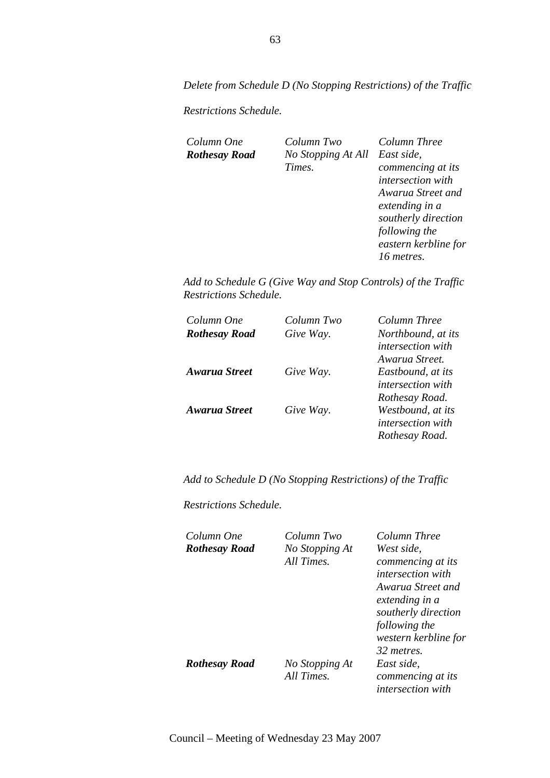*Delete from Schedule D (No Stopping Restrictions) of the Traffic* 

*Restrictions Schedule.* 

*Column One Column Two Column Three Rothesay Road No Stopping At All East side, Times.* 

*commencing at its intersection with Awarua Street and extending in a southerly direction following the eastern kerbline for 16 metres.* 

*Add to Schedule G (Give Way and Stop Controls) of the Traffic Restrictions Schedule.* 

| Column One           | Column Two | Column Three             |
|----------------------|------------|--------------------------|
| <b>Rothesay Road</b> | Give Way.  | Northbound, at its       |
|                      |            | <i>intersection with</i> |
|                      |            | Awarua Street.           |
| <b>Awarua Street</b> | Give Way.  | Eastbound, at its        |
|                      |            | <i>intersection with</i> |
|                      |            | Rothesay Road.           |
| Awarua Street        | Give Way.  | Westbound, at its        |
|                      |            | <i>intersection with</i> |
|                      |            | Rothesay Road.           |

*Add to Schedule D (No Stopping Restrictions) of the Traffic* 

*Restrictions Schedule.* 

| Column One           | Column Two     | Column Three             |
|----------------------|----------------|--------------------------|
| <b>Rothesay Road</b> | No Stopping At | West side.               |
|                      | All Times.     | commencing at its        |
|                      |                | <i>intersection with</i> |
|                      |                | Awarua Street and        |
|                      |                | extending in a           |
|                      |                | southerly direction      |
|                      |                | following the            |
|                      |                | western kerbline for     |
|                      |                | 32 metres.               |
| <b>Rothesay Road</b> | No Stopping At | East side.               |
|                      | All Times.     | commencing at its        |
|                      |                | <i>intersection with</i> |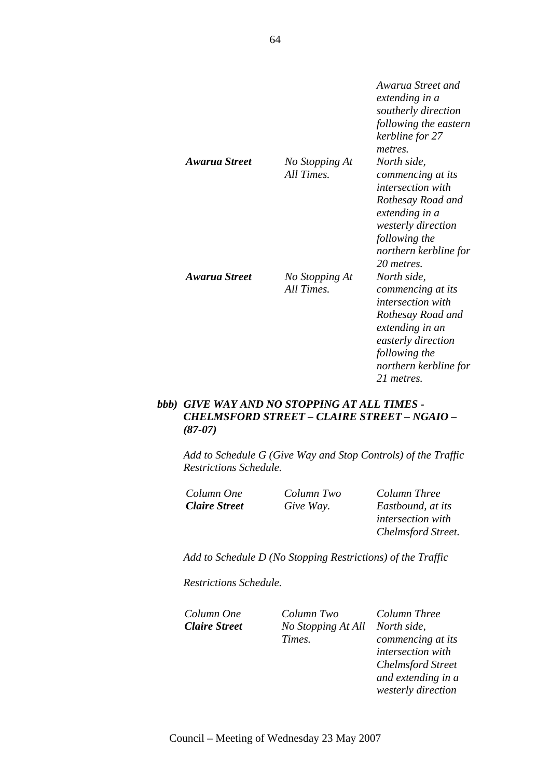|                      |                              | Awarua Street and<br>extending in a<br>southerly direction<br>following the eastern<br>kerbline for 27<br>metres.                                                                        |
|----------------------|------------------------------|------------------------------------------------------------------------------------------------------------------------------------------------------------------------------------------|
| Awarua Street        | No Stopping At<br>All Times. | North side,<br>commencing at its<br><i>intersection with</i><br>Rothesay Road and<br>extending in a<br><i>westerly direction</i><br>following the<br>northern kerbline for<br>20 metres. |
| <b>Awarua Street</b> | No Stopping At<br>All Times. | North side,<br>commencing at its<br><i>intersection with</i><br>Rothesay Road and<br>extending in an<br>easterly direction<br>following the<br>northern kerbline for<br>21 metres        |

## *bbb) GIVE WAY AND NO STOPPING AT ALL TIMES - CHELMSFORD STREET – CLAIRE STREET – NGAIO – (87-07)*

*Add to Schedule G (Give Way and Stop Controls) of the Traffic Restrictions Schedule.* 

| Column One           | Column Two | Column Three              |
|----------------------|------------|---------------------------|
| <b>Claire Street</b> | Give Way.  | Eastbound, at its         |
|                      |            | <i>intersection with</i>  |
|                      |            | <b>Chelmsford Street.</b> |

*Add to Schedule D (No Stopping Restrictions) of the Traffic* 

*Restrictions Schedule.* 

*Column One Column Two Column Three Claire Street No Stopping At All North side, Times.* 

*commencing at its intersection with Chelmsford Street and extending in a westerly direction*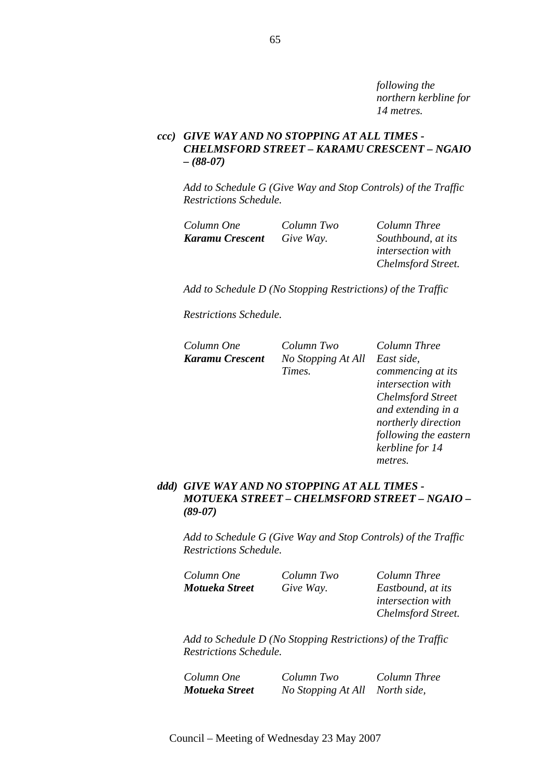*following the northern kerbline for 14 metres.* 

*following the eastern* 

*kerbline for 14* 

*metres.* 

## *ccc) GIVE WAY AND NO STOPPING AT ALL TIMES - CHELMSFORD STREET – KARAMU CRESCENT – NGAIO – (88-07)*

*Add to Schedule G (Give Way and Stop Controls) of the Traffic Restrictions Schedule.* 

| Column One      | Column Two | Column Three             |
|-----------------|------------|--------------------------|
| Karamu Crescent | Give Way.  | Southbound, at its       |
|                 |            | <i>intersection with</i> |
|                 |            | Chelmsford Street.       |

*Add to Schedule D (No Stopping Restrictions) of the Traffic* 

*Restrictions Schedule.* 

| Column One      | Column Two         | Column Three             |
|-----------------|--------------------|--------------------------|
| Karamu Crescent | No Stopping At All | East side,               |
|                 | Times.             | commencing at its        |
|                 |                    | intersection with        |
|                 |                    | <b>Chelmsford Street</b> |
|                 |                    | and extending in a       |
|                 |                    | northerly direction      |

### *ddd) GIVE WAY AND NO STOPPING AT ALL TIMES - MOTUEKA STREET – CHELMSFORD STREET – NGAIO – (89-07)*

*Add to Schedule G (Give Way and Stop Controls) of the Traffic Restrictions Schedule.* 

| Column One     | Column Two | Column Three             |
|----------------|------------|--------------------------|
| Motueka Street | Give Way.  | Eastbound, at its        |
|                |            | <i>intersection with</i> |
|                |            | Chelmsford Street.       |

*Add to Schedule D (No Stopping Restrictions) of the Traffic Restrictions Schedule.* 

*Column One Column Two Column Three Motueka Street No Stopping At All North side,*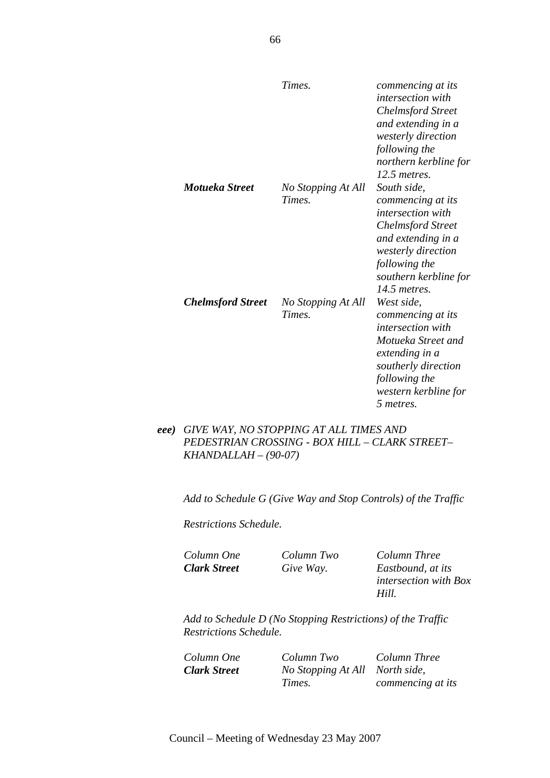|                          | Times.                       | commencing at its<br>intersection with<br><b>Chelmsford Street</b><br>and extending in a<br>westerly direction<br>following the<br>northern kerbline for<br>12.5 metres.                       |
|--------------------------|------------------------------|------------------------------------------------------------------------------------------------------------------------------------------------------------------------------------------------|
| Motueka Street           | No Stopping At All<br>Times. | South side,<br>commencing at its<br><i>intersection with</i><br><b>Chelmsford Street</b><br>and extending in a<br>westerly direction<br>following the<br>southern kerbline for<br>14.5 metres. |
| <b>Chelmsford Street</b> | No Stopping At All<br>Times. | West side,<br>commencing at its<br><i>intersection with</i><br>Motueka Street and<br>extending in a<br>southerly direction<br>following the<br>western kerbline for<br>5 metres.               |

### *eee) GIVE WAY, NO STOPPING AT ALL TIMES AND PEDESTRIAN CROSSING - BOX HILL – CLARK STREET– KHANDALLAH – (90-07)*

*Add to Schedule G (Give Way and Stop Controls) of the Traffic* 

*Restrictions Schedule.* 

*Column One Column Two Column Three Clark Street Give Way. Eastbound, at its intersection with Box Hill.* 

*Add to Schedule D (No Stopping Restrictions) of the Traffic Restrictions Schedule.* 

*Column One Column Two Column Three Clark Street No Stopping At All North side, Times. commencing at its*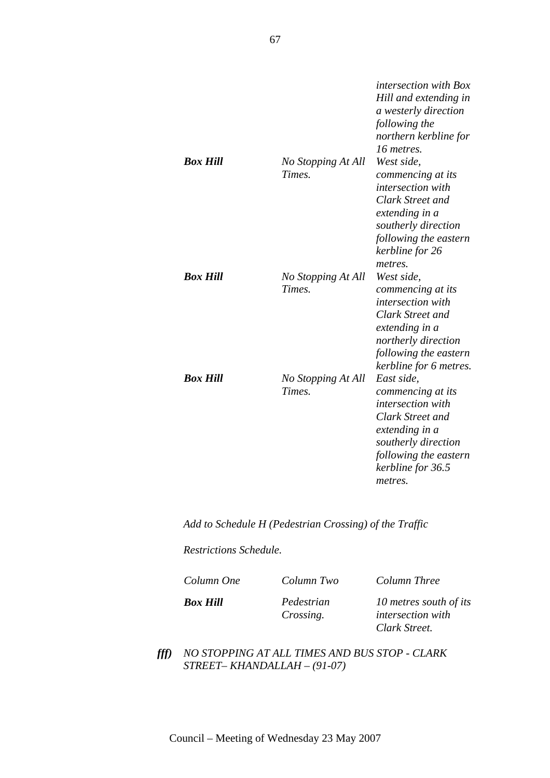|                 |                              | <i>intersection with Box</i><br>Hill and extending in<br>a westerly direction<br>following the<br>northern kerbline for<br>16 metres.                                           |
|-----------------|------------------------------|---------------------------------------------------------------------------------------------------------------------------------------------------------------------------------|
| <b>Box Hill</b> | No Stopping At All<br>Times. | West side,<br>commencing at its<br><i>intersection with</i><br>Clark Street and<br>extending in a<br>southerly direction<br>following the eastern<br>kerbline for 26<br>metres. |
| <b>Box Hill</b> | No Stopping At All<br>Times. | West side,<br>commencing at its<br><i>intersection with</i><br>Clark Street and<br>extending in a<br>northerly direction<br>following the eastern<br>kerbline for 6 metres.     |
| <b>Box Hill</b> | No Stopping At All<br>Times. | East side,<br>commencing at its<br>intersection with<br>Clark Street and<br>extending in a<br>southerly direction<br>following the eastern<br>kerbline for 36.5<br>metres.      |

*Add to Schedule H (Pedestrian Crossing) of the Traffic* 

*Restrictions Schedule.* 

*Column One Column Two Column Three Box Hill Pedestrian* 

*Crossing.* 

*10 metres south of its intersection with Clark Street.* 

*fff) NO STOPPING AT ALL TIMES AND BUS STOP - CLARK STREET– KHANDALLAH – (91-07)*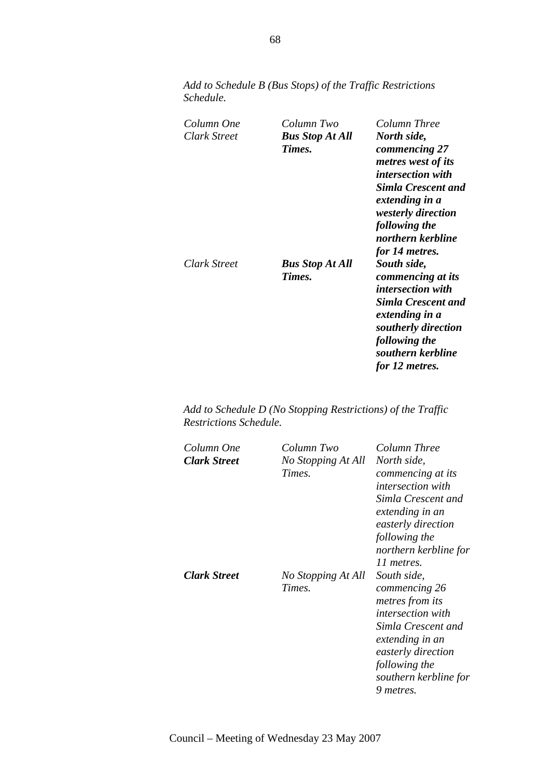| Column One<br>Clark Street | Column Two<br><b>Bus Stop At All</b><br>Times. | Column Three<br>North side,<br>commencing 27<br>metres west of its<br><i>intersection with</i><br><b>Simla Crescent and</b><br>extending in a<br><i>westerly direction</i><br>following the<br>northern kerbline |
|----------------------------|------------------------------------------------|------------------------------------------------------------------------------------------------------------------------------------------------------------------------------------------------------------------|
| Clark Street               | <b>Bus Stop At All</b><br>Times.               | for 14 metres.<br>South side,<br>commencing at its<br><i>intersection with</i><br><b>Simla Crescent and</b><br>extending in a<br>southerly direction<br>following the<br>southern kerbline<br>for 12 metres.     |

*Add to Schedule B (Bus Stops) of the Traffic Restrictions Schedule.* 

| Column One<br><b>Clark Street</b> | Column Two<br>No Stopping At All<br>Times. | Column Three<br>North side,<br>commencing at its<br><i>intersection with</i><br>Simla Crescent and<br>extending in an<br>easterly direction<br>following the<br>northern kerbline for<br>11 metres. |
|-----------------------------------|--------------------------------------------|-----------------------------------------------------------------------------------------------------------------------------------------------------------------------------------------------------|
| <b>Clark Street</b>               | No Stopping At All<br>Times.               | South side,<br>commencing 26<br>metres from its<br><i>intersection with</i><br>Simla Crescent and<br>extending in an<br>easterly direction<br>following the<br>southern kerbline for<br>9 metres.   |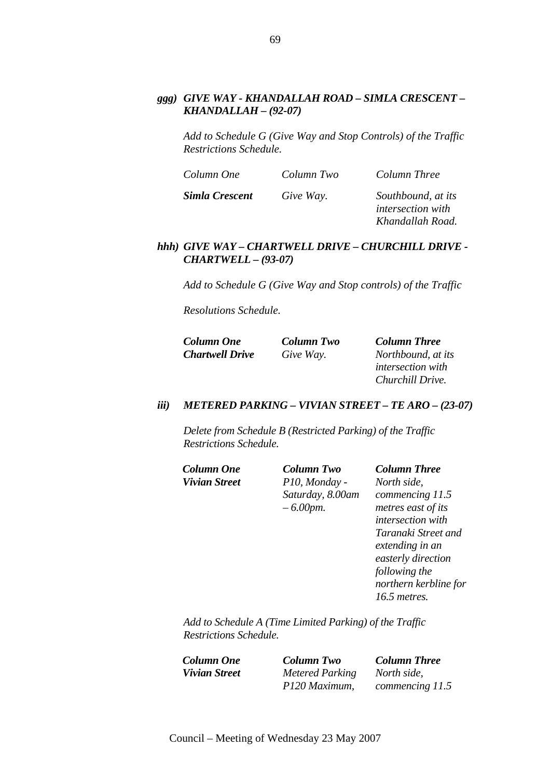### *ggg) GIVE WAY - KHANDALLAH ROAD – SIMLA CRESCENT – KHANDALLAH – (92-07)*

*Add to Schedule G (Give Way and Stop Controls) of the Traffic Restrictions Schedule.* 

| Column One     | Column Two | Column Three                                                       |
|----------------|------------|--------------------------------------------------------------------|
| Simla Crescent | Give Way.  | Southbound, at its<br><i>intersection with</i><br>Khandallah Road. |

#### *hhh) GIVE WAY – CHARTWELL DRIVE – CHURCHILL DRIVE - CHARTWELL – (93-07)*

*Add to Schedule G (Give Way and Stop controls) of the Traffic* 

*Resolutions Schedule.* 

| <b>Column One</b>      | Column Two | <b>Column Three</b>      |
|------------------------|------------|--------------------------|
| <b>Chartwell Drive</b> | Give Way.  | Northbound, at its       |
|                        |            | <i>intersection with</i> |
|                        |            | Churchill Drive.         |

#### *iii) METERED PARKING – VIVIAN STREET – TE ARO – (23-07)*

*Delete from Schedule B (Restricted Parking) of the Traffic Restrictions Schedule.* 

*Column One Column Two Column Three Vivian Street P10, Monday - Saturday, 8.00am – 6.00pm.* 

*North side, commencing 11.5 metres east of its intersection with Taranaki Street and extending in an easterly direction following the northern kerbline for 16.5 metres.* 

*Add to Schedule A (Time Limited Parking) of the Traffic Restrictions Schedule.* 

*Vivian Street Metered Parking P120 Maximum,* 

*Column One Column Two Column Three North side, commencing 11.5*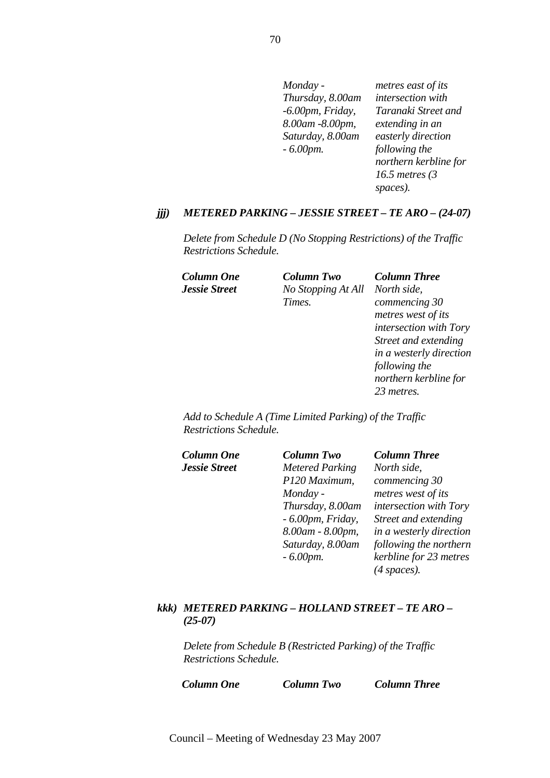| Monday -            | metres east of its    |
|---------------------|-----------------------|
| Thursday, 8.00am    | intersection with     |
| $-6.00$ pm, Friday, | Taranaki Street and   |
| 8.00am -8.00pm,     | extending in an       |
| Saturday, 8.00am    | easterly direction    |
| $-6.00$ pm.         | following the         |
|                     | northern kerbline for |
|                     | 16.5 metres $(3)$     |
|                     | spaces).              |

#### *jjj) METERED PARKING – JESSIE STREET – TE ARO – (24-07)*

*Delete from Schedule D (No Stopping Restrictions) of the Traffic Restrictions Schedule.* 

*Column One Column Two Column Three Jessie Street No Stopping At All North side, Times.* 

*commencing 30 metres west of its intersection with Tory Street and extending in a westerly direction following the northern kerbline for 23 metres.* 

*Add to Schedule A (Time Limited Parking) of the Traffic Restrictions Schedule.* 

| Column One           | <b>Column Two</b>      | <b>Column Three</b>     |
|----------------------|------------------------|-------------------------|
| <b>Jessie Street</b> | <b>Metered Parking</b> | North side,             |
|                      | P120 Maximum,          | commencing 30           |
|                      | Monday -               | metres west of its      |
|                      | Thursday, 8.00am       | intersection with Tory  |
|                      | $-6.00$ pm, Friday,    | Street and extending    |
|                      | 8.00am - 8.00pm,       | in a westerly direction |
|                      | Saturday, 8.00am       | following the northern  |
|                      | $-6.00$ <i>pm</i> .    | kerbline for 23 metres  |
|                      |                        | $(4$ spaces).           |

### *kkk) METERED PARKING – HOLLAND STREET – TE ARO – (25-07)*

*Delete from Schedule B (Restricted Parking) of the Traffic Restrictions Schedule.* 

*Column One Column Two Column Three*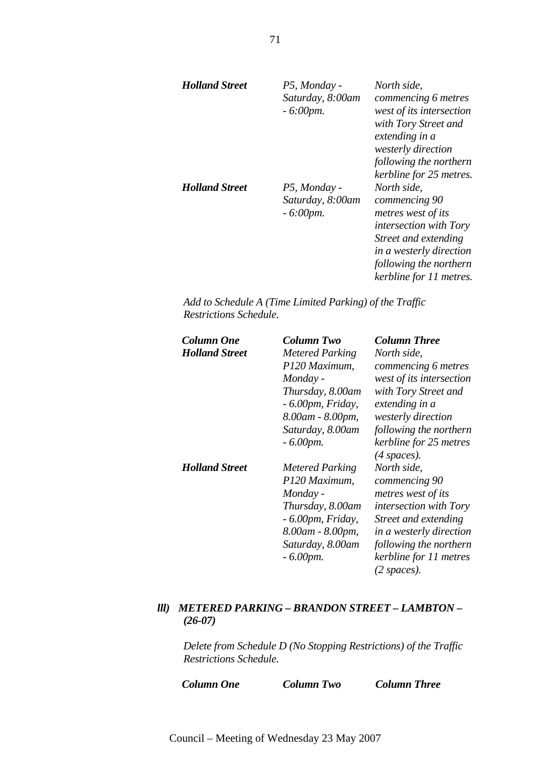| <b>Holland Street</b> | P5, Monday -<br>Saturday, 8:00am<br>$-6:00$ <i>pm</i> . | North side.<br>commencing 6 metres<br>west of its intersection<br>with Tory Street and<br>extending in a<br>westerly direction<br>following the northern<br>kerbline for 25 metres.  |
|-----------------------|---------------------------------------------------------|--------------------------------------------------------------------------------------------------------------------------------------------------------------------------------------|
| <b>Holland Street</b> | P5, Monday -<br>Saturday, 8:00am<br>$-6:00$ pm.         | North side,<br>commencing 90<br>metres west of its<br>intersection with Tory<br>Street and extending<br>in a westerly direction<br>following the northern<br>kerbline for 11 metres. |

*Add to Schedule A (Time Limited Parking) of the Traffic Restrictions Schedule.* 

| <b>Column One</b><br><b>Holland Street</b> | Column Two<br><b>Metered Parking</b><br>P120 Maximum,<br>Monday -<br>Thursday, 8.00am<br>$-6.00$ pm, Friday,<br>8.00am - 8.00pm,<br>Saturday, 8.00am<br>$-6.00$ pm. | <b>Column Three</b><br>North side,<br>commencing 6 metres<br>west of its intersection<br>with Tory Street and<br>extending in a<br>westerly direction<br>following the northern<br>kerbline for 25 metres                       |
|--------------------------------------------|---------------------------------------------------------------------------------------------------------------------------------------------------------------------|---------------------------------------------------------------------------------------------------------------------------------------------------------------------------------------------------------------------------------|
| <b>Holland Street</b>                      | <b>Metered Parking</b><br>P120 Maximum,<br>Monday -<br>Thursday, 8.00am<br>- 6.00pm, Friday,<br>8.00am - 8.00pm,<br>Saturday, 8.00am<br>$-6.00$ <i>pm</i> .         | $(4$ spaces).<br>North side,<br>commencing 90<br>metres west of its<br><i>intersection with Tory</i><br>Street and extending<br>in a westerly direction<br>following the northern<br>kerbline for 11 metres<br>$(2 \; spaces).$ |

### *lll) METERED PARKING – BRANDON STREET – LAMBTON – (26-07)*

*Delete from Schedule D (No Stopping Restrictions) of the Traffic Restrictions Schedule.* 

*Column One Column Two Column Three*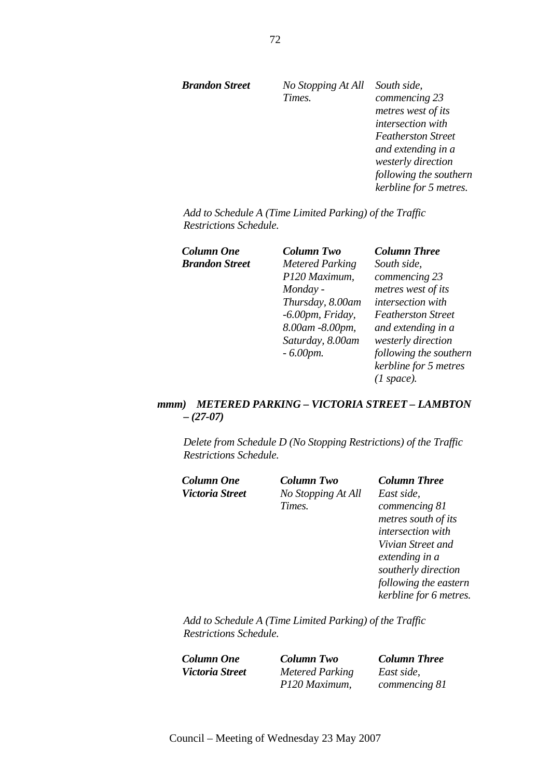*Brandon Street No Stopping At All South side, Times. commencing 23 metres west of its intersection with Featherston Street and extending in a westerly direction following the southern kerbline for 5 metres.* 

*Add to Schedule A (Time Limited Parking) of the Traffic Restrictions Schedule.* 

| Column One            | Column Two             | <b>Column Three</b>       |
|-----------------------|------------------------|---------------------------|
| <b>Brandon Street</b> | <b>Metered Parking</b> | South side,               |
|                       | P120 Maximum,          | commencing 23             |
|                       | Monday -               | metres west of its        |
|                       | Thursday, 8.00am       | intersection with         |
|                       | $-6.00$ pm, Friday,    | <b>Featherston Street</b> |
|                       | 8.00am -8.00pm,        | and extending in a        |
|                       | Saturday, 8.00am       | westerly direction        |
|                       | $-6.00$ pm.            | following the southern    |
|                       |                        | kerbline for 5 metres     |
|                       |                        | (1 space).                |
|                       |                        |                           |

### *mmm) METERED PARKING – VICTORIA STREET – LAMBTON – (27-07)*

*Delete from Schedule D (No Stopping Restrictions) of the Traffic Restrictions Schedule.* 

| Column One      | <b>Column Two</b>  | <b>Column Three</b>    |
|-----------------|--------------------|------------------------|
| Victoria Street | No Stopping At All | East side,             |
|                 | Times.             | commencing 81          |
|                 |                    | metres south of its    |
|                 |                    | intersection with      |
|                 |                    | Vivian Street and      |
|                 |                    | extending in a         |
|                 |                    | southerly direction    |
|                 |                    | following the eastern  |
|                 |                    | kerbline for 6 metres. |

*Add to Schedule A (Time Limited Parking) of the Traffic Restrictions Schedule.* 

*Column One Column Two Column Three Victoria Street Metered Parking P120 Maximum,* 

*East side, commencing 81*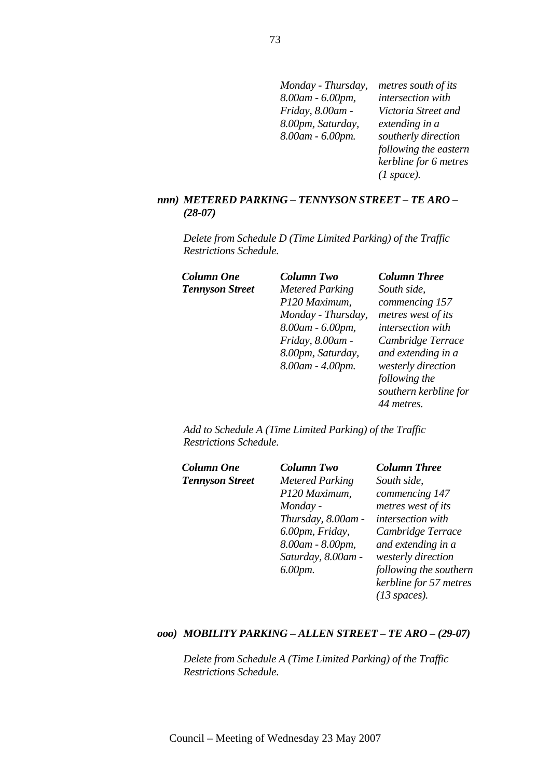| Monday - Thursday, | metres south of its   |
|--------------------|-----------------------|
| 8.00am - 6.00pm,   | intersection with     |
| Friday, 8.00am -   | Victoria Street and   |
| 8.00pm, Saturday,  | extending in a        |
| 8.00am - 6.00pm.   | southerly direction   |
|                    | following the eastern |
|                    | kerbline for 6 metres |
|                    | (1 space).            |

#### *nnn) METERED PARKING – TENNYSON STREET – TE ARO – (28-07)*

*Delete from Schedule D (Time Limited Parking) of the Traffic Restrictions Schedule.* 

*Tennyson Street Metered Parking P120 Maximum, Monday - Thursday, 8.00am - 6.00pm, Friday, 8.00am - 8.00pm, Saturday, 8.00am - 4.00pm.* 

# *Column One Column Two Column Three*

*South side, commencing 157 metres west of its intersection with Cambridge Terrace and extending in a westerly direction following the southern kerbline for 44 metres.* 

*Add to Schedule A (Time Limited Parking) of the Traffic Restrictions Schedule.* 

| Column One             | <b>Column Two</b>      | <b>Column Three</b>    |
|------------------------|------------------------|------------------------|
| <b>Tennyson Street</b> | <b>Metered Parking</b> | South side,            |
|                        | P120 Maximum,          | commencing 147         |
|                        | Monday -               | metres west of its     |
|                        | Thursday, 8.00am -     | intersection with      |
|                        | 6.00pm, Friday,        | Cambridge Terrace      |
|                        | 8.00am - 8.00pm,       | and extending in a     |
|                        | Saturday, 8.00am -     | westerly direction     |
|                        | 6.00pm.                | following the southern |
|                        |                        | kerbline for 57 metres |
|                        |                        | $(13 \text{ spaces}).$ |

#### *ooo) MOBILITY PARKING – ALLEN STREET – TE ARO – (29-07)*

*Delete from Schedule A (Time Limited Parking) of the Traffic Restrictions Schedule.*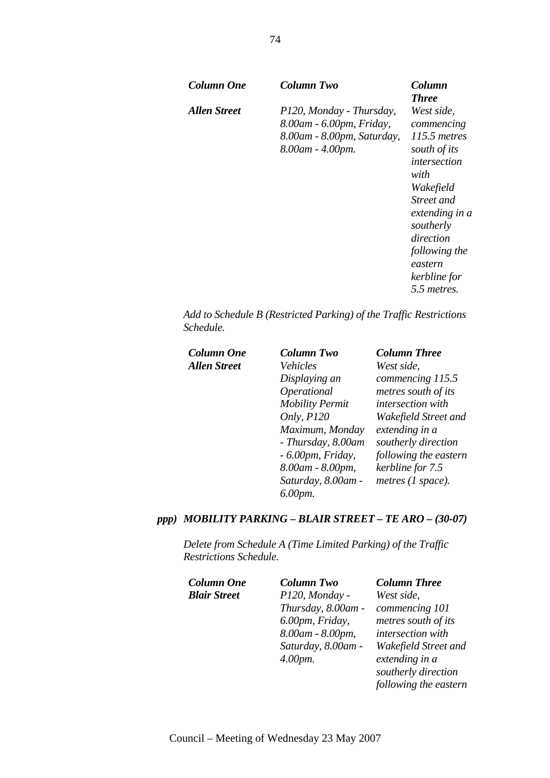| Column One   | Column Two                                                                                             | Column<br><b>Three</b>                                                                                                                                                                                             |
|--------------|--------------------------------------------------------------------------------------------------------|--------------------------------------------------------------------------------------------------------------------------------------------------------------------------------------------------------------------|
| Allen Street | P120, Monday - Thursday,<br>8.00am - 6.00pm, Friday,<br>8.00am - 8.00pm, Saturday,<br>8.00am - 4.00pm. | West side,<br>commencing<br>115.5 metres<br>south of its<br>intersection<br>with<br>Wakefield<br>Street and<br>extending in a<br>southerly<br>direction<br>following the<br>eastern<br>kerbline for<br>5.5 metres. |

*Add to Schedule B (Restricted Parking) of the Traffic Restrictions Schedule.* 

| Column One   | <b>Column Two</b>      | <b>Column Three</b>          |
|--------------|------------------------|------------------------------|
| Allen Street | Vehicles               | West side,                   |
|              | Displaying an          | commencing 115.5             |
|              | Operational            | metres south of its          |
|              | <b>Mobility Permit</b> | intersection with            |
|              | Only, P120             | Wakefield Street and         |
|              | Maximum, Monday        | extending in a               |
|              | - Thursday, 8.00am     | southerly direction          |
|              | $-6.00$ pm, Friday,    | following the eastern        |
|              | 8.00am - 8.00pm,       | kerbline for 7.5             |
|              | Saturday, 8.00am -     | metres $(1 \text{ space})$ . |
|              | 6.00pm.                |                              |

# *ppp) MOBILITY PARKING – BLAIR STREET – TE ARO – (30-07)*

*Delete from Schedule A (Time Limited Parking) of the Traffic Restrictions Schedule.* 

| <b>Column One</b>   | <b>Column Two</b>  | <b>Column Three</b>   |
|---------------------|--------------------|-----------------------|
| <b>Blair Street</b> | P120, Monday -     | West side,            |
|                     | Thursday, 8.00am - | commencing 101        |
|                     | 6.00pm, Friday,    | metres south of its   |
|                     | 8.00am - 8.00pm,   | intersection with     |
|                     | Saturday, 8.00am - | Wakefield Street and  |
|                     | $4.00pm$ .         | extending in a        |
|                     |                    | southerly direction   |
|                     |                    | following the eastern |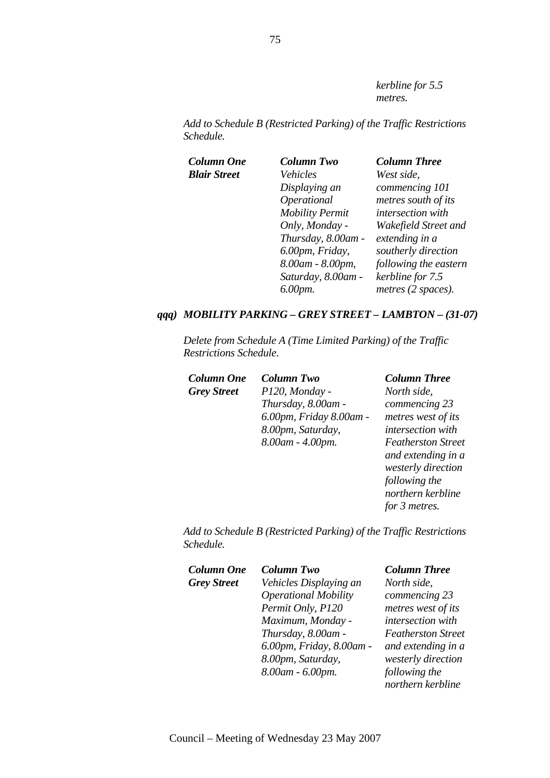*kerbline for 5.5 metres.* 

*Add to Schedule B (Restricted Parking) of the Traffic Restrictions Schedule.* 

| Column One          | <b>Column Two</b>      | <b>Column Three</b>   |
|---------------------|------------------------|-----------------------|
| <b>Blair Street</b> | Vehicles               | West side,            |
|                     | Displaying an          | commencing 101        |
|                     | Operational            | metres south of its   |
|                     | <b>Mobility Permit</b> | intersection with     |
|                     | Only, Monday -         | Wakefield Street and  |
|                     | Thursday, 8.00am -     | extending in a        |
|                     | 6.00pm, Friday,        | southerly direction   |
|                     | 8.00am - 8.00pm,       | following the eastern |
|                     | Saturday, 8.00am -     | kerbline for 7.5      |
|                     | 6.00pm.                | metres (2 spaces).    |
|                     |                        |                       |

#### *qqq) MOBILITY PARKING – GREY STREET – LAMBTON – (31-07)*

*Delete from Schedule A (Time Limited Parking) of the Traffic Restrictions Schedule.* 

| <b>Column One</b>  | <b>Column Two</b>       | <b>Column Three</b>    |
|--------------------|-------------------------|------------------------|
| <b>Grey Street</b> | P120, Monday -          | North side,            |
|                    | Thursday, 8.00am -      | commencing 23          |
|                    | 6.00pm, Friday 8.00am - | metres west of i       |
|                    | 8.00pm, Saturday,       | intersection wit       |
|                    | 8.00am - 4.00pm.        | <b>Featherston Str</b> |
|                    |                         | and extending i        |

*North side, commencing 23 metres west of its intersection with Featherston Street and extending in a westerly direction following the northern kerbline for 3 metres.* 

*Add to Schedule B (Restricted Parking) of the Traffic Restrictions Schedule.* 

| <b>Column One</b>  | <b>Column Two</b>           | <b>Column Three</b>       |
|--------------------|-----------------------------|---------------------------|
| <b>Grey Street</b> | Vehicles Displaying an      | North side,               |
|                    | <b>Operational Mobility</b> | commencing 23             |
|                    | Permit Only, P120           | metres west of its        |
|                    | Maximum, Monday -           | intersection with         |
|                    | Thursday, 8.00am -          | <b>Featherston Street</b> |
|                    | 6.00pm, Friday, 8.00am -    | and extending in a        |
|                    | 8.00pm, Saturday,           | westerly direction        |
|                    | 8.00am - 6.00pm.            | following the             |
|                    |                             | northern kerbline         |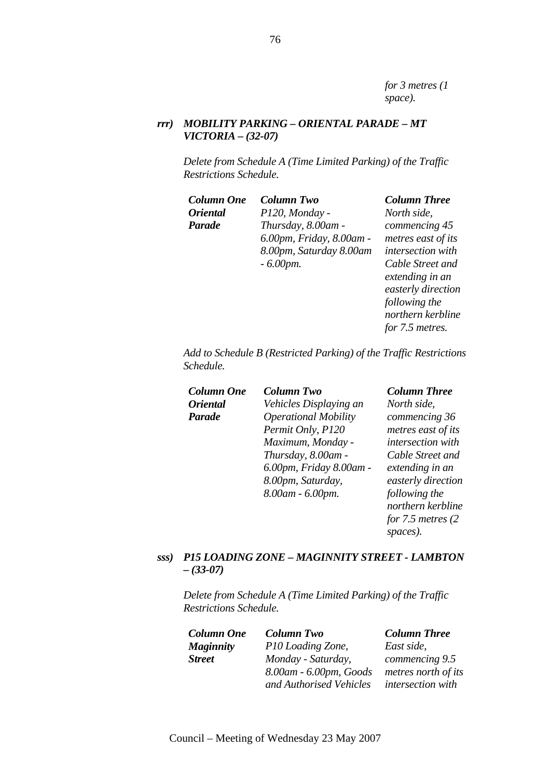*for 3 metres (1 space).* 

#### *rrr) MOBILITY PARKING – ORIENTAL PARADE – MT VICTORIA – (32-07)*

*Delete from Schedule A (Time Limited Parking) of the Traffic Restrictions Schedule.* 

*Oriental Parade*

*Column One Column Two Column Three P120, Monday - Thursday, 8.00am - 6.00pm, Friday, 8.00am - 8.00pm, Saturday 8.00am - 6.00pm.* 

*North side, commencing 45 metres east of its intersection with Cable Street and extending in an easterly direction following the northern kerbline for 7.5 metres.* 

*Add to Schedule B (Restricted Parking) of the Traffic Restrictions Schedule.* 

| Column One             | <b>Column Two</b>           | <b>Column Three</b> |
|------------------------|-----------------------------|---------------------|
| <i><b>Oriental</b></i> | Vehicles Displaying an      | North side,         |
| Parade                 | <b>Operational Mobility</b> | commencing 36       |
|                        | Permit Only, P120           | metres east of i    |
|                        | Maximum, Monday -           | intersection wir    |
|                        | Thursday, 8.00am -          | Cable Street an     |
|                        | 6.00pm, Friday 8.00am -     | extending in an     |
|                        | 8.00pm, Saturday,           | easterly directi    |
|                        | 8.00am - 6.00pm.            | following the       |
|                        |                             | northern kerbli     |
|                        |                             | $for 75$ matros (   |

*commencing 36 metres* of *its n* with *et and extending in an easterly direction*   $h$ *p northern kerbline for 7.5 metres (2 spaces).* 

# *sss) P15 LOADING ZONE – MAGINNITY STREET - LAMBTON – (33-07)*

*Delete from Schedule A (Time Limited Parking) of the Traffic Restrictions Schedule.* 

| <b>Column One</b> | <b>Column Two</b>       | <b>Column Three</b>      |
|-------------------|-------------------------|--------------------------|
| <b>Maginnity</b>  | P10 Loading Zone,       | East side,               |
| <b>Street</b>     | Monday - Saturday,      | commencing 9.5           |
|                   | 8.00am - 6.00pm, Goods  | metres north of its      |
|                   | and Authorised Vehicles | <i>intersection with</i> |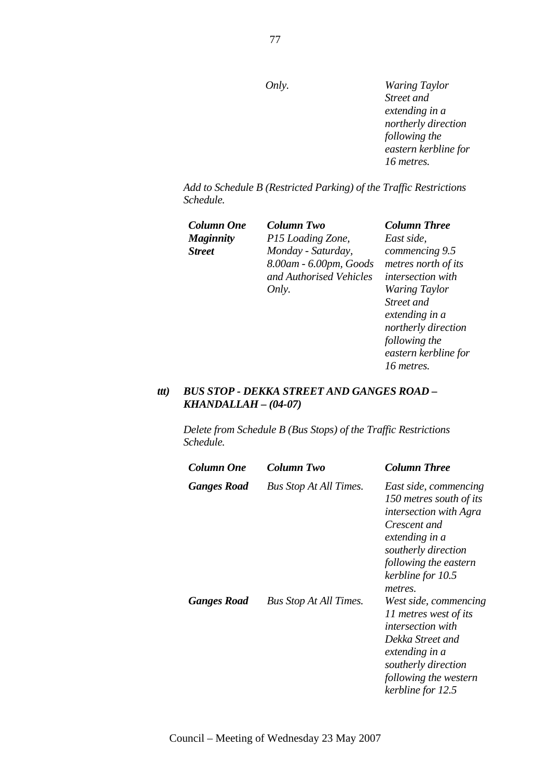*Only. Waring Taylor Street and extending in a northerly direction following the eastern kerbline for 16 metres.* 

*Add to Schedule B (Restricted Parking) of the Traffic Restrictions Schedule.* 

*Column One Column Two Column Three Maginnity Street*

*P15 Loading Zone, Monday - Saturday, 8.00am - 6.00pm, Goods and Authorised Vehicles Only.* 

*East side, commencing 9.5 metres north of its intersection with Waring Taylor Street and extending in a northerly direction following the eastern kerbline for 16 metres.* 

#### *ttt) BUS STOP - DEKKA STREET AND GANGES ROAD – KHANDALLAH – (04-07)*

*Delete from Schedule B (Bus Stops) of the Traffic Restrictions Schedule.* 

| Column One  | Column Two                    | <b>Column Three</b>                                                                                                                                                                              |
|-------------|-------------------------------|--------------------------------------------------------------------------------------------------------------------------------------------------------------------------------------------------|
| Ganges Road | <b>Bus Stop At All Times.</b> | East side, commencing<br>150 metres south of its<br><i>intersection with Agra</i><br>Crescent and<br>extending in a<br>southerly direction<br>following the eastern<br>kerbline for 10.5         |
| Ganges Road | <b>Bus Stop At All Times.</b> | metres.<br>West side, commencing<br>11 metres west of its<br><i>intersection with</i><br>Dekka Street and<br>extending in a<br>southerly direction<br>following the western<br>kerbline for 12.5 |

Council – Meeting of Wednesday 23 May 2007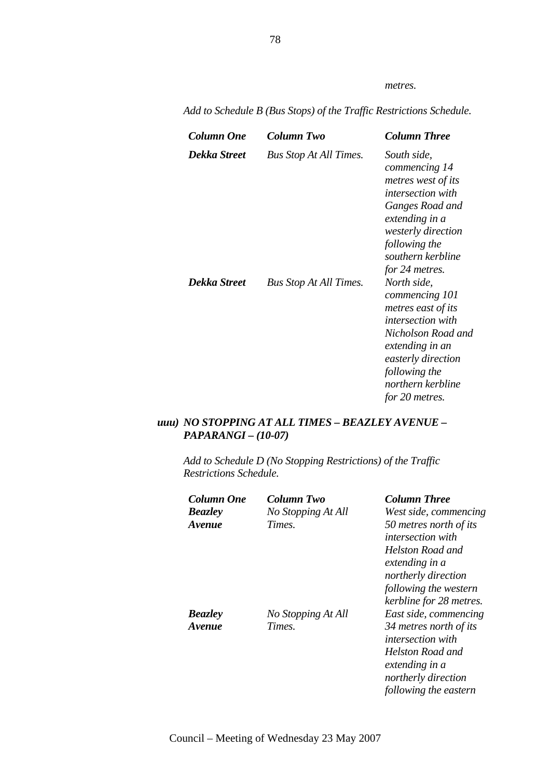*metres.* 

| Column One   | <b>Column Two</b>             | Column Three                                                                                                                                                                                           |
|--------------|-------------------------------|--------------------------------------------------------------------------------------------------------------------------------------------------------------------------------------------------------|
| Dekka Street | <b>Bus Stop At All Times.</b> | South side,<br>commencing 14<br>metres west of its<br><i>intersection with</i><br>Ganges Road and<br>extending in a<br>westerly direction<br>following the<br>southern kerbline<br>for 24 metres.      |
| Dekka Street | <b>Bus Stop At All Times.</b> | North side,<br>commencing 101<br>metres east of its<br><i>intersection with</i><br>Nicholson Road and<br>extending in an<br>easterly direction<br>following the<br>northern kerbline<br>for 20 metres. |

*Add to Schedule B (Bus Stops) of the Traffic Restrictions Schedule.* 

# *uuu) NO STOPPING AT ALL TIMES – BEAZLEY AVENUE – PAPARANGI – (10-07)*

*Add to Schedule D (No Stopping Restrictions) of the Traffic Restrictions Schedule.* 

| Column One     | Column Two         | <b>Column Three</b>                                       |
|----------------|--------------------|-----------------------------------------------------------|
| <b>Beazley</b> | No Stopping At All | West side, commencing                                     |
| Avenue         | Times.             | 50 metres north of its<br><i>intersection with</i>        |
|                |                    | Helston Road and<br>extending in a<br>northerly direction |
|                |                    | following the western                                     |
|                |                    | kerbline for 28 metres.                                   |
| <b>Beazley</b> | No Stopping At All | East side, commencing                                     |
| Avenue         | Times.             | 34 metres north of its<br><i>intersection with</i>        |
|                |                    | Helston Road and<br>extending in a                        |
|                |                    | northerly direction                                       |
|                |                    | following the eastern                                     |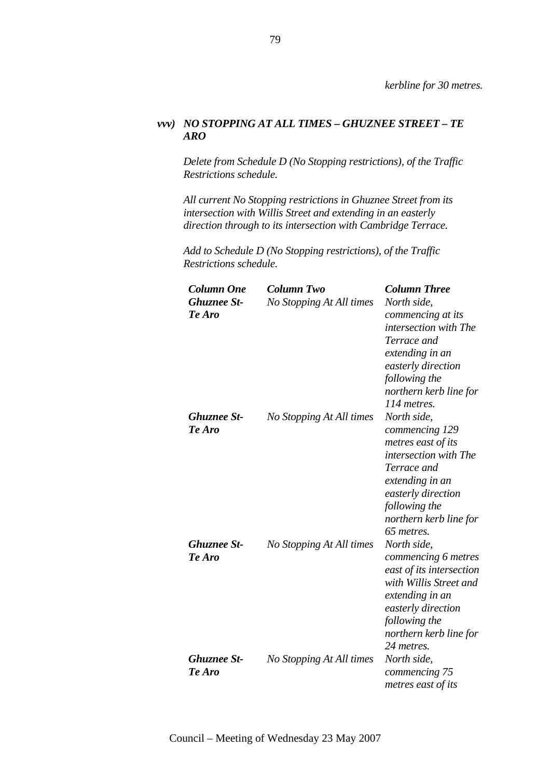### *vvv) NO STOPPING AT ALL TIMES – GHUZNEE STREET – TE ARO*

*Delete from Schedule D (No Stopping restrictions), of the Traffic Restrictions schedule.*

*All current No Stopping restrictions in Ghuznee Street from its intersection with Willis Street and extending in an easterly direction through to its intersection with Cambridge Terrace.*

*Add to Schedule D (No Stopping restrictions), of the Traffic Restrictions schedule.* 

| <b>Column One</b><br><b>Ghuznee St-</b><br>Te Aro | <b>Column Two</b><br>No Stopping At All times | <b>Column Three</b><br>North side,<br>commencing at its<br>intersection with The<br>Terrace and<br>extending in an<br>easterly direction<br>following the<br>northern kerb line for<br>114 metres. |
|---------------------------------------------------|-----------------------------------------------|----------------------------------------------------------------------------------------------------------------------------------------------------------------------------------------------------|
| <b>Ghuznee St-</b><br>Te Aro                      | No Stopping At All times                      | North side,<br>commencing 129<br>metres east of its<br>intersection with The<br>Terrace and<br>extending in an<br>easterly direction<br>following the<br>northern kerb line for<br>65 metres.      |
| <b>Ghuznee St-</b><br>Te Aro                      | No Stopping At All times                      | North side,<br>commencing 6 metres<br>east of its intersection<br>with Willis Street and<br>extending in an<br>easterly direction<br>following the<br>northern kerb line for<br>24 metres.         |
| <b>Ghuznee St-</b><br>Te Aro                      | No Stopping At All times                      | North side,<br>commencing 75<br>metres east of its                                                                                                                                                 |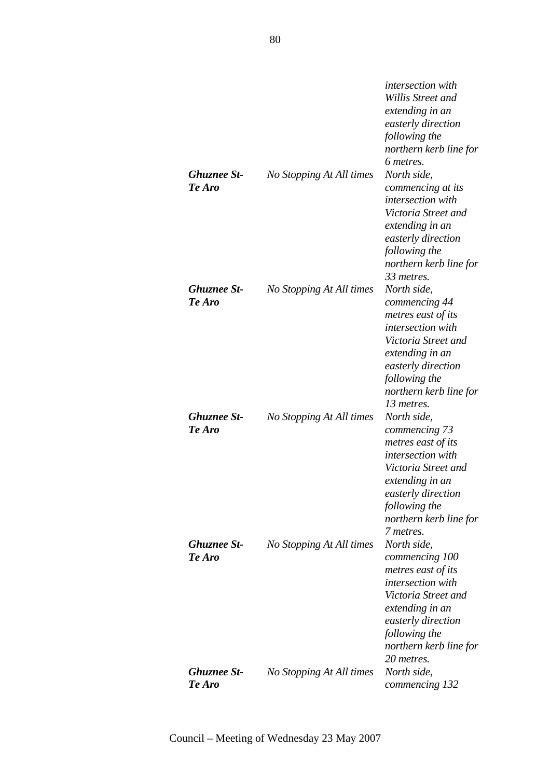|                              |                          | intersection with<br>Willis Street and<br>extending in an<br>easterly direction<br>following the<br>northern kerb line for                                                                        |
|------------------------------|--------------------------|---------------------------------------------------------------------------------------------------------------------------------------------------------------------------------------------------|
| <b>Ghuznee St-</b><br>Te Aro | No Stopping At All times | 6 metres.<br>North side,<br>commencing at its<br>intersection with<br>Victoria Street and<br>extending in an<br>easterly direction<br>following the<br>northern kerb line for<br>33 metres.       |
| <b>Ghuznee St-</b><br>Te Aro | No Stopping At All times | North side,<br>commencing 44<br>metres east of its<br>intersection with<br>Victoria Street and<br>extending in an<br>easterly direction<br>following the<br>northern kerb line for<br>13 metres.  |
| <b>Ghuznee St-</b><br>Te Aro | No Stopping At All times | North side,<br>commencing 73<br>metres east of its<br>intersection with<br>Victoria Street and<br>extending in an<br>easterly direction<br>following the<br>northern kerb line for<br>7 metres.   |
| <b>Ghuznee St-</b><br>Te Aro | No Stopping At All times | North side.<br>commencing 100<br>metres east of its<br>intersection with<br>Victoria Street and<br>extending in an<br>easterly direction<br>following the<br>northern kerb line for<br>20 metres. |
| <b>Ghuznee St-</b><br>Te Aro | No Stopping At All times | North side,<br>commencing 132                                                                                                                                                                     |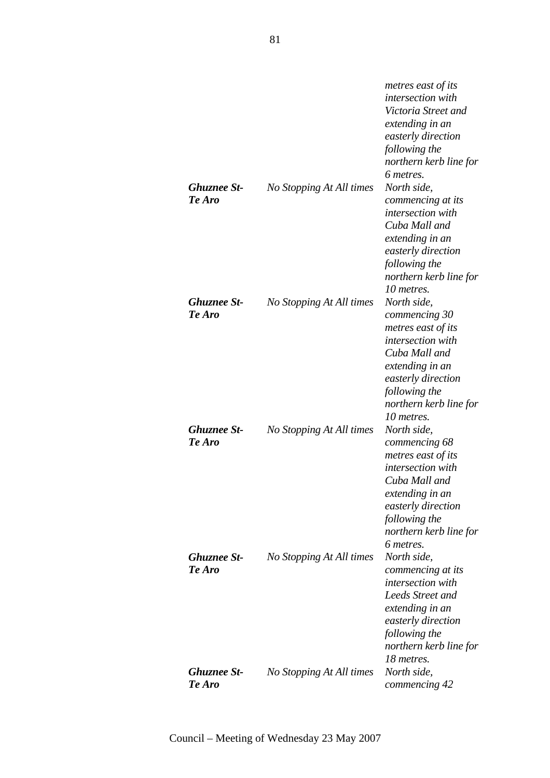|                    |                          | metres east of its       |
|--------------------|--------------------------|--------------------------|
|                    |                          | <i>intersection</i> with |
|                    |                          | Victoria Street and      |
|                    |                          | extending in an          |
|                    |                          | easterly direction       |
|                    |                          | following the            |
|                    |                          | northern kerb line for   |
|                    |                          | 6 metres.                |
| <b>Ghuznee St-</b> | No Stopping At All times | North side,              |
| Te Aro             |                          | commencing at its        |
|                    |                          | intersection with        |
|                    |                          | Cuba Mall and            |
|                    |                          | extending in an          |
|                    |                          | easterly direction       |
|                    |                          | following the            |
|                    |                          | northern kerb line for   |
|                    |                          | 10 metres.               |
| <b>Ghuznee St-</b> | No Stopping At All times | North side,              |
| Te Aro             |                          | commencing 30            |
|                    |                          | metres east of its       |
|                    |                          | intersection with        |
|                    |                          | Cuba Mall and            |
|                    |                          | extending in an          |
|                    |                          | easterly direction       |
|                    |                          | following the            |
|                    |                          | northern kerb line for   |
|                    |                          | 10 metres.               |
| <b>Ghuznee St-</b> | No Stopping At All times | North side,              |
| Te Aro             |                          | commencing 68            |
|                    |                          | metres east of its       |
|                    |                          | intersection with        |
|                    |                          | Cuba Mall and            |
|                    |                          | extending in an          |
|                    |                          | easterly direction       |
|                    |                          | following the            |
|                    |                          | northern kerb line for   |
|                    |                          | 6 metres.                |
| <b>Ghuznee St-</b> | No Stopping At All times | North side,              |
| Te Aro             |                          | commencing at its        |
|                    |                          | intersection with        |
|                    |                          | Leeds Street and         |
|                    |                          | extending in an          |
|                    |                          | easterly direction       |
|                    |                          | following the            |
|                    |                          | northern kerb line for   |
|                    |                          | 18 metres.               |
| <b>Ghuznee St-</b> | No Stopping At All times | North side,              |
| Te Aro             |                          | commencing 42            |
|                    |                          |                          |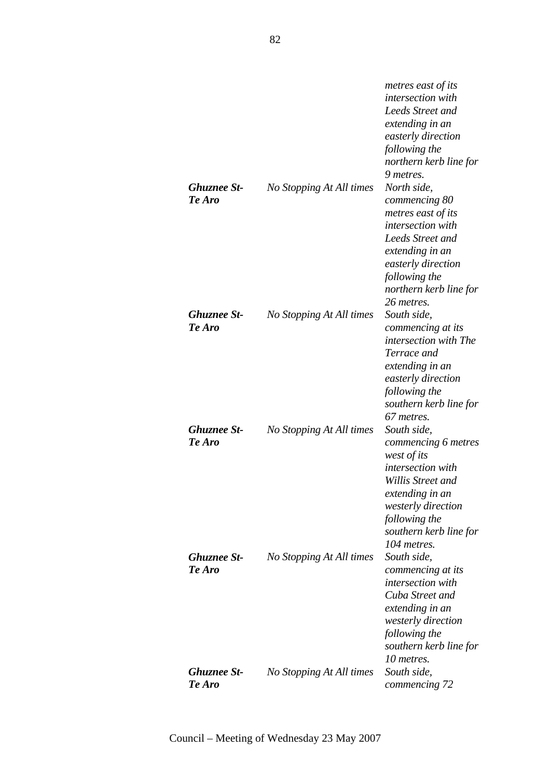|                    |                          | metres east of its        |
|--------------------|--------------------------|---------------------------|
|                    |                          | <i>intersection</i> with  |
|                    |                          | Leeds Street and          |
|                    |                          | extending in an           |
|                    |                          | easterly direction        |
|                    |                          | following the             |
|                    |                          | northern kerb line for    |
|                    |                          | 9 metres.                 |
| <b>Ghuznee St-</b> | No Stopping At All times | North side,               |
| Te Aro             |                          | commencing 80             |
|                    |                          | metres east of its        |
|                    |                          | intersection with         |
|                    |                          | Leeds Street and          |
|                    |                          |                           |
|                    |                          | extending in an           |
|                    |                          | easterly direction        |
|                    |                          | following the             |
|                    |                          | northern kerb line for    |
|                    |                          | 26 metres.                |
| <b>Ghuznee St-</b> | No Stopping At All times | South side,               |
| Te Aro             |                          | commencing at its         |
|                    |                          | intersection with The     |
|                    |                          | Terrace and               |
|                    |                          | extending in an           |
|                    |                          | easterly direction        |
|                    |                          | following the             |
|                    |                          | southern kerb line for    |
|                    |                          | 67 metres.                |
| <b>Ghuznee St-</b> | No Stopping At All times | South side,               |
| Te Aro             |                          | commencing 6 metres       |
|                    |                          | west of its               |
|                    |                          | intersection with         |
|                    |                          | Willis Street and         |
|                    |                          | extending in an           |
|                    |                          | <i>westerly direction</i> |
|                    |                          | following the             |
|                    |                          | southern kerb line for    |
|                    |                          | 104 metres.               |
| <b>Ghuznee St-</b> | No Stopping At All times | South side,               |
| Te Aro             |                          | commencing at its         |
|                    |                          | intersection with         |
|                    |                          | Cuba Street and           |
|                    |                          | extending in an           |
|                    |                          | westerly direction        |
|                    |                          | following the             |
|                    |                          | southern kerb line for    |
|                    |                          | 10 metres.                |
| <b>Ghuznee St-</b> | No Stopping At All times | South side,               |
| Te Aro             |                          | commencing 72             |
|                    |                          |                           |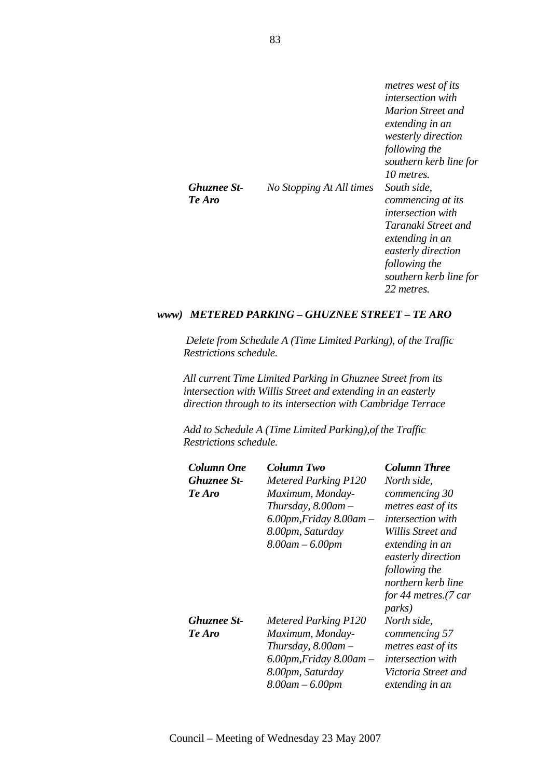|                    |                          | metres west of its<br><i>intersection with</i><br>Marion Street and<br>extending in an<br><i>westerly direction</i><br>following the<br>southern kerb line for<br>10 metres. |
|--------------------|--------------------------|------------------------------------------------------------------------------------------------------------------------------------------------------------------------------|
| <b>Ghuznee St-</b> | No Stopping At All times | South side,                                                                                                                                                                  |
| Te Aro             |                          | commencing at its                                                                                                                                                            |
|                    |                          | <i>intersection with</i>                                                                                                                                                     |
|                    |                          | Taranaki Street and<br>extending in an                                                                                                                                       |
|                    |                          | easterly direction                                                                                                                                                           |
|                    |                          | following the                                                                                                                                                                |
|                    |                          | southern kerb line for                                                                                                                                                       |
|                    |                          | 22 metres.                                                                                                                                                                   |

#### *www) METERED PARKING – GHUZNEE STREET – TE ARO*

 *Delete from Schedule A (Time Limited Parking), of the Traffic Restrictions schedule.* 

*All current Time Limited Parking in Ghuznee Street from its intersection with Willis Street and extending in an easterly direction through to its intersection with Cambridge Terrace*

*Add to Schedule A (Time Limited Parking),of the Traffic Restrictions schedule.* 

| Column One  | Column Two                      | <b>Column Three</b>              |
|-------------|---------------------------------|----------------------------------|
| Ghuznee St- | <b>Metered Parking P120</b>     | North side,                      |
| Te Aro      | Maximum, Monday-                | commencing 30                    |
|             | Thursday, $8.00$ am $-$         | metres east of its               |
|             | $6.00$ pm, Friday $8.00$ am $-$ | <i>intersection with</i>         |
|             | 8.00pm, Saturday                | Willis Street and                |
|             | $8.00$ am $- 6.00$ pm           | extending in an                  |
|             |                                 | easterly direction               |
|             |                                 | following the                    |
|             |                                 | northern kerb line               |
|             |                                 | for 44 metres. $(7 \text{ car})$ |
|             |                                 | <i>parks</i> )                   |
| Ghuznee St- | <b>Metered Parking P120</b>     | North side,                      |
| Te Aro      | Maximum, Monday-                | commencing 57                    |
|             | Thursday, $8.00$ am $-$         | metres east of its               |
|             | $6.00$ pm, Friday $8.00$ am $-$ | <i>intersection with</i>         |
|             | 8.00pm, Saturday                | Victoria Street and              |
|             | $8.00$ am $- 6.00$ pm           | extending in an                  |
|             |                                 |                                  |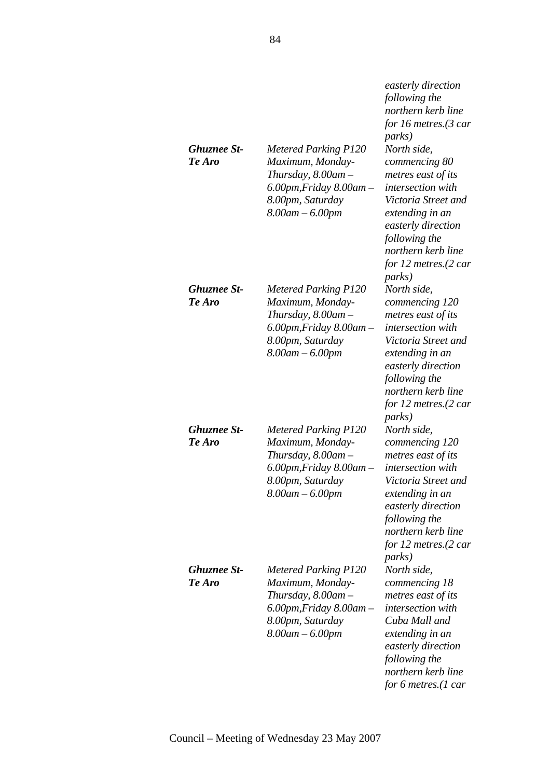|                       |                                                                                                                                                            | easterly direction<br>following the<br>northern kerb line<br>for 16 metres.(3 car<br><i>parks</i> )                                                                                                                                   |
|-----------------------|------------------------------------------------------------------------------------------------------------------------------------------------------------|---------------------------------------------------------------------------------------------------------------------------------------------------------------------------------------------------------------------------------------|
| Ghuznee St-<br>Te Aro | <b>Metered Parking P120</b><br>Maximum, Monday-<br>Thursday, $8.00$ am $-$<br>$6.00$ pm, Friday $8.00$ am $-$<br>8.00pm, Saturday<br>$8.00$ am $- 6.00$ pm | North side,<br>commencing 80<br>metres east of its<br><i>intersection</i> with<br>Victoria Street and<br>extending in an<br>easterly direction<br>following the<br>northern kerb line<br>for 12 metres.(2 car<br><i>parks</i> )       |
| Ghuznee St-<br>Te Aro | <b>Metered Parking P120</b><br>Maximum, Monday-<br>Thursday, $8.00$ am $-$<br>$6.00$ pm, Friday $8.00$ am $-$<br>8.00pm, Saturday<br>$8.00$ am $- 6.00$ pm | North side,<br>commencing 120<br>metres east of its<br>intersection with<br>Victoria Street and<br>extending in an<br>easterly direction<br>following the<br>northern kerb line<br>for 12 metres.(2 car<br><i>parks</i> )             |
| Ghuznee St-<br>Te Aro | <b>Metered Parking P120</b><br>Maximum, Monday-<br>Thursday, $8.00$ am $-$<br>$6.00$ pm, Friday $8.00$ am $-$<br>8.00pm, Saturday<br>8.00am – 6.00pm       | North side,<br>commencing 120<br>metres east of its<br>intersection with<br>Victoria Street and<br>extending in an<br>easterly direction<br>following the<br>northern kerb line<br>for 12 metres. $(2 \text{ car})$<br><i>parks</i> ) |
| Ghuznee St-<br>Te Aro | <b>Metered Parking P120</b><br>Maximum, Monday-<br>Thursday, $8.00$ am $-$<br>$6.00$ pm, Friday $8.00$ am $-$<br>8.00pm, Saturday<br>$8.00$ am $- 6.00$ pm | North side,<br>commencing 18<br>metres east of its<br>intersection with<br>Cuba Mall and<br>extending in an<br>easterly direction<br>following the<br>northern kerb line<br>for 6 metres.(1 car                                       |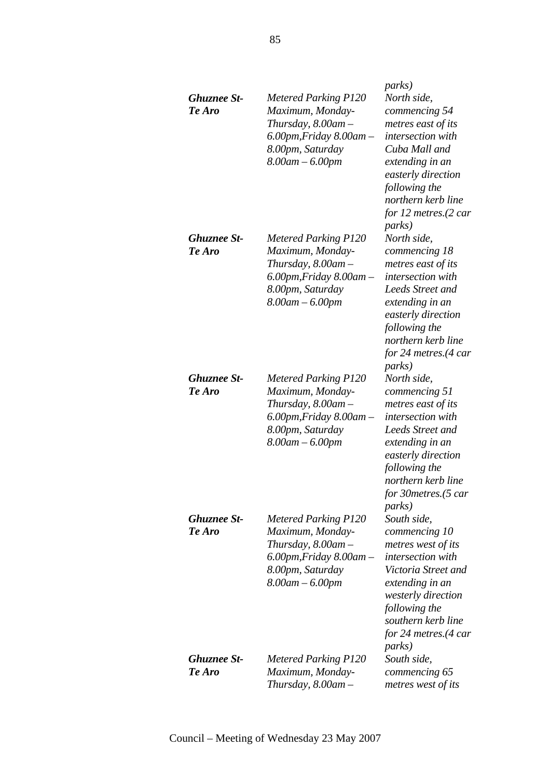| Ghuznee St-<br>Te Aro | <b>Metered Parking P120</b><br>Maximum, Monday-<br>Thursday, $8.00$ am $-$<br>$6.00$ pm, Friday $8.00$ am $-$<br>8.00pm, Saturday<br>$8.00$ am $- 6.00$ pm | <i>parks</i> )<br>North side,<br>commencing 54<br>metres east of its<br>intersection with<br>Cuba Mall and<br>extending in an<br>easterly direction<br>following the<br>northern kerb line<br>for 12 metres. $(2 \text{ car})$              |
|-----------------------|------------------------------------------------------------------------------------------------------------------------------------------------------------|---------------------------------------------------------------------------------------------------------------------------------------------------------------------------------------------------------------------------------------------|
| Ghuznee St-<br>Te Aro | <b>Metered Parking P120</b><br>Maximum, Monday-<br>Thursday, $8.00$ am $-$<br>$6.00$ pm, Friday $8.00$ am $-$<br>8.00pm, Saturday<br>$8.00$ am $- 6.00$ pm | <i>parks</i> )<br>North side,<br>commencing 18<br>metres east of its<br>intersection with<br>Leeds Street and<br>extending in an<br>easterly direction<br>following the<br>northern kerb line<br>for 24 metres.(4 car<br><i>parks</i> )     |
| Ghuznee St-<br>Te Aro | <b>Metered Parking P120</b><br>Maximum, Monday-<br>Thursday, $8.00$ am $-$<br>$6.00$ pm, Friday $8.00$ am $-$<br>8.00pm, Saturday<br>$8.00$ am $- 6.00$ pm | North side,<br>commencing 51<br>metres east of its<br><i>intersection</i> with<br>Leeds Street and<br>extending in an<br>easterly direction<br>following the<br>northern kerb line<br>for 30metres.(5 car<br><i>parks</i> )                 |
| Ghuznee St-<br>Te Aro | <b>Metered Parking P120</b><br>Maximum, Monday-<br>Thursday, $8.00$ am $-$<br>$6.00$ pm, Friday $8.00$ am $-$<br>8.00pm, Saturday<br>$8.00$ am $- 6.00$ pm | South side,<br>commencing 10<br>metres west of its<br><i>intersection</i> with<br>Victoria Street and<br>extending in an<br>westerly direction<br>following the<br>southern kerb line<br>for 24 metres. $(4 \text{ car})$<br><i>parks</i> ) |
| Ghuznee St-<br>Te Aro | <b>Metered Parking P120</b><br>Maximum, Monday-<br>Thursday, $8.00$ am $-$                                                                                 | South side,<br>commencing 65<br>metres west of its                                                                                                                                                                                          |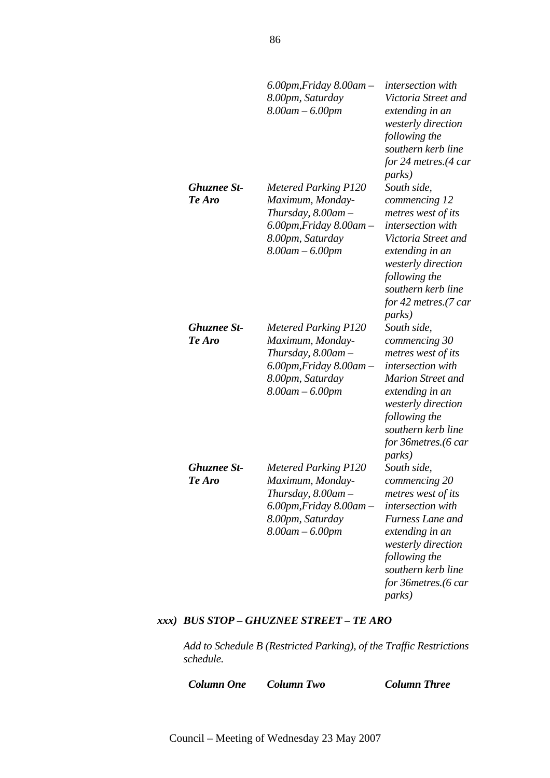|                              | $6.00$ pm, Friday $8.00$ am $-$<br>8.00pm, Saturday<br>$8.00$ am $- 6.00$ pm                                                                               | <i>intersection</i> with<br>Victoria Street and<br>extending in an<br>westerly direction<br>following the<br>southern kerb line<br>for 24 metres.(4 car<br><i>parks</i> )                                                    |
|------------------------------|------------------------------------------------------------------------------------------------------------------------------------------------------------|------------------------------------------------------------------------------------------------------------------------------------------------------------------------------------------------------------------------------|
| <b>Ghuznee St-</b><br>Te Aro | <b>Metered Parking P120</b><br>Maximum, Monday-<br>Thursday, $8.00$ am $-$<br>$6.00$ pm, Friday $8.00$ am $-$<br>8.00pm, Saturday<br>$8.00$ am $- 6.00$ pm | South side,<br>commencing 12<br>metres west of its<br>intersection with<br>Victoria Street and<br>extending in an<br>westerly direction<br>following the<br>southern kerb line<br>for 42 metres.(7 car<br><i>parks</i> )     |
| <b>Ghuznee St-</b><br>Te Aro | <b>Metered Parking P120</b><br>Maximum, Monday-<br>Thursday, $8.00$ am $-$<br>$6.00$ pm, Friday $8.00$ am $-$<br>8.00pm, Saturday<br>8.00am – 6.00pm       | South side,<br>commencing 30<br>metres west of its<br>intersection with<br><b>Marion Street and</b><br>extending in an<br>westerly direction<br>following the<br>southern kerb line<br>for 36metres.(6 car<br><i>parks</i> ) |
| <b>Ghuznee St-</b><br>Te Aro | <b>Metered Parking P120</b><br>Maximum, Monday-<br>Thursday, 8.00am -<br>$6.00$ pm, Friday $8.00$ am $-$<br>8.00pm, Saturday<br>$8.00$ am $- 6.00$ pm      | South side,<br>commencing 20<br>metres west of its<br>intersection with<br>Furness Lane and<br>extending in an<br>westerly direction<br>following the<br>southern kerb line<br>for 36metres.(6 car<br><i>parks</i> )         |

### *xxx) BUS STOP – GHUZNEE STREET – TE ARO*

*Add to Schedule B (Restricted Parking), of the Traffic Restrictions schedule.* 

*Column One Column Two Column Three*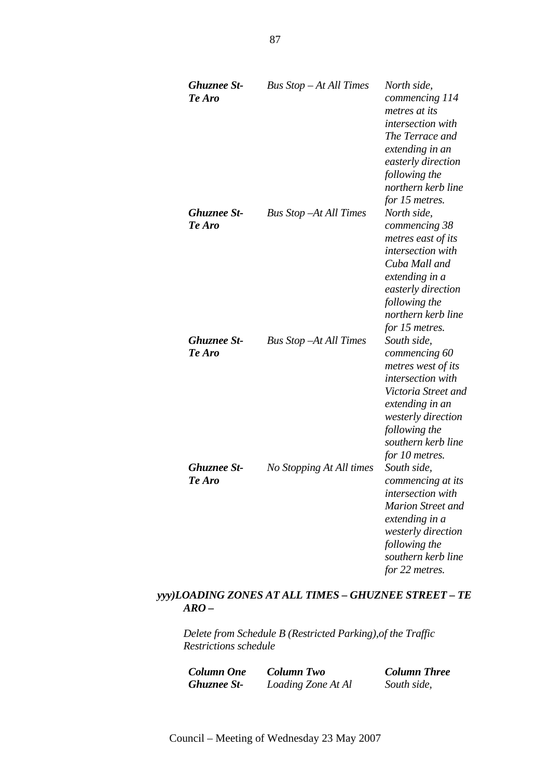| <b>Ghuznee St-</b><br>Te Aro | Bus Stop – At All Times        | North side,<br>commencing 114<br>metres at its<br><i>intersection</i> with<br>The Terrace and<br>extending in an<br>easterly direction<br>following the<br>northern kerb line<br>for 15 metres.         |
|------------------------------|--------------------------------|---------------------------------------------------------------------------------------------------------------------------------------------------------------------------------------------------------|
| <b>Ghuznee St-</b><br>Te Aro | <b>Bus Stop – At All Times</b> | North side,<br>commencing 38<br>metres east of its<br>intersection with<br>Cuba Mall and<br>extending in a<br>easterly direction<br>following the<br>northern kerb line<br>for 15 metres.               |
| <b>Ghuznee St-</b><br>Te Aro | <b>Bus Stop -At All Times</b>  | South side,<br>commencing 60<br>metres west of its<br>intersection with<br>Victoria Street and<br>extending in an<br><i>westerly direction</i><br>following the<br>southern kerb line<br>for 10 metres. |
| <b>Ghuznee St-</b><br>Te Aro | No Stopping At All times       | South side,<br>commencing at its<br><i>intersection with</i><br><b>Marion Street and</b><br>extending in a<br>westerly direction<br>following the<br>southern kerb line<br>for 22 metres.               |

# *yyy)LOADING ZONES AT ALL TIMES – GHUZNEE STREET – TE ARO –*

*Delete from Schedule B (Restricted Parking),of the Traffic Restrictions schedule* 

*Column One Column Two Column Three* Loading Zone At Al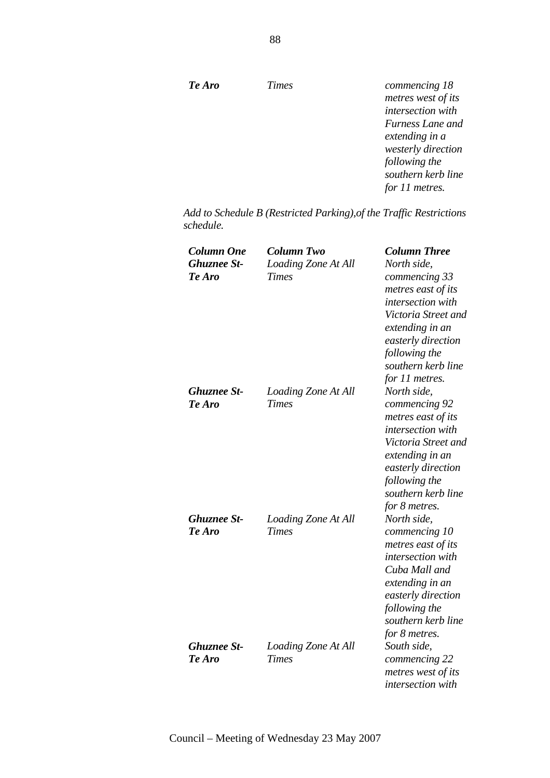| Te Aro | <b>Times</b> | commencing 18      |
|--------|--------------|--------------------|
|        |              | metres west of its |
|        |              | intersection with  |
|        |              | Furness Lane and   |
|        |              | extending in a     |
|        |              | westerly direction |
|        |              | following the      |
|        |              | southern kerb line |
|        |              | for 11 metres.     |

*Add to Schedule B (Restricted Parking),of the Traffic Restrictions schedule.* 

| Column One<br><b>Ghuznee St-</b><br>Te Aro | <b>Column Two</b><br>Loading Zone At All<br><b>Times</b> | <b>Column Three</b><br>North side,<br>commencing 33<br>metres east of its<br>intersection with<br>Victoria Street and<br>extending in an<br>easterly direction<br>following the<br>southern kerb line<br>for 11 metres. |
|--------------------------------------------|----------------------------------------------------------|-------------------------------------------------------------------------------------------------------------------------------------------------------------------------------------------------------------------------|
| <b>Ghuznee St-</b><br>Te Aro               | Loading Zone At All<br><b>Times</b>                      | North side,<br>commencing 92<br>metres east of its<br>intersection with<br>Victoria Street and<br>extending in an<br>easterly direction<br>following the<br>southern kerb line<br>for 8 metres.                         |
| <b>Ghuznee St-</b><br>Te Aro               | Loading Zone At All<br><b>Times</b>                      | North side,<br>commencing 10<br>metres east of its<br>intersection with<br>Cuba Mall and<br>extending in an<br>easterly direction<br>following the<br>southern kerb line<br>for 8 metres.                               |
| <b>Ghuznee St-</b><br>Te Aro               | Loading Zone At All<br><b>Times</b>                      | South side,<br>commencing 22<br>metres west of its<br>intersection with                                                                                                                                                 |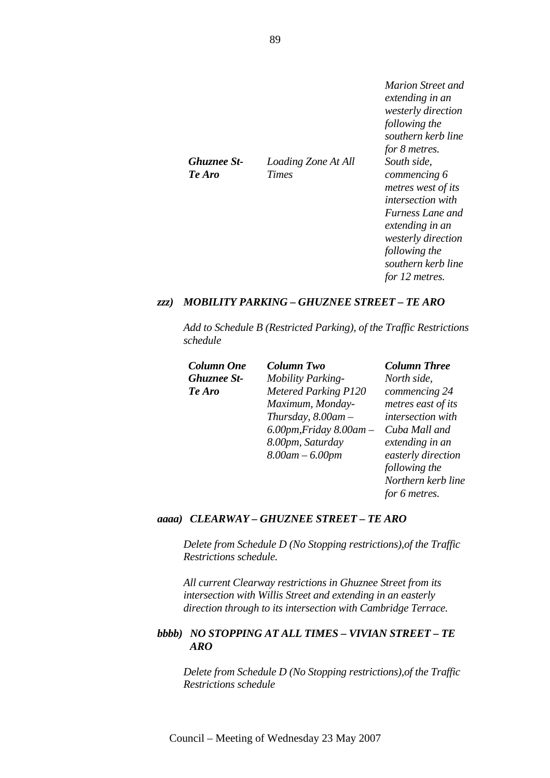|                     | Marion Street and<br>extending in an<br><i>westerly direction</i><br>following the |
|---------------------|------------------------------------------------------------------------------------|
|                     | southern kerb line<br>for 8 metres.                                                |
| Loading Zone At All | South side.                                                                        |
| <b>Times</b>        | commencing 6                                                                       |
|                     | metres west of its                                                                 |
|                     | <i>intersection with</i>                                                           |
|                     | <i>Furness Lane and</i>                                                            |
|                     | extending in an                                                                    |
|                     | <i>westerly direction</i>                                                          |
|                     | following the                                                                      |
|                     | southern kerb line                                                                 |
|                     | for 12 metres.                                                                     |
|                     |                                                                                    |

#### *zzz) MOBILITY PARKING – GHUZNEE STREET – TE ARO*

*Add to Schedule B (Restricted Parking), of the Traffic Restrictions schedule* 

| Column One         | <b>Column Two</b>               | <b>Column Three</b> |
|--------------------|---------------------------------|---------------------|
| <b>Ghuznee St-</b> | <b>Mobility Parking-</b>        | North side,         |
| Te Aro             | <b>Metered Parking P120</b>     | commencing 24       |
|                    | Maximum, Monday-                | metres east of its  |
|                    | Thursday, $8.00$ am $-$         | intersection with   |
|                    | $6.00$ pm, Friday $8.00$ am $-$ | Cuba Mall and       |
|                    | 8.00pm, Saturday                | extending in an     |
|                    | $8.00$ am $- 6.00$ pm           | easterly direction  |

*following the Northern kerb line* 

*for 6 metres.* 

# *aaaa) CLEARWAY – GHUZNEE STREET – TE ARO*

*Delete from Schedule D (No Stopping restrictions),of the Traffic Restrictions schedule.* 

*All current Clearway restrictions in Ghuznee Street from its intersection with Willis Street and extending in an easterly direction through to its intersection with Cambridge Terrace.*

#### *bbbb) NO STOPPING AT ALL TIMES – VIVIAN STREET – TE ARO*

*Delete from Schedule D (No Stopping restrictions),of the Traffic Restrictions schedule* 

*Ghuznee St-Te Aro*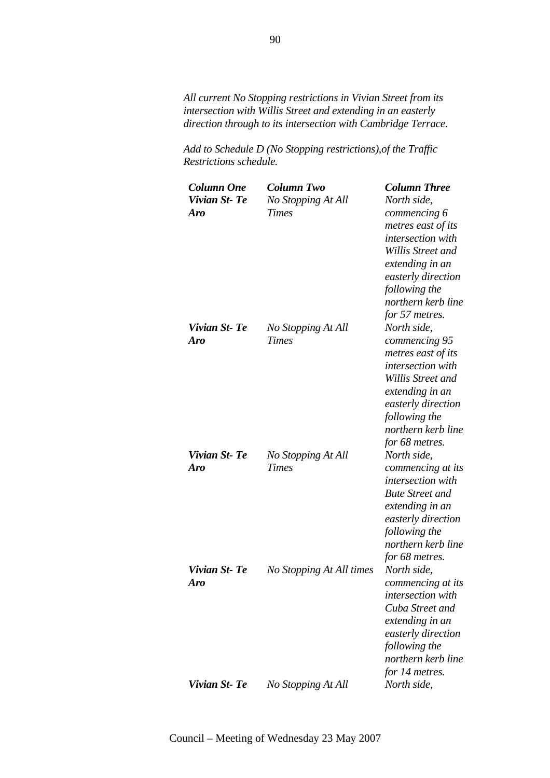*All current No Stopping restrictions in Vivian Street from its intersection with Willis Street and extending in an easterly direction through to its intersection with Cambridge Terrace.*

*Add to Schedule D (No Stopping restrictions),of the Traffic Restrictions schedule.* 

| Column One   | <b>Column Two</b>        | <b>Column Three</b>    |
|--------------|--------------------------|------------------------|
| Vivian St-Te | No Stopping At All       | North side,            |
| <b>Aro</b>   | <b>Times</b>             | commencing 6           |
|              |                          | metres east of its     |
|              |                          | intersection with      |
|              |                          | Willis Street and      |
|              |                          | extending in an        |
|              |                          | easterly direction     |
|              |                          | following the          |
|              |                          | northern kerb line     |
|              |                          | for 57 metres.         |
| Vivian St-Te | No Stopping At All       | North side,            |
| Aro          | <b>Times</b>             | commencing 95          |
|              |                          | metres east of its     |
|              |                          | intersection with      |
|              |                          | Willis Street and      |
|              |                          | extending in an        |
|              |                          | easterly direction     |
|              |                          | following the          |
|              |                          | northern kerb line     |
|              |                          | for 68 metres.         |
| Vivian St-Te | No Stopping At All       | North side,            |
| Aro          | <b>Times</b>             | commencing at its      |
|              |                          | intersection with      |
|              |                          | <b>Bute Street and</b> |
|              |                          | extending in an        |
|              |                          | easterly direction     |
|              |                          | following the          |
|              |                          | northern kerb line     |
|              |                          | for 68 metres.         |
| Vivian St-Te | No Stopping At All times | North side,            |
| Aro          |                          | commencing at its      |
|              |                          | intersection with      |
|              |                          | Cuba Street and        |
|              |                          | extending in an        |
|              |                          | easterly direction     |
|              |                          | following the          |
|              |                          | northern kerb line     |
|              |                          | for 14 metres.         |
| Vivian St-Te | No Stopping At All       | North side,            |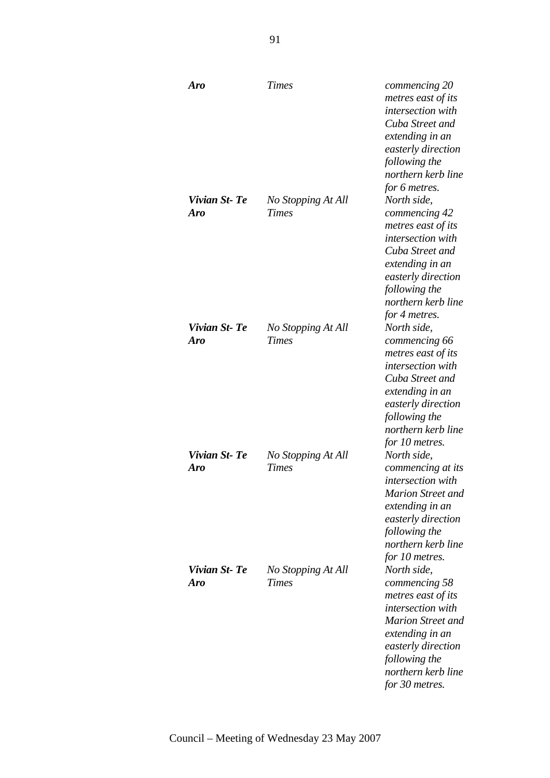| Aro                 | <b>Times</b>                       | commencing 20<br>metres east of its<br>intersection with<br>Cuba Street and<br>extending in an<br>easterly direction<br>following the<br>northern kerb line<br>for 6 metres.                                 |
|---------------------|------------------------------------|--------------------------------------------------------------------------------------------------------------------------------------------------------------------------------------------------------------|
| Vivian St-Te<br>Aro | No Stopping At All<br><b>Times</b> | North side,<br>commencing 42<br>metres east of its<br>intersection with<br>Cuba Street and<br>extending in an<br>easterly direction<br>following the<br>northern kerb line<br>for 4 metres.                  |
| Vivian St-Te<br>Aro | No Stopping At All<br><b>Times</b> | North side,<br>commencing 66<br>metres east of its<br><i>intersection</i> with<br>Cuba Street and<br>extending in an<br>easterly direction<br>following the<br>northern kerb line<br>for 10 metres.          |
| Vivian St-Te<br>Aro | No Stopping At All<br><b>Times</b> | North side,<br>commencing at its<br><i>intersection</i> with<br><b>Marion Street and</b><br>extending in an<br>easterly direction<br>following the<br>northern kerb line<br>for 10 metres.                   |
| Vivian St-Te<br>Aro | No Stopping At All<br><b>Times</b> | North side,<br>commencing 58<br>metres east of its<br><i>intersection</i> with<br><b>Marion Street and</b><br>extending in an<br>easterly direction<br>following the<br>northern kerb line<br>for 30 metres. |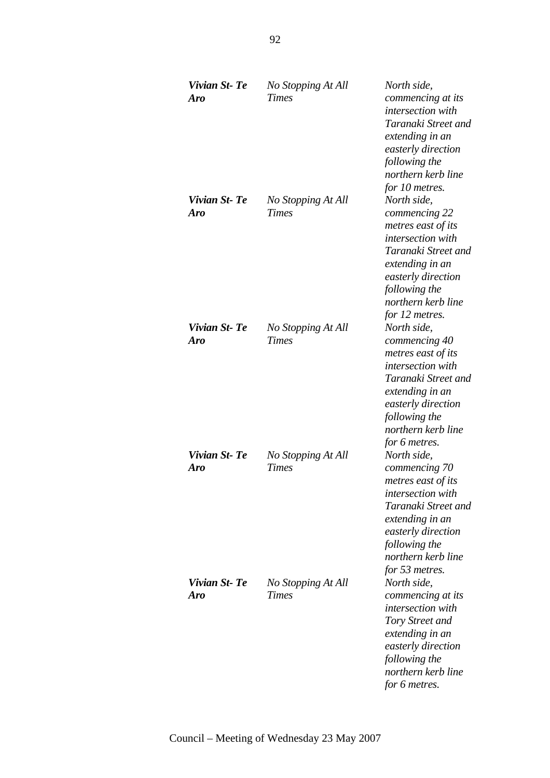| Vivian St-Te<br>Aro | No Stopping At All<br><b>Times</b> | North side,<br>commencing at its<br><i>intersection with</i><br>Taranaki Street and<br>extending in an<br>easterly direction<br>following the<br>northern kerb line<br>for 10 metres.                   |
|---------------------|------------------------------------|---------------------------------------------------------------------------------------------------------------------------------------------------------------------------------------------------------|
| Vivian St-Te<br>Aro | No Stopping At All<br><b>Times</b> | North side,<br>commencing 22<br>metres east of its<br><i>intersection</i> with<br>Taranaki Street and<br>extending in an<br>easterly direction<br>following the<br>northern kerb line<br>for 12 metres. |
| Vivian St-Te<br>Aro | No Stopping At All<br><b>Times</b> | North side,<br>commencing 40<br>metres east of its<br>intersection with<br>Taranaki Street and<br>extending in an<br>easterly direction<br>following the<br>northern kerb line<br>for 6 metres.         |
| Vivian St-Te<br>Aro | No Stopping At All<br><b>Times</b> | North side,<br>commencing 70<br>metres east of its<br>intersection with<br>Taranaki Street and<br>extending in an<br>easterly direction<br>following the<br>northern kerb line<br>for 53 metres.        |
| Vivian St-Te<br>Aro | No Stopping At All<br><b>Times</b> | North side,<br>commencing at its<br>intersection with<br>Tory Street and<br>extending in an<br>easterly direction<br>following the<br>northern kerb line<br>for 6 metres.                               |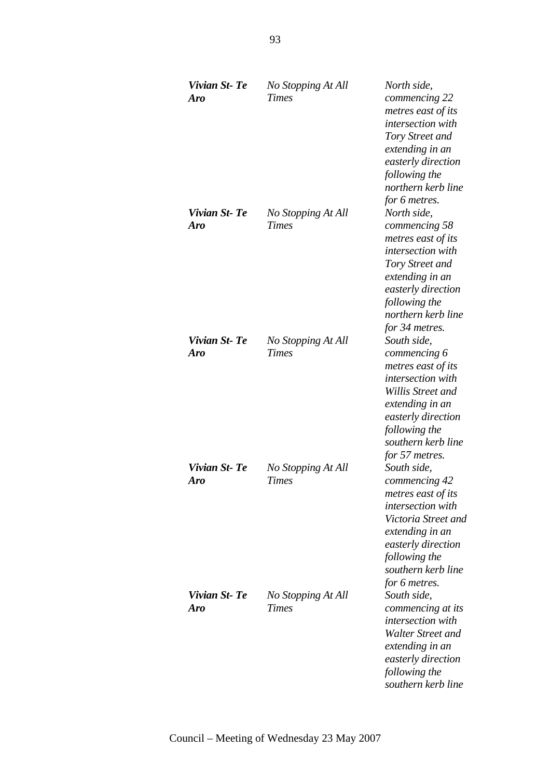| Vivian St-Te<br><b>Aro</b> | No Stopping At All<br><b>Times</b> | North side,<br>commencing 22<br>metres east of its<br>intersection with<br>Tory Street and<br>extending in an<br>easterly direction<br>following the<br>northern kerb line                                           |
|----------------------------|------------------------------------|----------------------------------------------------------------------------------------------------------------------------------------------------------------------------------------------------------------------|
| Vivian St-Te<br><b>Aro</b> | No Stopping At All<br><b>Times</b> | for 6 metres.<br>North side,<br>commencing 58<br>metres east of its<br><i>intersection with</i><br>Tory Street and<br>extending in an<br>easterly direction<br>following the<br>northern kerb line<br>for 34 metres. |
| Vivian St-Te<br><b>Aro</b> | No Stopping At All<br><b>Times</b> | South side,<br>commencing 6<br>metres east of its<br>intersection with<br>Willis Street and<br>extending in an<br>easterly direction<br>following the<br>southern kerb line<br>for 57 metres.                        |
| Vivian St-Te<br><b>Aro</b> | No Stopping At All<br><b>Times</b> | South side,<br>commencing 42<br>metres east of its<br>intersection with<br>Victoria Street and<br>extending in an<br>easterly direction<br>following the<br>southern kerb line<br>for 6 metres.                      |
| Vivian St-Te<br>Aro        | No Stopping At All<br><b>Times</b> | South side,<br>commencing at its<br>intersection with<br>Walter Street and<br>extending in an<br>easterly direction<br>following the<br>southern kerb line                                                           |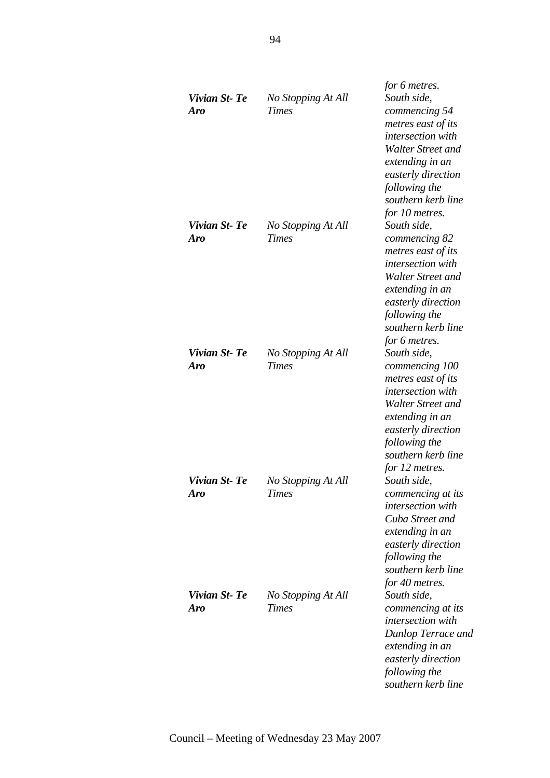| Vivian St-Te<br>Aro  | No Stopping At All<br><b>Times</b> | for 6 metres.<br>South side,<br>commencing 54<br>metres east of its<br>intersection with<br>Walter Street and<br>extending in an<br>easterly direction<br>following the<br>southern kerb line                   |
|----------------------|------------------------------------|-----------------------------------------------------------------------------------------------------------------------------------------------------------------------------------------------------------------|
| Vivian St-Te<br>Aro  | No Stopping At All<br><b>Times</b> | for 10 metres.<br>South side,<br>commencing 82<br>metres east of its<br>intersection with<br>Walter Street and<br>extending in an<br>easterly direction<br>following the<br>southern kerb line<br>for 6 metres. |
| Vivian St-Te<br>Aro  | No Stopping At All<br><b>Times</b> | South side,<br>commencing 100<br>metres east of its<br>intersection with<br>Walter Street and<br>extending in an<br>easterly direction<br>following the<br>southern kerb line<br>for 12 metres.                 |
| Vivian St- Te<br>Aro | No Stopping At All<br><b>Times</b> | South side,<br>commencing at its<br><i>intersection</i> with<br>Cuba Street and<br>extending in an<br>easterly direction<br>following the<br>southern kerb line<br>for 40 metres.                               |
| Vivian St-Te<br>Aro  | No Stopping At All<br><b>Times</b> | South side.<br>commencing at its<br>intersection with<br>Dunlop Terrace and<br>extending in an<br>easterly direction<br>following the<br>southern kerb line                                                     |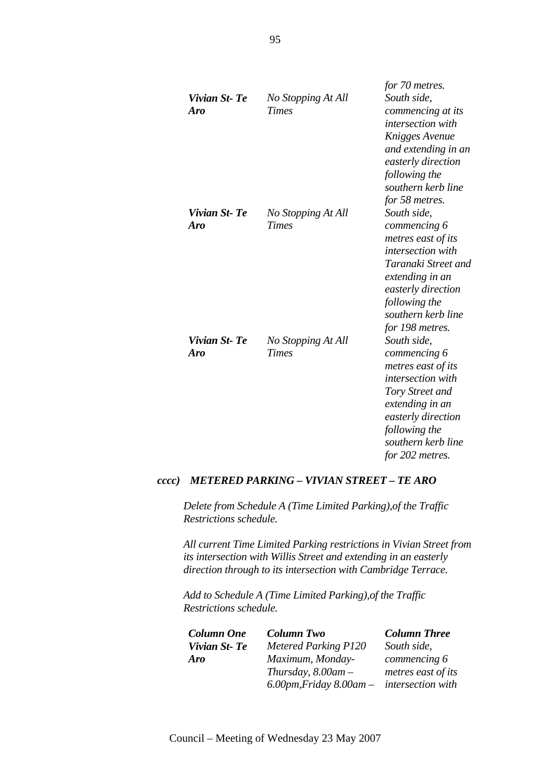| Vivian St-Te<br><b>Aro</b> | No Stopping At All<br><b>Times</b> | for 70 metres.<br>South side,<br>commencing at its<br><i>intersection</i> with<br>Knigges Avenue<br>and extending in an<br>easterly direction<br>following the<br>southern kerb line<br>for 58 metres.  |
|----------------------------|------------------------------------|---------------------------------------------------------------------------------------------------------------------------------------------------------------------------------------------------------|
| Vivian St-Te<br>Aro        | No Stopping At All<br><b>Times</b> | South side,<br>commencing 6<br>metres east of its<br><i>intersection with</i><br>Taranaki Street and<br>extending in an<br>easterly direction<br>following the<br>southern kerb line<br>for 198 metres. |
| Vivian St-Te<br>Aro        | No Stopping At All<br><b>Times</b> | South side,<br>commencing 6<br>metres east of its<br><i>intersection</i> with<br>Tory Street and<br>extending in an<br>easterly direction<br>following the<br>southern kerb line<br>for 202 metres.     |

#### *cccc) METERED PARKING – VIVIAN STREET – TE ARO*

*Delete from Schedule A (Time Limited Parking),of the Traffic Restrictions schedule.* 

*All current Time Limited Parking restrictions in Vivian Street from its intersection with Willis Street and extending in an easterly direction through to its intersection with Cambridge Terrace.*

*Add to Schedule A (Time Limited Parking),of the Traffic Restrictions schedule.* 

| <b>Column One</b> | <b>Column Two</b>               | <b>Column Three</b>      |
|-------------------|---------------------------------|--------------------------|
| Vivian St-Te      | <b>Metered Parking P120</b>     | South side,              |
| <b>Aro</b>        | Maximum, Monday-                | commencing 6             |
|                   | Thursday, $8.00$ am $-$         | metres east of its       |
|                   | $6.00$ pm, Friday $8.00$ am $-$ | <i>intersection</i> with |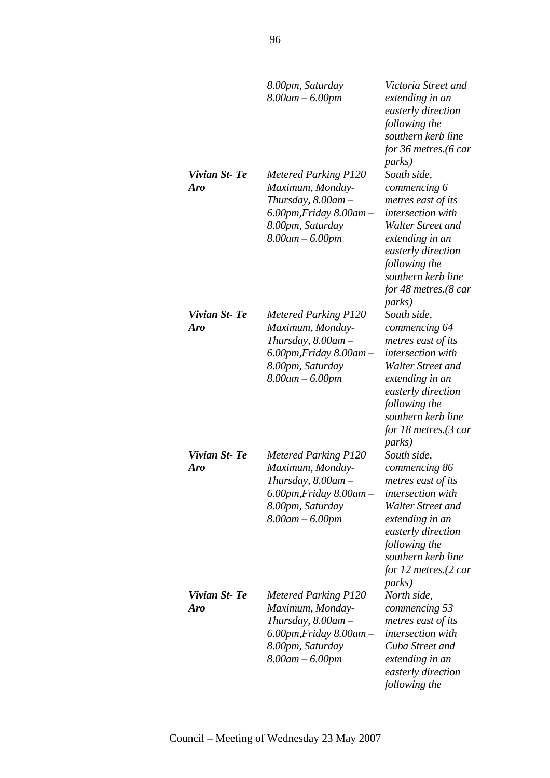|                            | 8.00pm, Saturday<br>$8.00$ am $- 6.00$ pm                                                                                                                  | Victoria Street and<br>extending in an<br>easterly direction<br>following the<br>southern kerb line<br>for 36 metres.(6 car<br><i>parks</i> )                                                                                     |
|----------------------------|------------------------------------------------------------------------------------------------------------------------------------------------------------|-----------------------------------------------------------------------------------------------------------------------------------------------------------------------------------------------------------------------------------|
| Vivian St-Te<br><b>Aro</b> | <b>Metered Parking P120</b><br>Maximum, Monday-<br>Thursday, $8.00$ am $-$<br>$6.00$ pm, Friday $8.00$ am $-$<br>8.00pm, Saturday<br>$8.00$ am $- 6.00$ pm | South side,<br>commencing 6<br>metres east of its<br>intersection with<br>Walter Street and<br>extending in an<br>easterly direction<br>following the<br>southern kerb line<br>for 48 metres. $(8 \text{ car})$<br><i>parks</i> ) |
| Vivian St-Te<br><b>Aro</b> | <b>Metered Parking P120</b><br>Maximum, Monday-<br>Thursday, $8.00$ am $-$<br>$6.00$ pm, Friday $8.00$ am $-$<br>8.00pm, Saturday<br>$8.00$ am $- 6.00$ pm | South side,<br>commencing 64<br>metres east of its<br>intersection with<br>Walter Street and<br>extending in an<br>easterly direction<br>following the<br>southern kerb line<br>for 18 metres.(3 car<br><i>parks</i> )            |
| Vivian St-Te<br><b>Aro</b> | <b>Metered Parking P120</b><br>Maximum, Monday-<br>Thursday, 8.00am -<br>6.00pm, Friday 8.00am -<br>8.00pm, Saturday<br>$8.00$ am $- 6.00$ pm              | South side,<br>commencing 86<br>metres east of its<br><i>intersection with</i><br>Walter Street and<br>extending in an<br>easterly direction<br>following the<br>southern kerb line<br>for 12 metres.(2 car<br><i>parks</i> )     |
| Vivian St-Te<br><b>Aro</b> | <b>Metered Parking P120</b><br>Maximum, Monday-<br>Thursday, 8.00am –<br>$6.00$ pm, Friday $8.00$ am $-$<br>8.00pm, Saturday<br>$8.00$ am $- 6.00$ pm      | North side,<br>commencing 53<br>metres east of its<br><i>intersection with</i><br>Cuba Street and<br>extending in an<br>easterly direction<br>following the                                                                       |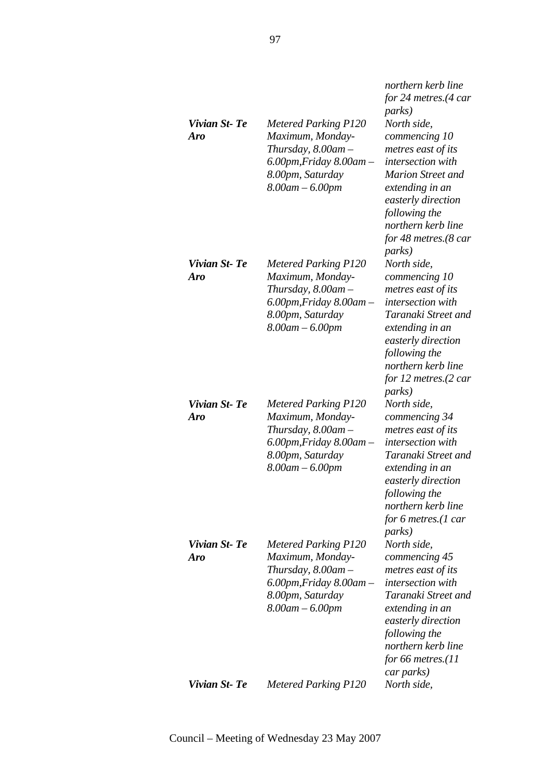|                            |                                                                                                                                                            | northern kerb line<br>for 24 metres. $(4 \text{ car})$<br><i>parks</i> )                                                                                                                                                      |
|----------------------------|------------------------------------------------------------------------------------------------------------------------------------------------------------|-------------------------------------------------------------------------------------------------------------------------------------------------------------------------------------------------------------------------------|
| Vivian St-Te<br>Aro        | <b>Metered Parking P120</b><br>Maximum, Monday-<br>Thursday, 8.00am -<br>$6.00$ pm, Friday $8.00$ am $-$<br>8.00pm, Saturday<br>$8.00$ am $- 6.00$ pm      | North side,<br>commencing 10<br>metres east of its<br>intersection with<br><b>Marion Street and</b><br>extending in an<br>easterly direction<br>following the<br>northern kerb line<br>for 48 metres.(8 car<br><i>parks</i> ) |
| Vivian St-Te<br>Aro        | <b>Metered Parking P120</b><br>Maximum, Monday-<br>Thursday, $8.00$ am $-$<br>$6.00$ pm, Friday $8.00$ am $-$<br>8.00pm, Saturday<br>$8.00$ am $- 6.00$ pm | North side,<br>commencing 10<br>metres east of its<br>intersection with<br>Taranaki Street and<br>extending in an<br>easterly direction<br>following the<br>northern kerb line<br>for 12 metres.(2 car<br><i>parks</i> )      |
| Vivian St-Te<br>Aro        | <b>Metered Parking P120</b><br>Maximum, Monday-<br>Thursday, $8.00$ am $-$<br>$6.00$ pm, Friday $8.00$ am $-$<br>8.00pm, Saturday<br>$8.00$ am $- 6.00$ pm | North side,<br>commencing 34<br>metres east of its<br>intersection with<br>Taranaki Street and<br>extending in an<br>easterly direction<br>following the<br>northern kerb line<br>for 6 metres.(1 car<br><i>parks</i> )       |
| Vivian St-Te<br><b>Aro</b> | <b>Metered Parking P120</b><br>Maximum, Monday-<br>Thursday, $8.00$ am $-$<br>$6.00$ pm, Friday $8.00$ am $-$<br>8.00pm, Saturday<br>$8.00$ am $- 6.00$ pm | North side,<br>commencing 45<br>metres east of its<br>intersection with<br>Taranaki Street and<br>extending in an<br>easterly direction<br>following the<br>northern kerb line<br>for 66 metres. $(11)$<br>car parks)         |
| Vivian St- Te              | <b>Metered Parking P120</b>                                                                                                                                | North side,                                                                                                                                                                                                                   |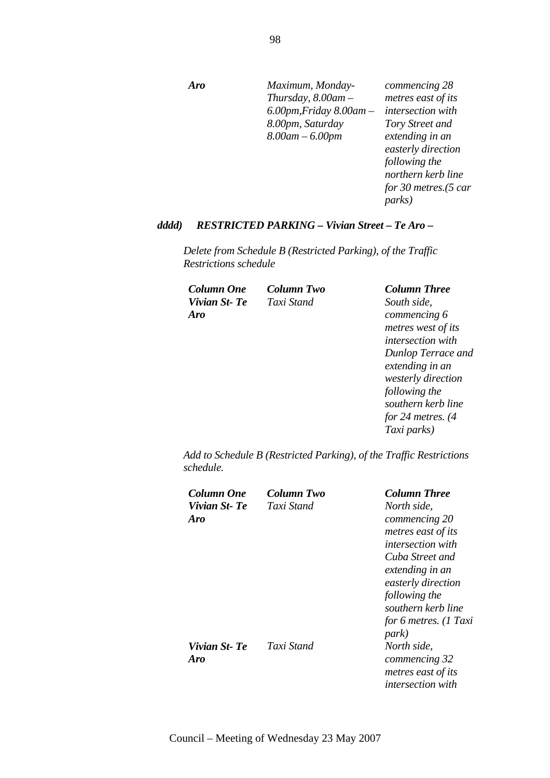*Aro Maximum, Monday-Thursday, 8.00am – 6.00pm,Friday 8.00am – 8.00pm, Saturday 8.00am – 6.00pm commencing 28 metres east of its intersection with Tory Street and extending in an easterly direction following the northern kerb line* 

*for 30 metres.(5 car* 

*parks)* 

*Taxi parks)* 

#### *dddd) RESTRICTED PARKING – Vivian Street – Te Aro –*

*Delete from Schedule B (Restricted Parking), of the Traffic Restrictions schedule* 

| Column One   | Column Two | <b>Column Three</b>      |
|--------------|------------|--------------------------|
| Vivian St-Te | Taxi Stand | South side,              |
| Aro          |            | commencing 6             |
|              |            | metres west of its       |
|              |            | <i>intersection</i> with |
|              |            | Dunlop Terrace and       |
|              |            | extending in an          |
|              |            | westerly direction       |
|              |            | following the            |
|              |            | southern kerb line       |
|              |            | for 24 metres. $(4)$     |

*Add to Schedule B (Restricted Parking), of the Traffic Restrictions schedule.* 

| Column One<br>Vivian St-Te | Column Two<br>Taxi Stand | <b>Column Three</b><br>North side.                       |
|----------------------------|--------------------------|----------------------------------------------------------|
| Aro                        |                          | commencing 20                                            |
|                            |                          | metres east of its<br><i>intersection with</i>           |
|                            |                          | Cuba Street and<br>extending in an<br>easterly direction |
|                            |                          | following the                                            |
|                            |                          | southern kerb line                                       |
|                            |                          | for 6 metres. (1 Taxi<br>park)                           |
| Vivian St-Te<br>Aro        | Taxi Stand               | North side,<br>commencing 32                             |
|                            |                          | metres east of its                                       |
|                            |                          | intersection with                                        |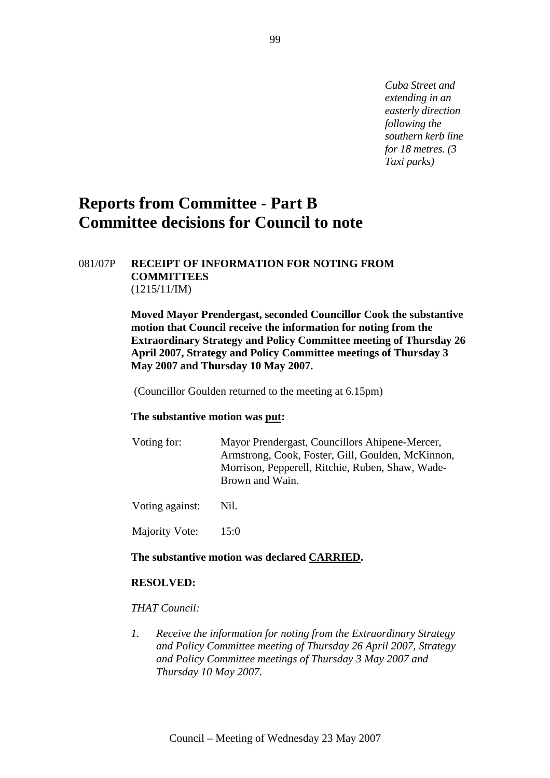*Cuba Street and extending in an easterly direction following the southern kerb line for 18 metres. (3 Taxi parks)* 

# **Reports from Committee - Part B Committee decisions for Council to note**

#### 081/07P **RECEIPT OF INFORMATION FOR NOTING FROM COMMITTEES**  (1215/11/IM)

**Moved Mayor Prendergast, seconded Councillor Cook the substantive motion that Council receive the information for noting from the Extraordinary Strategy and Policy Committee meeting of Thursday 26 April 2007, Strategy and Policy Committee meetings of Thursday 3 May 2007 and Thursday 10 May 2007.** 

(Councillor Goulden returned to the meeting at 6.15pm)

#### **The substantive motion was put:**

| Voting for: | Mayor Prendergast, Councillors Ahipene-Mercer,    |
|-------------|---------------------------------------------------|
|             | Armstrong, Cook, Foster, Gill, Goulden, McKinnon, |
|             | Morrison, Pepperell, Ritchie, Ruben, Shaw, Wade-  |
|             | Brown and Wain.                                   |
|             |                                                   |

Voting against: Nil.

Majority Vote: 15:0

#### **The substantive motion was declared CARRIED.**

#### **RESOLVED:**

#### *THAT Council:*

*1. Receive the information for noting from the Extraordinary Strategy and Policy Committee meeting of Thursday 26 April 2007, Strategy and Policy Committee meetings of Thursday 3 May 2007 and Thursday 10 May 2007.*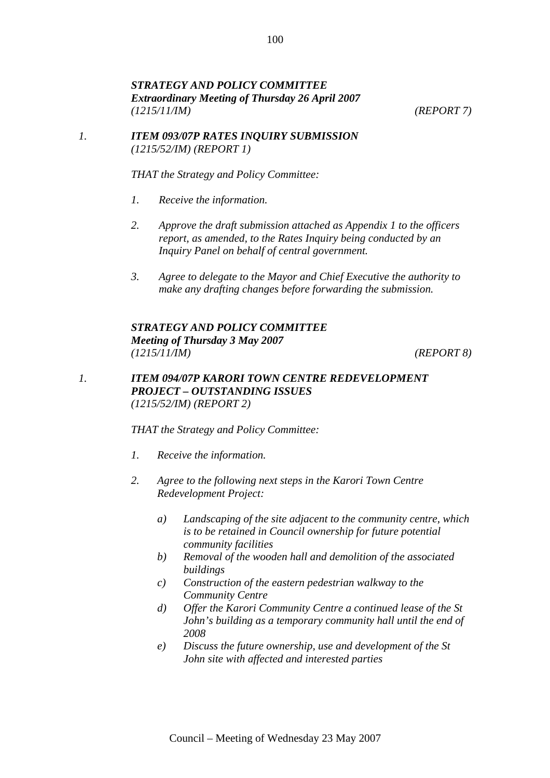### *STRATEGY AND POLICY COMMITTEE Extraordinary Meeting of Thursday 26 April 2007 (1215/11/IM) (REPORT 7)*

#### *1. ITEM 093/07P RATES INQUIRY SUBMISSION (1215/52/IM) (REPORT 1)*

*THAT the Strategy and Policy Committee:* 

- *1. Receive the information.*
- *2. Approve the draft submission attached as Appendix 1 to the officers report, as amended, to the Rates Inquiry being conducted by an Inquiry Panel on behalf of central government.*
- *3. Agree to delegate to the Mayor and Chief Executive the authority to make any drafting changes before forwarding the submission.*

*STRATEGY AND POLICY COMMITTEE Meeting of Thursday 3 May 2007 (1215/11/IM) (REPORT 8)* 

# *1. ITEM 094/07P KARORI TOWN CENTRE REDEVELOPMENT PROJECT – OUTSTANDING ISSUES (1215/52/IM) (REPORT 2)*

*THAT the Strategy and Policy Committee:* 

- *1. Receive the information.*
- *2. Agree to the following next steps in the Karori Town Centre Redevelopment Project:* 
	- *a) Landscaping of the site adjacent to the community centre, which is to be retained in Council ownership for future potential community facilities*
	- *b) Removal of the wooden hall and demolition of the associated buildings*
	- *c) Construction of the eastern pedestrian walkway to the Community Centre*
	- *d) Offer the Karori Community Centre a continued lease of the St John's building as a temporary community hall until the end of 2008*
	- *e) Discuss the future ownership, use and development of the St John site with affected and interested parties*

100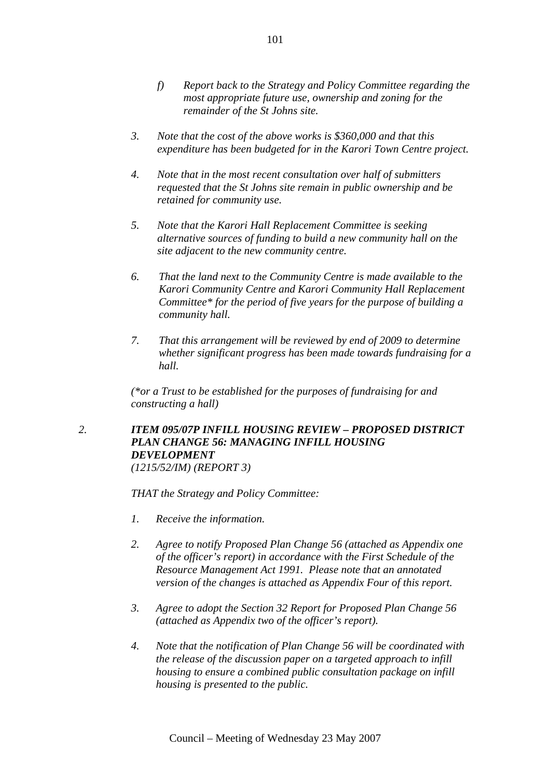- *f) Report back to the Strategy and Policy Committee regarding the most appropriate future use, ownership and zoning for the remainder of the St Johns site.*
- *3. Note that the cost of the above works is \$360,000 and that this expenditure has been budgeted for in the Karori Town Centre project.*
- *4. Note that in the most recent consultation over half of submitters requested that the St Johns site remain in public ownership and be retained for community use.*
- *5. Note that the Karori Hall Replacement Committee is seeking alternative sources of funding to build a new community hall on the site adjacent to the new community centre.*
- *6. That the land next to the Community Centre is made available to the Karori Community Centre and Karori Community Hall Replacement Committee\* for the period of five years for the purpose of building a community hall.*
- *7. That this arrangement will be reviewed by end of 2009 to determine whether significant progress has been made towards fundraising for a hall.*

*(\*or a Trust to be established for the purposes of fundraising for and constructing a hall)* 

# *2. ITEM 095/07P INFILL HOUSING REVIEW – PROPOSED DISTRICT PLAN CHANGE 56: MANAGING INFILL HOUSING DEVELOPMENT (1215/52/IM) (REPORT 3)*

*THAT the Strategy and Policy Committee:* 

- *1. Receive the information.*
- *2. Agree to notify Proposed Plan Change 56 (attached as Appendix one of the officer's report) in accordance with the First Schedule of the Resource Management Act 1991. Please note that an annotated version of the changes is attached as Appendix Four of this report.*
- *3. Agree to adopt the Section 32 Report for Proposed Plan Change 56 (attached as Appendix two of the officer's report).*
- *4. Note that the notification of Plan Change 56 will be coordinated with the release of the discussion paper on a targeted approach to infill housing to ensure a combined public consultation package on infill housing is presented to the public.*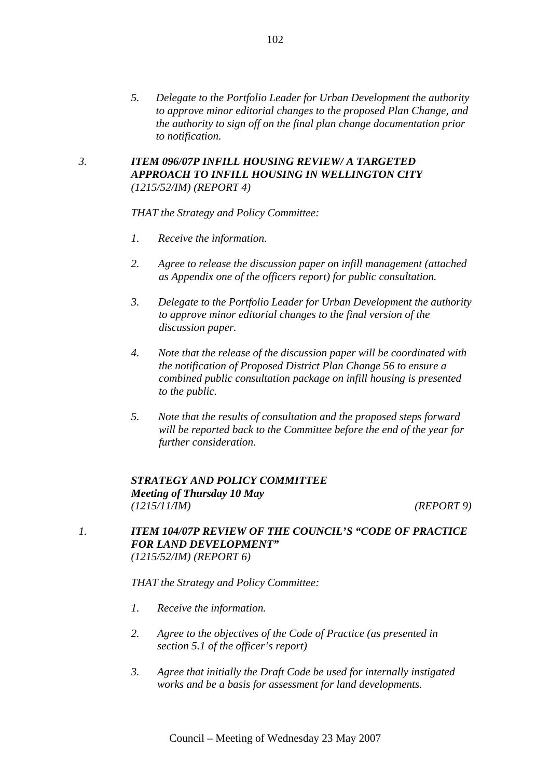*5. Delegate to the Portfolio Leader for Urban Development the authority to approve minor editorial changes to the proposed Plan Change, and the authority to sign off on the final plan change documentation prior to notification.* 

# *3. ITEM 096/07P INFILL HOUSING REVIEW/ A TARGETED APPROACH TO INFILL HOUSING IN WELLINGTON CITY (1215/52/IM) (REPORT 4)*

*THAT the Strategy and Policy Committee:* 

- *1. Receive the information.*
- *2. Agree to release the discussion paper on infill management (attached as Appendix one of the officers report) for public consultation.*
- *3. Delegate to the Portfolio Leader for Urban Development the authority to approve minor editorial changes to the final version of the discussion paper.*
- *4. Note that the release of the discussion paper will be coordinated with the notification of Proposed District Plan Change 56 to ensure a combined public consultation package on infill housing is presented to the public.*
- *5. Note that the results of consultation and the proposed steps forward will be reported back to the Committee before the end of the year for further consideration.*

# *STRATEGY AND POLICY COMMITTEE Meeting of Thursday 10 May (1215/11/IM) (REPORT 9)*

*1. ITEM 104/07P REVIEW OF THE COUNCIL'S "CODE OF PRACTICE FOR LAND DEVELOPMENT" (1215/52/IM) (REPORT 6)* 

*THAT the Strategy and Policy Committee:* 

- *1. Receive the information.*
- *2. Agree to the objectives of the Code of Practice (as presented in section 5.1 of the officer's report)*
- *3. Agree that initially the Draft Code be used for internally instigated works and be a basis for assessment for land developments.*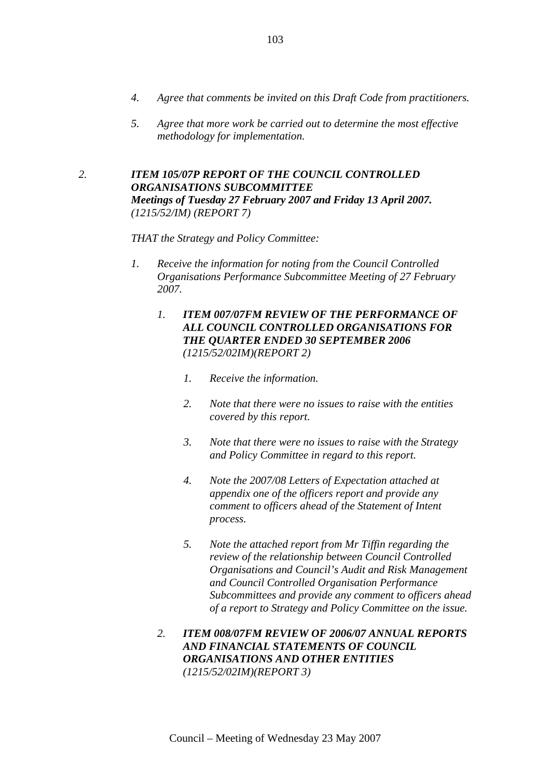- *4. Agree that comments be invited on this Draft Code from practitioners.*
- *5. Agree that more work be carried out to determine the most effective methodology for implementation.*
- *2. ITEM 105/07P REPORT OF THE COUNCIL CONTROLLED ORGANISATIONS SUBCOMMITTEE Meetings of Tuesday 27 February 2007 and Friday 13 April 2007. (1215/52/IM) (REPORT 7)*

#### *THAT the Strategy and Policy Committee:*

- *1. Receive the information for noting from the Council Controlled Organisations Performance Subcommittee Meeting of 27 February 2007.* 
	- *1. ITEM 007/07FM REVIEW OF THE PERFORMANCE OF ALL COUNCIL CONTROLLED ORGANISATIONS FOR THE QUARTER ENDED 30 SEPTEMBER 2006 (1215/52/02IM)(REPORT 2)* 
		- *1. Receive the information.*
		- *2. Note that there were no issues to raise with the entities covered by this report.*
		- *3. Note that there were no issues to raise with the Strategy and Policy Committee in regard to this report.*
		- *4. Note the 2007/08 Letters of Expectation attached at appendix one of the officers report and provide any comment to officers ahead of the Statement of Intent process.*
		- *5. Note the attached report from Mr Tiffin regarding the review of the relationship between Council Controlled Organisations and Council's Audit and Risk Management and Council Controlled Organisation Performance Subcommittees and provide any comment to officers ahead of a report to Strategy and Policy Committee on the issue.*
	- *2. ITEM 008/07FM REVIEW OF 2006/07 ANNUAL REPORTS AND FINANCIAL STATEMENTS OF COUNCIL ORGANISATIONS AND OTHER ENTITIES (1215/52/02IM)(REPORT 3)*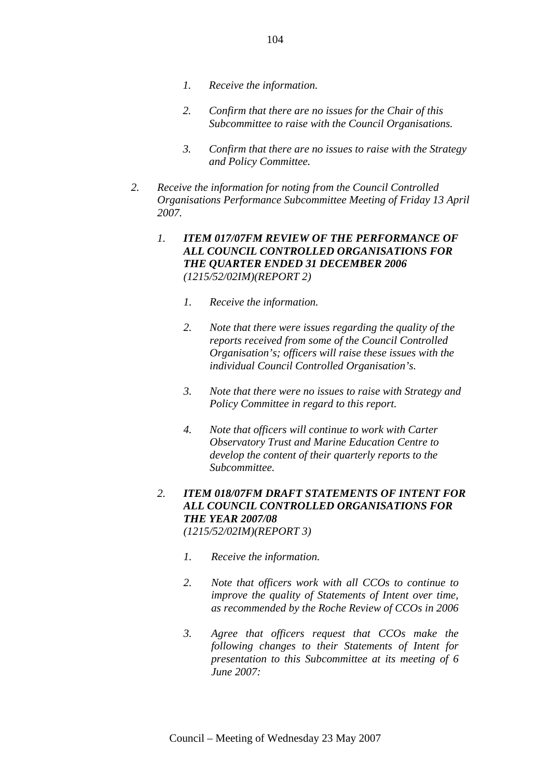- *1. Receive the information.*
- *2. Confirm that there are no issues for the Chair of this Subcommittee to raise with the Council Organisations.*
- *3. Confirm that there are no issues to raise with the Strategy and Policy Committee.*
- *2. Receive the information for noting from the Council Controlled Organisations Performance Subcommittee Meeting of Friday 13 April 2007.* 
	- *1. ITEM 017/07FM REVIEW OF THE PERFORMANCE OF ALL COUNCIL CONTROLLED ORGANISATIONS FOR THE QUARTER ENDED 31 DECEMBER 2006 (1215/52/02IM)(REPORT 2)* 
		- *1. Receive the information.*
		- *2. Note that there were issues regarding the quality of the reports received from some of the Council Controlled Organisation's; officers will raise these issues with the individual Council Controlled Organisation's.*
		- *3. Note that there were no issues to raise with Strategy and Policy Committee in regard to this report.*
		- *4. Note that officers will continue to work with Carter Observatory Trust and Marine Education Centre to develop the content of their quarterly reports to the Subcommittee.*
	- *2. ITEM 018/07FM DRAFT STATEMENTS OF INTENT FOR ALL COUNCIL CONTROLLED ORGANISATIONS FOR THE YEAR 2007/08 (1215/52/02IM)(REPORT 3)* 
		- *1. Receive the information.*
		- *2. Note that officers work with all CCOs to continue to improve the quality of Statements of Intent over time, as recommended by the Roche Review of CCOs in 2006*
		- *3. Agree that officers request that CCOs make the following changes to their Statements of Intent for presentation to this Subcommittee at its meeting of 6 June 2007:*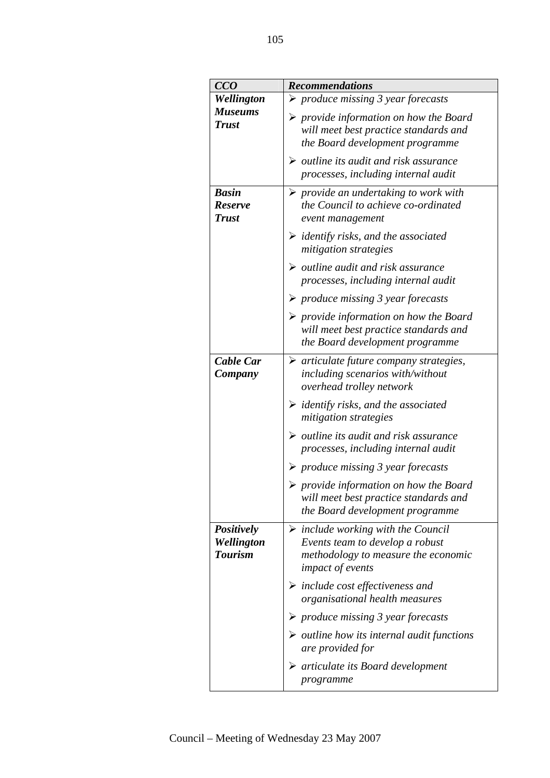| CCO                                               | <b>Recommendations</b>                                                                                                                                 |
|---------------------------------------------------|--------------------------------------------------------------------------------------------------------------------------------------------------------|
| Wellington                                        | $\triangleright$ produce missing 3 year forecasts                                                                                                      |
| <b>Museums</b><br><b>Trust</b>                    | $\triangleright$ provide information on how the Board<br>will meet best practice standards and<br>the Board development programme                      |
|                                                   | $\triangleright$ outline its audit and risk assurance<br>processes, including internal audit                                                           |
| <b>Basin</b><br><b>Reserve</b><br><b>Trust</b>    | $\triangleright$ provide an undertaking to work with<br>the Council to achieve co-ordinated<br>event management                                        |
|                                                   | $\triangleright$ identify risks, and the associated<br>mitigation strategies                                                                           |
|                                                   | $\triangleright$ outline audit and risk assurance<br>processes, including internal audit                                                               |
|                                                   | $\triangleright$ produce missing 3 year forecasts                                                                                                      |
|                                                   | $\triangleright$ provide information on how the Board<br>will meet best practice standards and<br>the Board development programme                      |
| Cable Car<br>Company                              | $\triangleright$ articulate future company strategies,<br>including scenarios with/without<br>overhead trolley network                                 |
|                                                   | $\triangleright$ identify risks, and the associated<br>mitigation strategies                                                                           |
|                                                   | $\triangleright$ outline its audit and risk assurance<br>processes, including internal audit                                                           |
|                                                   | $\triangleright$ produce missing 3 year forecasts                                                                                                      |
|                                                   | $\triangleright$ provide information on how the Board<br>will meet best practice standards and<br>the Board development programme                      |
| <b>Positively</b><br>Wellington<br><b>Tourism</b> | $\triangleright$ include working with the Council<br>Events team to develop a robust<br>methodology to measure the economic<br><i>impact of events</i> |
|                                                   | $\triangleright$ include cost effectiveness and<br>organisational health measures                                                                      |
|                                                   | $\triangleright$ produce missing 3 year forecasts                                                                                                      |
|                                                   | $\triangleright$ outline how its internal audit functions<br>are provided for                                                                          |
|                                                   | $\triangleright$ articulate its Board development<br>programme                                                                                         |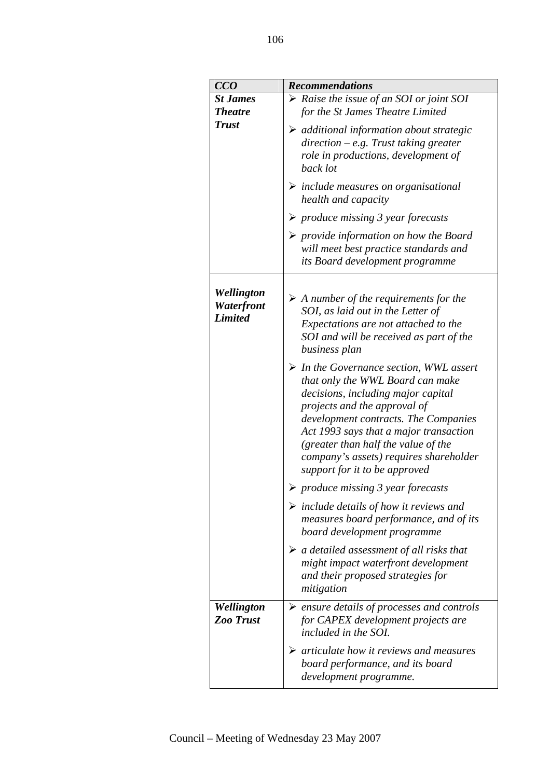| CCO                                        | <b>Recommendations</b>                                                                                                                                                                                                                                                                                                                                               |
|--------------------------------------------|----------------------------------------------------------------------------------------------------------------------------------------------------------------------------------------------------------------------------------------------------------------------------------------------------------------------------------------------------------------------|
| <b>St James</b>                            | $\triangleright$ Raise the issue of an SOI or joint SOI                                                                                                                                                                                                                                                                                                              |
| <b>Theatre</b>                             | for the St James Theatre Limited                                                                                                                                                                                                                                                                                                                                     |
| <b>Trust</b>                               | $\triangleright$ additional information about strategic<br>$direction - e.g.$ Trust taking greater<br>role in productions, development of<br>back lot                                                                                                                                                                                                                |
|                                            | $\triangleright$ include measures on organisational<br>health and capacity                                                                                                                                                                                                                                                                                           |
|                                            | $\triangleright$ produce missing 3 year forecasts                                                                                                                                                                                                                                                                                                                    |
|                                            | $\triangleright$ provide information on how the Board<br>will meet best practice standards and<br>its Board development programme                                                                                                                                                                                                                                    |
| Wellington<br>Waterfront<br><b>Limited</b> | $\triangleright$ A number of the requirements for the<br>SOI, as laid out in the Letter of<br>Expectations are not attached to the<br>SOI and will be received as part of the<br>business plan                                                                                                                                                                       |
|                                            | $\triangleright$ In the Governance section, WWL assert<br>that only the WWL Board can make<br>decisions, including major capital<br>projects and the approval of<br>development contracts. The Companies<br>Act 1993 says that a major transaction<br>(greater than half the value of the<br>company's assets) requires shareholder<br>support for it to be approved |
|                                            | $\triangleright$ produce missing 3 year forecasts                                                                                                                                                                                                                                                                                                                    |
|                                            | $\triangleright$ include details of how it reviews and<br>measures board performance, and of its<br>board development programme                                                                                                                                                                                                                                      |
|                                            | $\triangleright$ a detailed assessment of all risks that<br>might impact waterfront development<br>and their proposed strategies for<br>mitigation                                                                                                                                                                                                                   |
| Wellington<br><b>Zoo Trust</b>             | $\triangleright$ ensure details of processes and controls<br>for CAPEX development projects are<br>included in the SOI.                                                                                                                                                                                                                                              |
|                                            | $\triangleright$ articulate how it reviews and measures<br>board performance, and its board<br>development programme.                                                                                                                                                                                                                                                |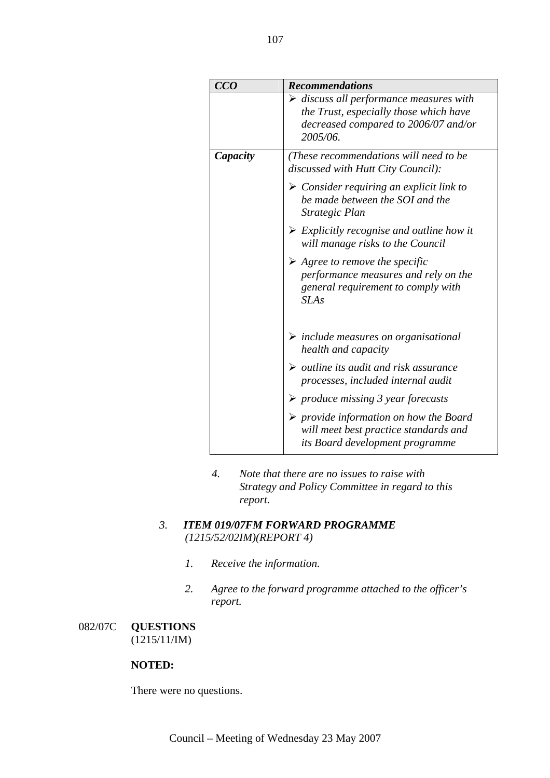| CCO      | <b>Recommendations</b>                                                                                                                               |
|----------|------------------------------------------------------------------------------------------------------------------------------------------------------|
|          | $\triangleright$ discuss all performance measures with<br>the Trust, especially those which have<br>decreased compared to 2006/07 and/or<br>2005/06. |
| Capacity | (These recommendations will need to be<br>discussed with Hutt City Council):                                                                         |
|          | $\triangleright$ Consider requiring an explicit link to<br>be made between the SOI and the<br>Strategic Plan                                         |
|          | $\triangleright$ Explicitly recognise and outline how it<br>will manage risks to the Council                                                         |
|          | $\triangleright$ Agree to remove the specific<br>performance measures and rely on the<br>general requirement to comply with<br>SLAs                  |
|          | $\triangleright$ include measures on organisational<br>health and capacity                                                                           |
|          | $\triangleright$ outline its audit and risk assurance<br>processes, included internal audit                                                          |
|          | $\triangleright$ produce missing 3 year forecasts                                                                                                    |
|          | $\triangleright$ provide information on how the Board<br>will meet best practice standards and<br>its Board development programme                    |

*4. Note that there are no issues to raise with Strategy and Policy Committee in regard to this report.* 

# *3. ITEM 019/07FM FORWARD PROGRAMME (1215/52/02IM)(REPORT 4)*

- *1. Receive the information.*
- *2. Agree to the forward programme attached to the officer's report.*

# 082/07C **QUESTIONS**  (1215/11/IM)

# **NOTED:**

There were no questions.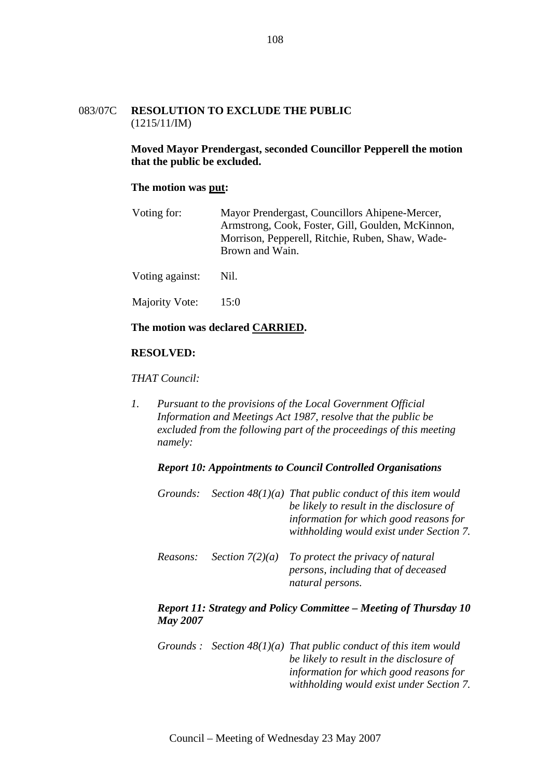#### 083/07C **RESOLUTION TO EXCLUDE THE PUBLIC**  (1215/11/IM)

**Moved Mayor Prendergast, seconded Councillor Pepperell the motion that the public be excluded.** 

#### **The motion was put:**

| Voting for: | Mayor Prendergast, Councillors Ahipene-Mercer,    |
|-------------|---------------------------------------------------|
|             | Armstrong, Cook, Foster, Gill, Goulden, McKinnon, |
|             | Morrison, Pepperell, Ritchie, Ruben, Shaw, Wade-  |
|             | Brown and Wain.                                   |
|             |                                                   |

Voting against: Nil.

Majority Vote: 15:0

#### **The motion was declared CARRIED.**

#### **RESOLVED:**

*THAT Council:* 

*1. Pursuant to the provisions of the Local Government Official Information and Meetings Act 1987, resolve that the public be excluded from the following part of the proceedings of this meeting namely:* 

#### *Report 10: Appointments to Council Controlled Organisations*

|          | Grounds: Section $48(1)(a)$ That public conduct of this item would<br>be likely to result in the disclosure of<br>information for which good reasons for<br>withholding would exist under Section 7. |
|----------|------------------------------------------------------------------------------------------------------------------------------------------------------------------------------------------------------|
| Reasons: | Section $7(2)(a)$ To protect the privacy of natural<br>persons, including that of deceased<br>natural persons.                                                                                       |

#### *Report 11: Strategy and Policy Committee – Meeting of Thursday 10 May 2007*

*Grounds : Section 48(1)(a) That public conduct of this item would be likely to result in the disclosure of information for which good reasons for withholding would exist under Section 7.*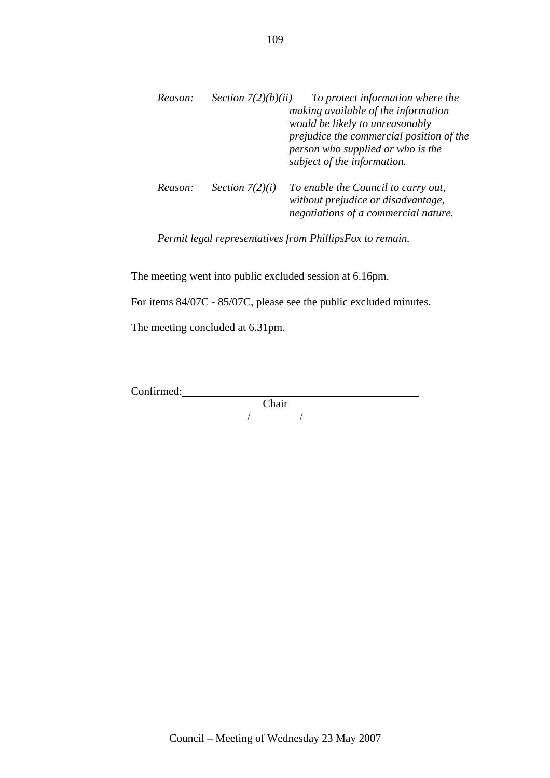| Reason: | Section $7(2)(b)(ii)$ | To protect information where the<br>making available of the information<br>would be likely to unreasonably<br>prejudice the commercial position of the<br>person who supplied or who is the<br>subject of the information. |
|---------|-----------------------|----------------------------------------------------------------------------------------------------------------------------------------------------------------------------------------------------------------------------|
| Reason: | Section $7(2)(i)$     | To enable the Council to carry out,<br>without prejudice or disadvantage,<br>negotiations of a commercial nature.                                                                                                          |

*Permit legal representatives from PhillipsFox to remain.* 

The meeting went into public excluded session at 6.16pm.

For items 84/07C - 85/07C, please see the public excluded minutes.

The meeting concluded at 6.31pm.

Confirmed:

Chair / /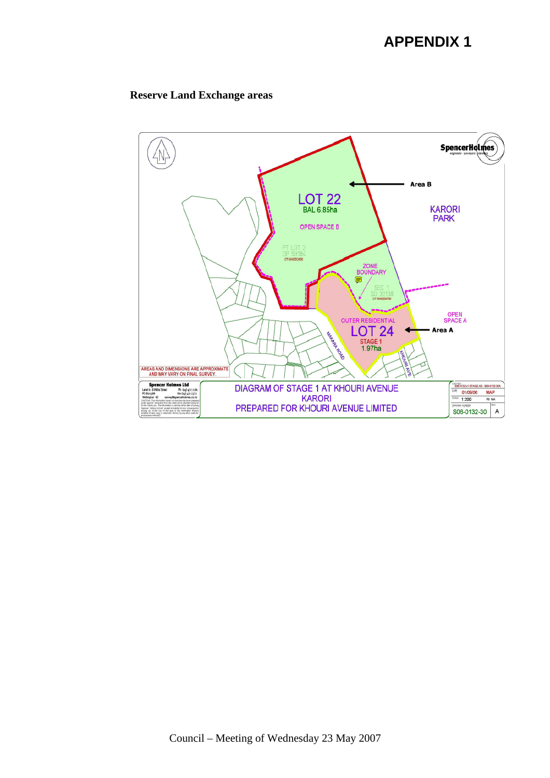## **APPENDIX 1**

### **Reserve Land Exchange areas**

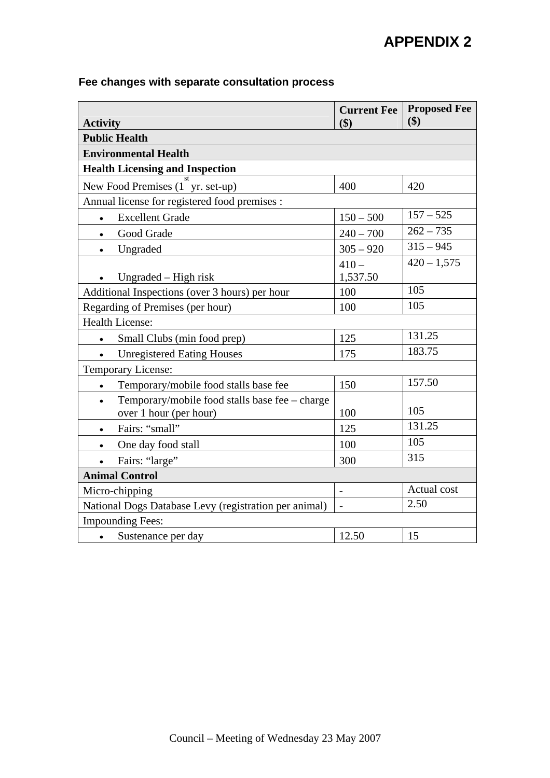# **APPENDIX 2**

### **Fee changes with separate consultation process**

| <b>Activity</b>                                                          | <b>Current Fee</b><br>\$) | <b>Proposed Fee</b><br>\$) |  |  |
|--------------------------------------------------------------------------|---------------------------|----------------------------|--|--|
| <b>Public Health</b>                                                     |                           |                            |  |  |
| <b>Environmental Health</b>                                              |                           |                            |  |  |
| <b>Health Licensing and Inspection</b>                                   |                           |                            |  |  |
| New Food Premises (1 yr. set-up)                                         | 400                       | 420                        |  |  |
| Annual license for registered food premises :                            |                           |                            |  |  |
| <b>Excellent Grade</b><br>$\bullet$                                      | $150 - 500$               | $157 - 525$                |  |  |
| Good Grade                                                               | $240 - 700$               | $262 - 735$                |  |  |
| Ungraded<br>$\bullet$                                                    | $305 - 920$               | $315 - 945$                |  |  |
|                                                                          | $410 -$                   | $420 - 1,575$              |  |  |
| Ungraded – High risk                                                     | 1,537.50                  |                            |  |  |
| Additional Inspections (over 3 hours) per hour                           | 100                       | 105                        |  |  |
| Regarding of Premises (per hour)                                         | 100                       | 105                        |  |  |
| <b>Health License:</b>                                                   |                           |                            |  |  |
| Small Clubs (min food prep)<br>$\bullet$                                 | 125                       | 131.25                     |  |  |
| <b>Unregistered Eating Houses</b>                                        | 175                       | 183.75                     |  |  |
| Temporary License:                                                       |                           |                            |  |  |
| Temporary/mobile food stalls base fee<br>$\bullet$                       | 150                       | 157.50                     |  |  |
| Temporary/mobile food stalls base fee - charge<br>over 1 hour (per hour) | 100                       | 105                        |  |  |
| Fairs: "small"<br>$\bullet$                                              | 125                       | 131.25                     |  |  |
| One day food stall<br>$\bullet$                                          | 100                       | 105                        |  |  |
| Fairs: "large"                                                           | 300                       | 315                        |  |  |
| <b>Animal Control</b>                                                    |                           |                            |  |  |
| Micro-chipping                                                           | $\overline{a}$            | Actual cost                |  |  |
| National Dogs Database Levy (registration per animal)                    | $\overline{\phantom{a}}$  | 2.50                       |  |  |
| <b>Impounding Fees:</b>                                                  |                           |                            |  |  |
| Sustenance per day<br>$\bullet$                                          | 12.50                     | 15                         |  |  |